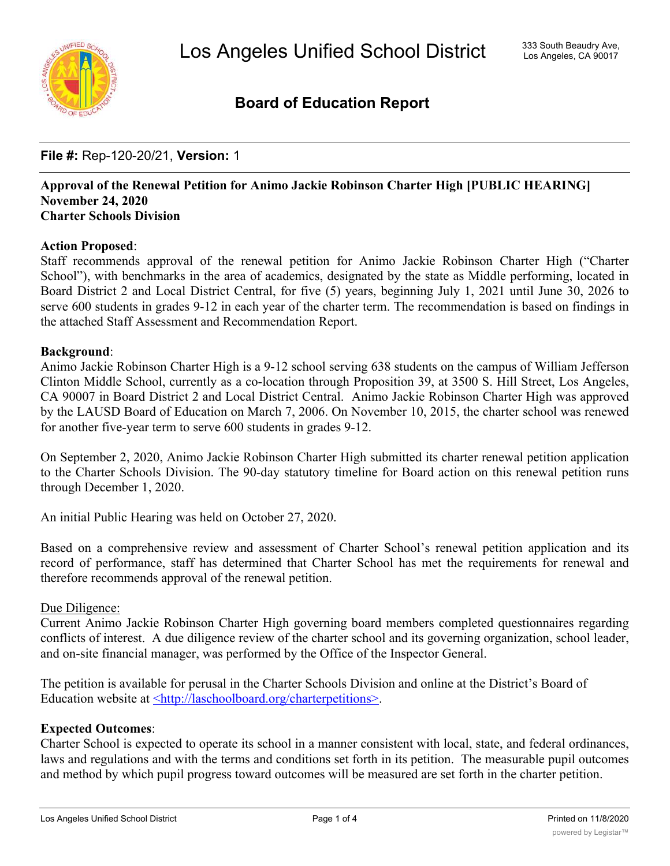

# **Board of Education Report**

# **File #:** Rep-120-20/21, **Version:** 1

### **Approval of the Renewal Petition for Animo Jackie Robinson Charter High [PUBLIC HEARING] November 24, 2020 Charter Schools Division**

# **Action Proposed**:

Staff recommends approval of the renewal petition for Animo Jackie Robinson Charter High ("Charter School"), with benchmarks in the area of academics, designated by the state as Middle performing, located in Board District 2 and Local District Central, for five (5) years, beginning July 1, 2021 until June 30, 2026 to serve 600 students in grades 9-12 in each year of the charter term. The recommendation is based on findings in the attached Staff Assessment and Recommendation Report.

# **Background**:

Animo Jackie Robinson Charter High is a 9-12 school serving 638 students on the campus of William Jefferson Clinton Middle School, currently as a co-location through Proposition 39, at 3500 S. Hill Street, Los Angeles, CA 90007 in Board District 2 and Local District Central. Animo Jackie Robinson Charter High was approved by the LAUSD Board of Education on March 7, 2006. On November 10, 2015, the charter school was renewed for another five-year term to serve 600 students in grades 9-12.

On September 2, 2020, Animo Jackie Robinson Charter High submitted its charter renewal petition application to the Charter Schools Division. The 90-day statutory timeline for Board action on this renewal petition runs through December 1, 2020.

An initial Public Hearing was held on October 27, 2020.

Based on a comprehensive review and assessment of Charter School's renewal petition application and its record of performance, staff has determined that Charter School has met the requirements for renewal and therefore recommends approval of the renewal petition.

### Due Diligence:

Current Animo Jackie Robinson Charter High governing board members completed questionnaires regarding conflicts of interest. A due diligence review of the charter school and its governing organization, school leader, and on-site financial manager, was performed by the Office of the Inspector General.

The petition is available for perusal in the Charter Schools Division and online at the District's Board of Education website at <http://laschoolboard.org/charterpetitions>.

# **Expected Outcomes**:

Charter School is expected to operate its school in a manner consistent with local, state, and federal ordinances, laws and regulations and with the terms and conditions set forth in its petition. The measurable pupil outcomes and method by which pupil progress toward outcomes will be measured are set forth in the charter petition.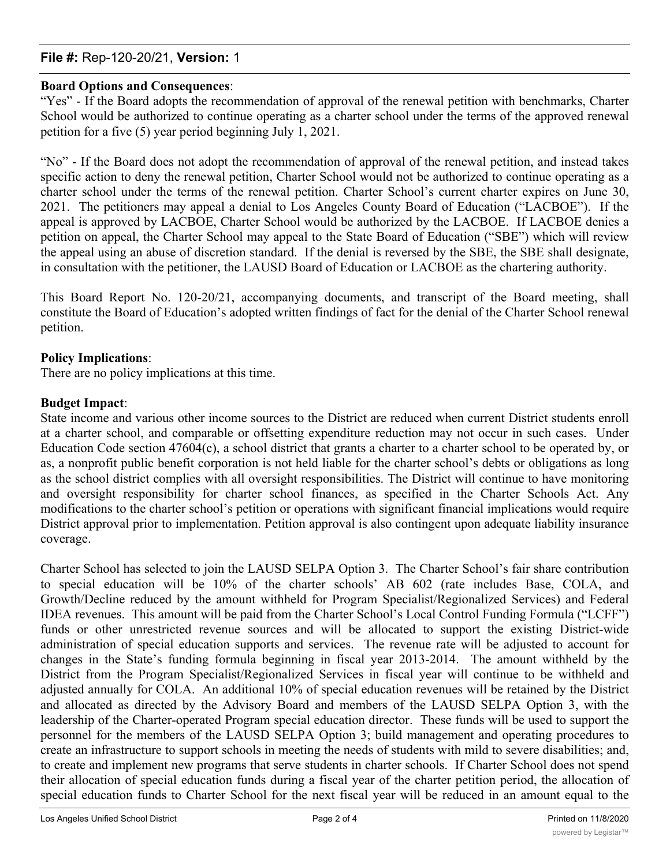# **File #:** Rep-120-20/21, **Version:** 1

# **Board Options and Consequences**:

"Yes" - If the Board adopts the recommendation of approval of the renewal petition with benchmarks, Charter School would be authorized to continue operating as a charter school under the terms of the approved renewal petition for a five (5) year period beginning July 1, 2021.

"No" - If the Board does not adopt the recommendation of approval of the renewal petition, and instead takes specific action to deny the renewal petition, Charter School would not be authorized to continue operating as a charter school under the terms of the renewal petition. Charter School's current charter expires on June 30, 2021. The petitioners may appeal a denial to Los Angeles County Board of Education ("LACBOE"). If the appeal is approved by LACBOE, Charter School would be authorized by the LACBOE. If LACBOE denies a petition on appeal, the Charter School may appeal to the State Board of Education ("SBE") which will review the appeal using an abuse of discretion standard. If the denial is reversed by the SBE, the SBE shall designate, in consultation with the petitioner, the LAUSD Board of Education or LACBOE as the chartering authority.

This Board Report No. 120-20/21, accompanying documents, and transcript of the Board meeting, shall constitute the Board of Education's adopted written findings of fact for the denial of the Charter School renewal petition.

# **Policy Implications**:

There are no policy implications at this time.

# **Budget Impact**:

State income and various other income sources to the District are reduced when current District students enroll at a charter school, and comparable or offsetting expenditure reduction may not occur in such cases. Under Education Code section 47604(c), a school district that grants a charter to a charter school to be operated by, or as, a nonprofit public benefit corporation is not held liable for the charter school's debts or obligations as long as the school district complies with all oversight responsibilities. The District will continue to have monitoring and oversight responsibility for charter school finances, as specified in the Charter Schools Act. Any modifications to the charter school's petition or operations with significant financial implications would require District approval prior to implementation. Petition approval is also contingent upon adequate liability insurance coverage.

Charter School has selected to join the LAUSD SELPA Option 3. The Charter School's fair share contribution to special education will be 10% of the charter schools' AB 602 (rate includes Base, COLA, and Growth/Decline reduced by the amount withheld for Program Specialist/Regionalized Services) and Federal IDEA revenues. This amount will be paid from the Charter School's Local Control Funding Formula ("LCFF") funds or other unrestricted revenue sources and will be allocated to support the existing District-wide administration of special education supports and services. The revenue rate will be adjusted to account for changes in the State's funding formula beginning in fiscal year 2013-2014. The amount withheld by the District from the Program Specialist/Regionalized Services in fiscal year will continue to be withheld and adjusted annually for COLA. An additional 10% of special education revenues will be retained by the District and allocated as directed by the Advisory Board and members of the LAUSD SELPA Option 3, with the leadership of the Charter-operated Program special education director. These funds will be used to support the personnel for the members of the LAUSD SELPA Option 3; build management and operating procedures to create an infrastructure to support schools in meeting the needs of students with mild to severe disabilities; and, to create and implement new programs that serve students in charter schools. If Charter School does not spend their allocation of special education funds during a fiscal year of the charter petition period, the allocation of special education funds to Charter School for the next fiscal year will be reduced in an amount equal to the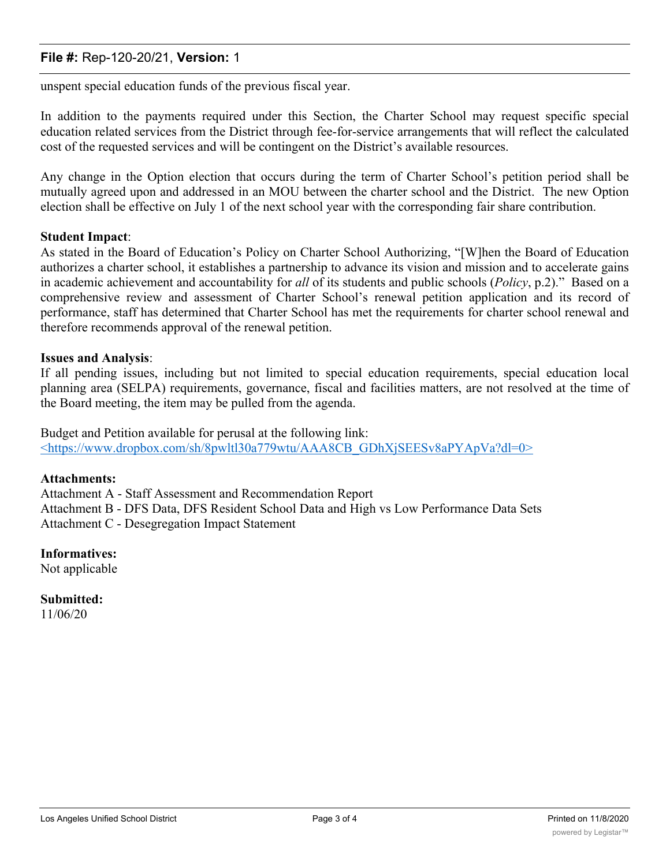# **File #:** Rep-120-20/21, **Version:** 1

unspent special education funds of the previous fiscal year.

In addition to the payments required under this Section, the Charter School may request specific special education related services from the District through fee-for-service arrangements that will reflect the calculated cost of the requested services and will be contingent on the District's available resources.

Any change in the Option election that occurs during the term of Charter School's petition period shall be mutually agreed upon and addressed in an MOU between the charter school and the District. The new Option election shall be effective on July 1 of the next school year with the corresponding fair share contribution.

## **Student Impact**:

As stated in the Board of Education's Policy on Charter School Authorizing, "[W]hen the Board of Education authorizes a charter school, it establishes a partnership to advance its vision and mission and to accelerate gains in academic achievement and accountability for *all* of its students and public schools (*Policy*, p.2)." Based on a comprehensive review and assessment of Charter School's renewal petition application and its record of performance, staff has determined that Charter School has met the requirements for charter school renewal and therefore recommends approval of the renewal petition.

## **Issues and Analysis**:

If all pending issues, including but not limited to special education requirements, special education local planning area (SELPA) requirements, governance, fiscal and facilities matters, are not resolved at the time of the Board meeting, the item may be pulled from the agenda.

Budget and Petition available for perusal at the following link: <https://www.dropbox.com/sh/8pwltl30a779wtu/AAA8CB\_GDhXjSEESv8aPYApVa?dl=0>

### **Attachments:**

Attachment A - Staff Assessment and Recommendation Report Attachment B - DFS Data, DFS Resident School Data and High vs Low Performance Data Sets Attachment C - Desegregation Impact Statement

**Informatives:**

Not applicable

**Submitted:** 11/06/20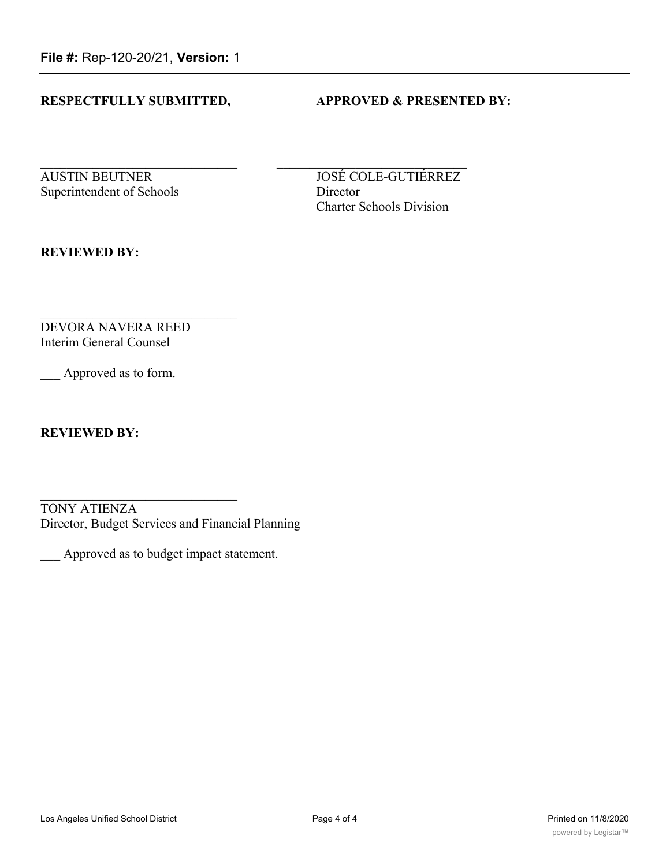**File #:** Rep-120-20/21, **Version:** 1

# **RESPECTFULLY SUBMITTED, APPROVED & PRESENTED BY:**

Superintendent of Schools Director

AUSTIN BEUTNER JOSÉ COLE-GUTIÉRREZ Charter Schools Division

**REVIEWED BY:**

DEVORA NAVERA REED Interim General Counsel

Approved as to form.

**REVIEWED BY:**

TONY ATIENZA Director, Budget Services and Financial Planning

\_\_\_ Approved as to budget impact statement.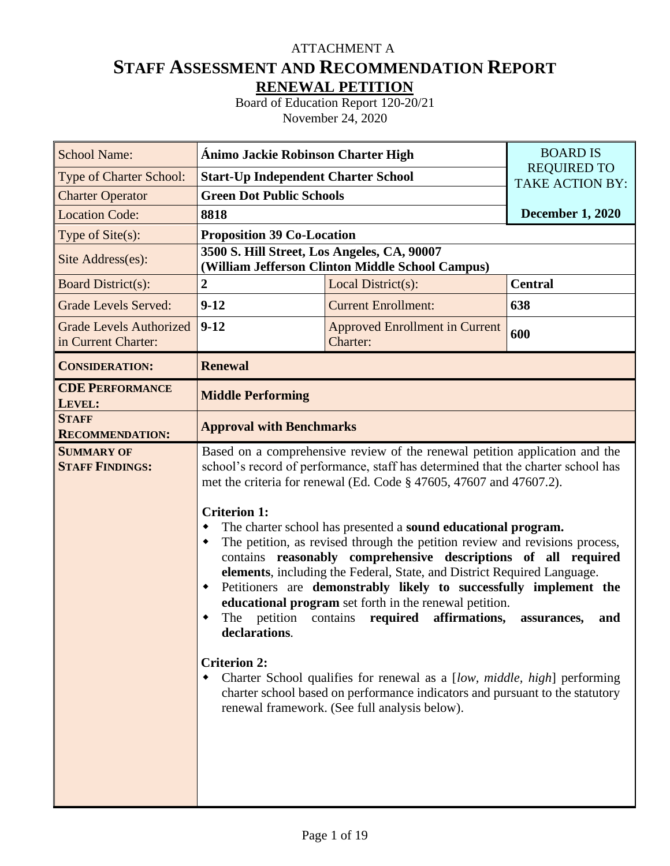# **STAFF ASSESSMENT AND RECOMMENDATION REPORT RENEWAL PETITION** ATTACHMENT A

Board of Education Report 120-20/21 November 24, 2020

| <b>School Name:</b>                                   | <b>Ánimo Jackie Robinson Charter High</b>                                       | <b>BOARD IS</b>                                                                                                                                                                                                                                                                                                                                                                                                                                                                                                                                                                                                                                                                                                                                                                                                                                                                                                                 |                                              |
|-------------------------------------------------------|---------------------------------------------------------------------------------|---------------------------------------------------------------------------------------------------------------------------------------------------------------------------------------------------------------------------------------------------------------------------------------------------------------------------------------------------------------------------------------------------------------------------------------------------------------------------------------------------------------------------------------------------------------------------------------------------------------------------------------------------------------------------------------------------------------------------------------------------------------------------------------------------------------------------------------------------------------------------------------------------------------------------------|----------------------------------------------|
| Type of Charter School:                               | <b>Start-Up Independent Charter School</b>                                      |                                                                                                                                                                                                                                                                                                                                                                                                                                                                                                                                                                                                                                                                                                                                                                                                                                                                                                                                 | <b>REQUIRED TO</b><br><b>TAKE ACTION BY:</b> |
| <b>Charter Operator</b>                               | <b>Green Dot Public Schools</b>                                                 |                                                                                                                                                                                                                                                                                                                                                                                                                                                                                                                                                                                                                                                                                                                                                                                                                                                                                                                                 |                                              |
| <b>Location Code:</b>                                 | 8818                                                                            | <b>December 1, 2020</b>                                                                                                                                                                                                                                                                                                                                                                                                                                                                                                                                                                                                                                                                                                                                                                                                                                                                                                         |                                              |
| Type of Site(s):                                      | <b>Proposition 39 Co-Location</b>                                               |                                                                                                                                                                                                                                                                                                                                                                                                                                                                                                                                                                                                                                                                                                                                                                                                                                                                                                                                 |                                              |
| Site Address(es):                                     | 3500 S. Hill Street, Los Angeles, CA, 90007                                     | (William Jefferson Clinton Middle School Campus)                                                                                                                                                                                                                                                                                                                                                                                                                                                                                                                                                                                                                                                                                                                                                                                                                                                                                |                                              |
| <b>Board District(s):</b>                             | $\boldsymbol{2}$                                                                | Local District(s):                                                                                                                                                                                                                                                                                                                                                                                                                                                                                                                                                                                                                                                                                                                                                                                                                                                                                                              | <b>Central</b>                               |
| <b>Grade Levels Served:</b>                           | $9-12$                                                                          | <b>Current Enrollment:</b>                                                                                                                                                                                                                                                                                                                                                                                                                                                                                                                                                                                                                                                                                                                                                                                                                                                                                                      | 638                                          |
| <b>Grade Levels Authorized</b><br>in Current Charter: | $9 - 12$                                                                        | <b>Approved Enrollment in Current</b><br>Charter:                                                                                                                                                                                                                                                                                                                                                                                                                                                                                                                                                                                                                                                                                                                                                                                                                                                                               | 600                                          |
| <b>CONSIDERATION:</b>                                 | <b>Renewal</b>                                                                  |                                                                                                                                                                                                                                                                                                                                                                                                                                                                                                                                                                                                                                                                                                                                                                                                                                                                                                                                 |                                              |
| <b>CDE PERFORMANCE</b><br>LEVEL:                      | <b>Middle Performing</b>                                                        |                                                                                                                                                                                                                                                                                                                                                                                                                                                                                                                                                                                                                                                                                                                                                                                                                                                                                                                                 |                                              |
| <b>STAFF</b><br><b>RECOMMENDATION:</b>                | <b>Approval with Benchmarks</b>                                                 |                                                                                                                                                                                                                                                                                                                                                                                                                                                                                                                                                                                                                                                                                                                                                                                                                                                                                                                                 |                                              |
| <b>SUMMARY OF</b><br><b>STAFF FINDINGS:</b>           | <b>Criterion 1:</b><br>٠<br>٠<br>٠<br>declarations.<br><b>Criterion 2:</b><br>٠ | Based on a comprehensive review of the renewal petition application and the<br>school's record of performance, staff has determined that the charter school has<br>met the criteria for renewal (Ed. Code § 47605, 47607 and 47607.2).<br>The charter school has presented a sound educational program.<br>The petition, as revised through the petition review and revisions process,<br>contains reasonably comprehensive descriptions of all required<br>elements, including the Federal, State, and District Required Language.<br>Petitioners are demonstrably likely to successfully implement the<br>educational program set forth in the renewal petition.<br>The petition contains required affirmations,<br>Charter School qualifies for renewal as a [low, middle, high] performing<br>charter school based on performance indicators and pursuant to the statutory<br>renewal framework. (See full analysis below). | and<br>assurances,                           |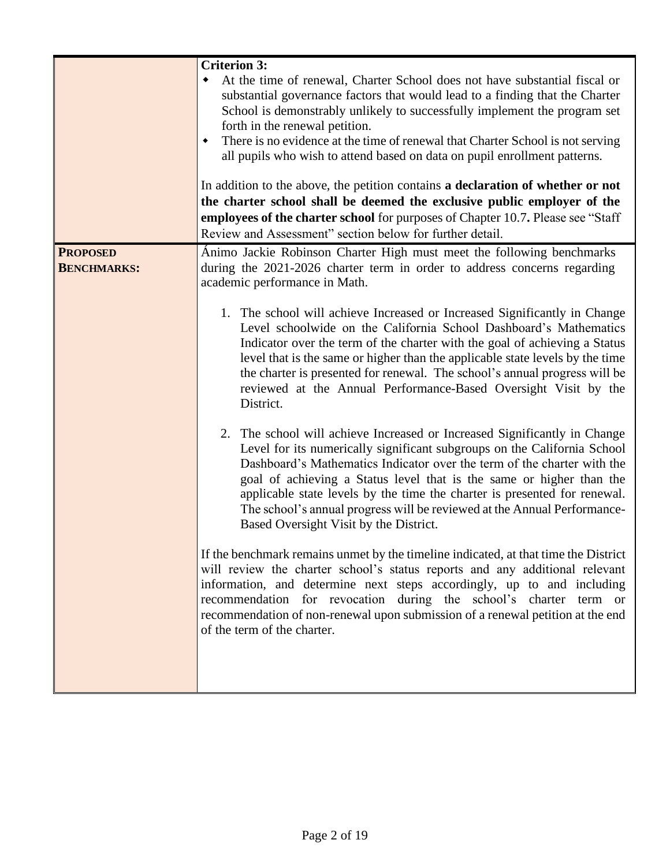|                                       | <b>Criterion 3:</b><br>At the time of renewal, Charter School does not have substantial fiscal or<br>substantial governance factors that would lead to a finding that the Charter<br>School is demonstrably unlikely to successfully implement the program set<br>forth in the renewal petition.<br>There is no evidence at the time of renewal that Charter School is not serving<br>٠<br>all pupils who wish to attend based on data on pupil enrollment patterns.<br>In addition to the above, the petition contains a declaration of whether or not<br>the charter school shall be deemed the exclusive public employer of the<br>employees of the charter school for purposes of Chapter 10.7. Please see "Staff"<br>Review and Assessment" section below for further detail.                                                                                                                                                                                                                                                                                                                                                                                                                                                                                                                                                                                                                                                                                                                                                                                                                                        |
|---------------------------------------|---------------------------------------------------------------------------------------------------------------------------------------------------------------------------------------------------------------------------------------------------------------------------------------------------------------------------------------------------------------------------------------------------------------------------------------------------------------------------------------------------------------------------------------------------------------------------------------------------------------------------------------------------------------------------------------------------------------------------------------------------------------------------------------------------------------------------------------------------------------------------------------------------------------------------------------------------------------------------------------------------------------------------------------------------------------------------------------------------------------------------------------------------------------------------------------------------------------------------------------------------------------------------------------------------------------------------------------------------------------------------------------------------------------------------------------------------------------------------------------------------------------------------------------------------------------------------------------------------------------------------|
| <b>PROPOSED</b><br><b>BENCHMARKS:</b> | Ánimo Jackie Robinson Charter High must meet the following benchmarks<br>during the 2021-2026 charter term in order to address concerns regarding<br>academic performance in Math.<br>1. The school will achieve Increased or Increased Significantly in Change<br>Level schoolwide on the California School Dashboard's Mathematics<br>Indicator over the term of the charter with the goal of achieving a Status<br>level that is the same or higher than the applicable state levels by the time<br>the charter is presented for renewal. The school's annual progress will be<br>reviewed at the Annual Performance-Based Oversight Visit by the<br>District.<br>2. The school will achieve Increased or Increased Significantly in Change<br>Level for its numerically significant subgroups on the California School<br>Dashboard's Mathematics Indicator over the term of the charter with the<br>goal of achieving a Status level that is the same or higher than the<br>applicable state levels by the time the charter is presented for renewal.<br>The school's annual progress will be reviewed at the Annual Performance-<br>Based Oversight Visit by the District.<br>If the benchmark remains unmet by the timeline indicated, at that time the District<br>will review the charter school's status reports and any additional relevant<br>information, and determine next steps accordingly, up to and including<br>recommendation for revocation during the school's charter<br>term or<br>recommendation of non-renewal upon submission of a renewal petition at the end<br>of the term of the charter. |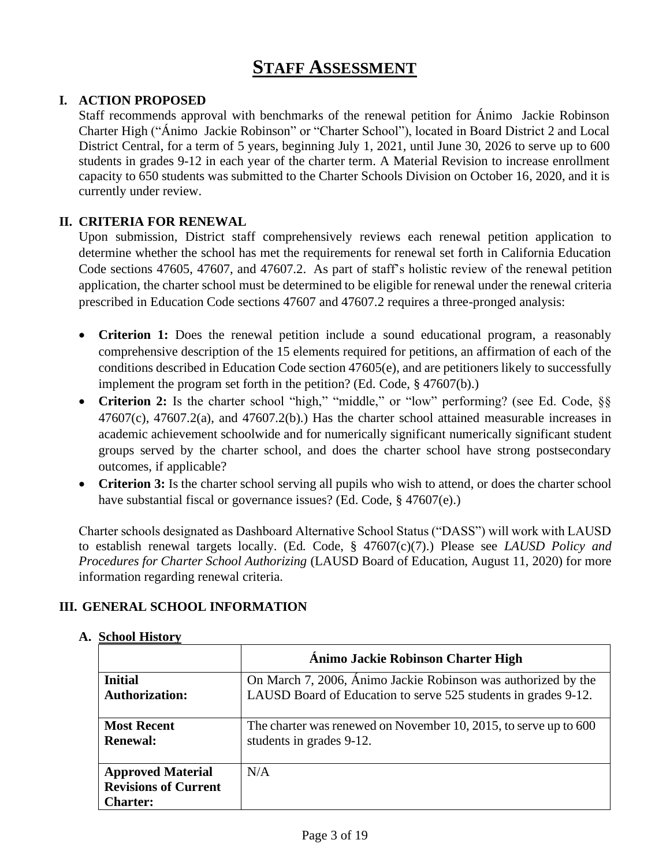# **STAFF ASSESSMENT**

# **I. ACTION PROPOSED**

Staff recommends approval with benchmarks of the renewal petition for Ánimo Jackie Robinson Charter High ("Ánimo Jackie Robinson" or "Charter School"), located in Board District 2 and Local District Central, for a term of 5 years, beginning July 1, 2021, until June 30, 2026 to serve up to 600 students in grades 9-12 in each year of the charter term. A Material Revision to increase enrollment capacity to 650 students was submitted to the Charter Schools Division on October 16, 2020, and it is currently under review.

# **II. CRITERIA FOR RENEWAL**

Upon submission, District staff comprehensively reviews each renewal petition application to determine whether the school has met the requirements for renewal set forth in California Education Code sections 47605, 47607, and 47607.2. As part of staff's holistic review of the renewal petition application, the charter school must be determined to be eligible for renewal under the renewal criteria prescribed in Education Code sections 47607 and 47607.2 requires a three-pronged analysis:

- **Criterion 1:** Does the renewal petition include a sound educational program, a reasonably comprehensive description of the 15 elements required for petitions, an affirmation of each of the conditions described in Education Code section 47605(e), and are petitioners likely to successfully implement the program set forth in the petition? (Ed. Code, § 47607(b).)
- Criterion 2: Is the charter school "high," "middle," or "low" performing? (see Ed. Code, §§  $47607(c)$ ,  $47607.2(a)$ , and  $47607.2(b)$ . Has the charter school attained measurable increases in academic achievement schoolwide and for numerically significant numerically significant student groups served by the charter school, and does the charter school have strong postsecondary outcomes, if applicable?
- **Criterion 3:** Is the charter school serving all pupils who wish to attend, or does the charter school have substantial fiscal or governance issues? (Ed. Code, § 47607(e).)

Charter schools designated as Dashboard Alternative School Status ("DASS") will work with LAUSD to establish renewal targets locally. (Ed. Code, § 47607(c)(7).) Please see *LAUSD Policy and Procedures for Charter School Authorizing* (LAUSD Board of Education, August 11, 2020) for more information regarding renewal criteria.

# **III. GENERAL SCHOOL INFORMATION**

|                                         | Ánimo Jackie Robinson Charter High                                                                                              |
|-----------------------------------------|---------------------------------------------------------------------------------------------------------------------------------|
| <b>Initial</b><br><b>Authorization:</b> | On March 7, 2006, Ánimo Jackie Robinson was authorized by the<br>LAUSD Board of Education to serve 525 students in grades 9-12. |
|                                         |                                                                                                                                 |
| <b>Most Recent</b>                      | The charter was renewed on November 10, 2015, to serve up to 600                                                                |
| <b>Renewal:</b>                         | students in grades 9-12.                                                                                                        |
| <b>Approved Material</b>                | N/A                                                                                                                             |
| <b>Revisions of Current</b>             |                                                                                                                                 |
| <b>Charter:</b>                         |                                                                                                                                 |

# **A. School History**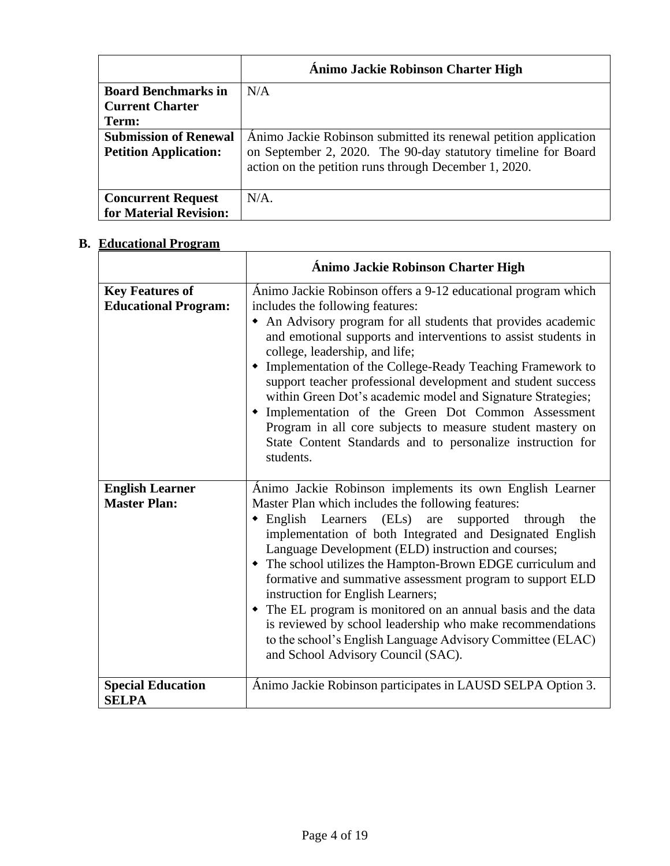|                              | Ánimo Jackie Robinson Charter High                                                                                     |
|------------------------------|------------------------------------------------------------------------------------------------------------------------|
| <b>Board Benchmarks in</b>   | N/A                                                                                                                    |
| <b>Current Charter</b>       |                                                                                                                        |
| Term:                        |                                                                                                                        |
| <b>Submission of Renewal</b> | Animo Jackie Robinson submitted its renewal petition application                                                       |
| <b>Petition Application:</b> | on September 2, 2020. The 90-day statutory timeline for Board<br>action on the petition runs through December 1, 2020. |
| <b>Concurrent Request</b>    | $N/A$ .                                                                                                                |
| for Material Revision:       |                                                                                                                        |

# **B. Educational Program**

|                                                       | <b>Ánimo Jackie Robinson Charter High</b>                                                                                                                                                                                                                                                                                                                                                                                                                                                                                                                                                                                                                                                                |
|-------------------------------------------------------|----------------------------------------------------------------------------------------------------------------------------------------------------------------------------------------------------------------------------------------------------------------------------------------------------------------------------------------------------------------------------------------------------------------------------------------------------------------------------------------------------------------------------------------------------------------------------------------------------------------------------------------------------------------------------------------------------------|
| <b>Key Features of</b><br><b>Educational Program:</b> | Ánimo Jackie Robinson offers a 9-12 educational program which<br>includes the following features:<br>• An Advisory program for all students that provides academic<br>and emotional supports and interventions to assist students in<br>college, leadership, and life;<br>• Implementation of the College-Ready Teaching Framework to<br>support teacher professional development and student success<br>within Green Dot's academic model and Signature Strategies;<br>• Implementation of the Green Dot Common Assessment<br>Program in all core subjects to measure student mastery on<br>State Content Standards and to personalize instruction for<br>students.                                     |
| <b>English Learner</b><br><b>Master Plan:</b>         | Ánimo Jackie Robinson implements its own English Learner<br>Master Plan which includes the following features:<br>$\bullet$ English Learners (ELs) are<br>supported through<br>the<br>implementation of both Integrated and Designated English<br>Language Development (ELD) instruction and courses;<br>• The school utilizes the Hampton-Brown EDGE curriculum and<br>formative and summative assessment program to support ELD<br>instruction for English Learners;<br>• The EL program is monitored on an annual basis and the data<br>is reviewed by school leadership who make recommendations<br>to the school's English Language Advisory Committee (ELAC)<br>and School Advisory Council (SAC). |
| <b>Special Education</b><br><b>SELPA</b>              | Ánimo Jackie Robinson participates in LAUSD SELPA Option 3.                                                                                                                                                                                                                                                                                                                                                                                                                                                                                                                                                                                                                                              |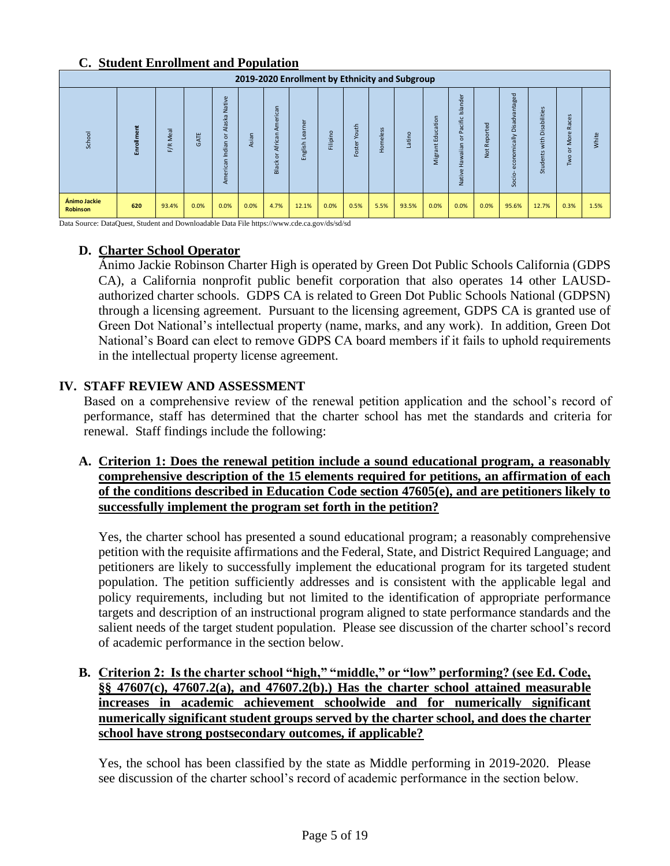# **C. Student Enrollment and Population**

|                                 | 2019-2020 Enrollment by Ethnicity and Subgroup |             |             |                                               |       |                                              |                                   |                    |                     |                                     |                 |                                                                |                                                          |                        |                                                                     |                                      |                                                                                         |       |
|---------------------------------|------------------------------------------------|-------------|-------------|-----------------------------------------------|-------|----------------------------------------------|-----------------------------------|--------------------|---------------------|-------------------------------------|-----------------|----------------------------------------------------------------|----------------------------------------------------------|------------------------|---------------------------------------------------------------------|--------------------------------------|-----------------------------------------------------------------------------------------|-------|
| School                          | Enrollment                                     | Meal<br>F/R | <b>GATE</b> | Native<br>Alaska I<br>ŏ<br>Indian<br>American | Asian | American<br>등<br>Afric;<br>ŏ<br><b>Black</b> | $\omega$<br>농<br>m<br>nglish<br>両 | $\circ$<br>Filipin | outh<br>≻<br>Foster | $\mathbf{v}$<br>ü<br><b>Homeles</b> | $\circ$<br>atin | tion<br>$\overline{a}$<br>ö<br>훔<br>ш<br>Ë<br>$\sigma$<br>Migr | Islander<br>acific<br>غ<br>$\circ$<br>Hawaiian<br>Native | ਠ<br>ē<br>Repor<br>Not | ntaged<br>Disadvar<br>mically<br>g<br>g<br>$\overline{a}$<br>Socio- | abilities<br>Dis<br>with<br>Students | $\mathbf{u}$<br>ധ<br>ō<br>$\overline{\sigma}$<br>œ<br>உ<br>g<br>$\circ$<br>$\circ$<br>≧ | White |
| Ánimo Jackie<br><b>Robinson</b> | 620                                            | 93.4%       | 0.0%        | 0.0%                                          | 0.0%  | 4.7%                                         | 12.1%                             | 0.0%               | 0.5%                | 5.5%                                | 93.5%           | 0.0%                                                           | 0.0%                                                     | 0.0%                   | 95.6%                                                               | 12.7%                                | 0.3%                                                                                    | 1.5%  |

Data Source: DataQuest, Student and Downloadable Data File https://www.cde.ca.gov/ds/sd/sd

# **D. Charter School Operator**

Ánimo Jackie Robinson Charter High is operated by Green Dot Public Schools California (GDPS CA), a California nonprofit public benefit corporation that also operates 14 other LAUSDauthorized charter schools. GDPS CA is related to Green Dot Public Schools National (GDPSN) through a licensing agreement. Pursuant to the licensing agreement, GDPS CA is granted use of Green Dot National's intellectual property (name, marks, and any work). In addition, Green Dot National's Board can elect to remove GDPS CA board members if it fails to uphold requirements in the intellectual property license agreement.

# **IV. STAFF REVIEW AND ASSESSMENT**

Based on a comprehensive review of the renewal petition application and the school's record of performance, staff has determined that the charter school has met the standards and criteria for renewal. Staff findings include the following:

**A. Criterion 1: Does the renewal petition include a sound educational program, a reasonably comprehensive description of the 15 elements required for petitions, an affirmation of each of the conditions described in Education Code section 47605(e), and are petitioners likely to successfully implement the program set forth in the petition?**

Yes, the charter school has presented a sound educational program; a reasonably comprehensive petition with the requisite affirmations and the Federal, State, and District Required Language; and petitioners are likely to successfully implement the educational program for its targeted student population. The petition sufficiently addresses and is consistent with the applicable legal and policy requirements, including but not limited to the identification of appropriate performance targets and description of an instructional program aligned to state performance standards and the salient needs of the target student population. Please see discussion of the charter school's record of academic performance in the section below.

**B. Criterion 2: Is the charter school "high," "middle," or "low" performing? (see Ed. Code, §§ 47607(c), 47607.2(a), and 47607.2(b).) Has the charter school attained measurable increases in academic achievement schoolwide and for numerically significant numerically significant student groups served by the charter school, and does the charter school have strong postsecondary outcomes, if applicable?**

Yes, the school has been classified by the state as Middle performing in 2019-2020. Please see discussion of the charter school's record of academic performance in the section below.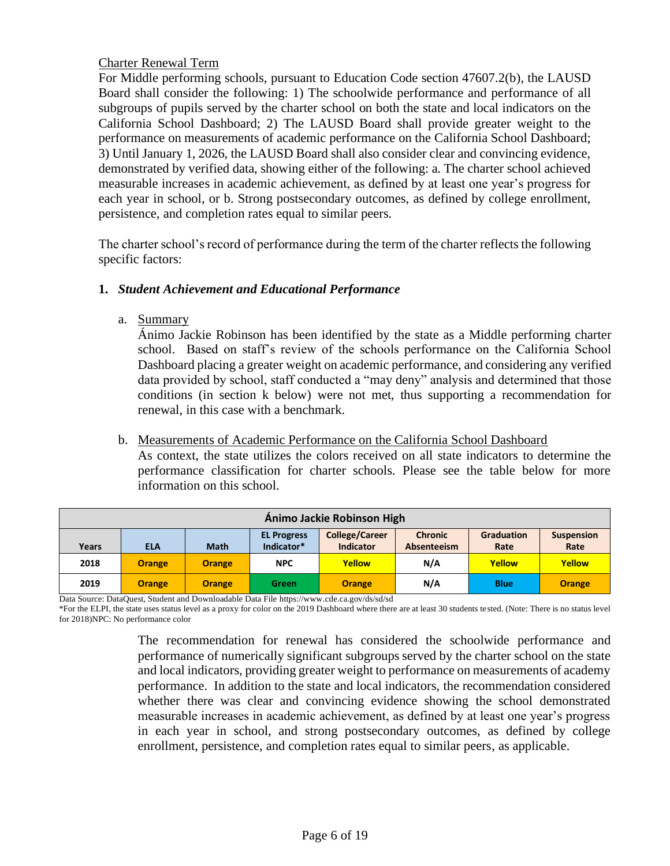# Charter Renewal Term

For Middle performing schools, pursuant to Education Code section 47607.2(b), the LAUSD Board shall consider the following: 1) The schoolwide performance and performance of all subgroups of pupils served by the charter school on both the state and local indicators on the California School Dashboard; 2) The LAUSD Board shall provide greater weight to the performance on measurements of academic performance on the California School Dashboard; 3) Until January 1, 2026, the LAUSD Board shall also consider clear and convincing evidence, demonstrated by verified data, showing either of the following: a. The charter school achieved measurable increases in academic achievement, as defined by at least one year's progress for each year in school, or b. Strong postsecondary outcomes, as defined by college enrollment, persistence, and completion rates equal to similar peers.

The charter school's record of performance during the term of the charter reflects the following specific factors:

# **1.** *Student Achievement and Educational Performance*

a. Summary

Ánimo Jackie Robinson has been identified by the state as a Middle performing charter school. Based on staff's review of the schools performance on the California School Dashboard placing a greater weight on academic performance, and considering any verified data provided by school, staff conducted a "may deny" analysis and determined that those conditions (in section k below) were not met, thus supporting a recommendation for renewal, in this case with a benchmark.

# b. Measurements of Academic Performance on the California School Dashboard

As context, the state utilizes the colors received on all state indicators to determine the performance classification for charter schools. Please see the table below for more information on this school.

|                                                                                                         | Ánimo Jackie Robinson High |               |            |                  |             |             |               |  |  |  |  |  |  |
|---------------------------------------------------------------------------------------------------------|----------------------------|---------------|------------|------------------|-------------|-------------|---------------|--|--|--|--|--|--|
| <b>College/Career</b><br><b>Chronic</b><br><b>Graduation</b><br><b>EL Progress</b><br><b>Suspension</b> |                            |               |            |                  |             |             |               |  |  |  |  |  |  |
| Years                                                                                                   | <b>ELA</b>                 | <b>Math</b>   | Indicator* | <b>Indicator</b> | Absenteeism | Rate        | Rate          |  |  |  |  |  |  |
| 2018                                                                                                    | <b>Orange</b>              | <b>Orange</b> | <b>NPC</b> | Yellow           | N/A         | Yellow      | Yellow        |  |  |  |  |  |  |
| 2019                                                                                                    | <b>Orange</b>              | <b>Orange</b> | Green      | <b>Orange</b>    | N/A         | <b>Blue</b> | <b>Orange</b> |  |  |  |  |  |  |

Data Source: DataQuest, Student and Downloadable Data File https://www.cde.ca.gov/ds/sd/sd

\*For the ELPI, the state uses status level as a proxy for color on the 2019 Dashboard where there are at least 30 students tested. (Note: There is no status level for 2018)NPC: No performance color

> The recommendation for renewal has considered the schoolwide performance and performance of numerically significant subgroups served by the charter school on the state and local indicators, providing greater weight to performance on measurements of academy performance. In addition to the state and local indicators, the recommendation considered whether there was clear and convincing evidence showing the school demonstrated measurable increases in academic achievement, as defined by at least one year's progress in each year in school, and strong postsecondary outcomes, as defined by college enrollment, persistence, and completion rates equal to similar peers, as applicable.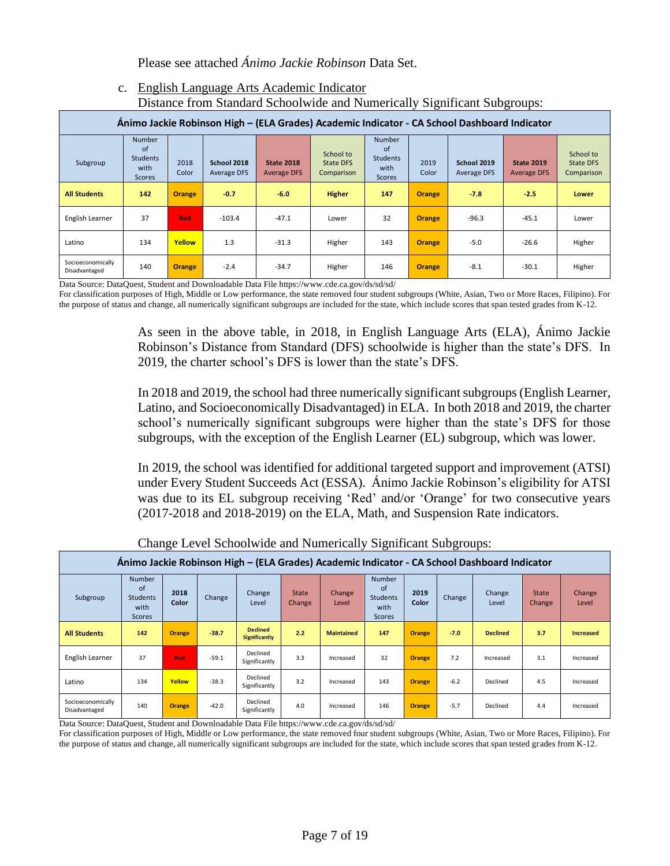Please see attached *Ánimo Jackie Robinson* Data Set.

## c. English Language Arts Academic Indicator Distance from Standard Schoolwide and Numerically Significant Subgroups:

| $\sim$ - $\sim$ $\sim$                                                                       |                                                          |               |                            |                                         |                                      |                                                                            |               |                            |                                         |                                             |  |  |  |
|----------------------------------------------------------------------------------------------|----------------------------------------------------------|---------------|----------------------------|-----------------------------------------|--------------------------------------|----------------------------------------------------------------------------|---------------|----------------------------|-----------------------------------------|---------------------------------------------|--|--|--|
| Ánimo Jackie Robinson High - (ELA Grades) Academic Indicator - CA School Dashboard Indicator |                                                          |               |                            |                                         |                                      |                                                                            |               |                            |                                         |                                             |  |  |  |
| Subgroup                                                                                     | <b>Number</b><br>of<br><b>Students</b><br>with<br>Scores | 2018<br>Color | School 2018<br>Average DFS | <b>State 2018</b><br><b>Average DFS</b> | School to<br>State DFS<br>Comparison | <b>Number</b><br><sub>of</sub><br><b>Students</b><br>with<br><b>Scores</b> | 2019<br>Color | School 2019<br>Average DFS | <b>State 2019</b><br><b>Average DFS</b> | School to<br><b>State DFS</b><br>Comparison |  |  |  |
| <b>All Students</b>                                                                          | 142                                                      | <b>Orange</b> | $-0.7$                     | $-6.0$                                  | <b>Higher</b>                        | 147                                                                        | <b>Orange</b> | $-7.8$                     | $-2.5$                                  | <b>Lower</b>                                |  |  |  |
| English Learner                                                                              | 37                                                       | <b>Red</b>    | $-103.4$                   | $-47.1$                                 | Lower                                | 32                                                                         | <b>Orange</b> | $-96.3$                    | $-45.1$                                 | Lower                                       |  |  |  |
| Latino                                                                                       | 134                                                      | <b>Yellow</b> | 1.3                        | $-31.3$                                 | Higher                               | 143                                                                        | <b>Orange</b> | $-5.0$                     | $-26.6$                                 | Higher                                      |  |  |  |
| Socioeconomically<br>Disadvantaged                                                           | 140                                                      | <b>Orange</b> | $-2.4$                     | $-34.7$                                 | Higher                               | 146                                                                        | <b>Orange</b> | $-8.1$                     | $-30.1$                                 | Higher                                      |  |  |  |

Data Source: DataQuest, Student and Downloadable Data File https://www.cde.ca.gov/ds/sd/sd/

For classification purposes of High, Middle or Low performance, the state removed four student subgroups (White, Asian, Two or More Races, Filipino). For the purpose of status and change, all numerically significant subgroups are included for the state, which include scores that span tested grades from K-12.

> As seen in the above table, in 2018, in English Language Arts (ELA), Ánimo Jackie Robinson's Distance from Standard (DFS) schoolwide is higher than the state's DFS. In 2019, the charter school's DFS is lower than the state's DFS.

> In 2018 and 2019, the school had three numerically significant subgroups (English Learner, Latino, and Socioeconomically Disadvantaged) in ELA. In both 2018 and 2019, the charter school's numerically significant subgroups were higher than the state's DFS for those subgroups, with the exception of the English Learner (EL) subgroup, which was lower.

> In 2019, the school was identified for additional targeted support and improvement (ATSI) under Every Student Succeeds Act (ESSA). Ánimo Jackie Robinson's eligibility for ATSI was due to its EL subgroup receiving 'Red' and/or 'Orange' for two consecutive years (2017-2018 and 2018-2019) on the ELA, Math, and Suspension Rate indicators.

|                                    | Animo Jackie Robinson High – (ELA Grades) Academic Indicator - CA School Dashboard Indicator |               |         |                                         |                 |                   |                                                                         |               |        |                 |                        |                  |  |  |
|------------------------------------|----------------------------------------------------------------------------------------------|---------------|---------|-----------------------------------------|-----------------|-------------------|-------------------------------------------------------------------------|---------------|--------|-----------------|------------------------|------------------|--|--|
| Subgroup                           | <b>Number</b><br>of<br>Students<br>with<br>Scores                                            | 2018<br>Color | Change  | Change<br>Level                         | State<br>Change | Change<br>Level   | <b>Number</b><br>$\alpha$ f<br><b>Students</b><br>with<br><b>Scores</b> | 2019<br>Color | Change | Change<br>Level | <b>State</b><br>Change | Change<br>Level  |  |  |
| <b>All Students</b>                | 142                                                                                          | <b>Orange</b> | $-38.7$ | <b>Declined</b><br><b>Significantly</b> | 2.2             | <b>Maintained</b> | 147                                                                     | <b>Orange</b> | $-7.0$ | <b>Declined</b> | 3.7                    | <b>Increased</b> |  |  |
| English Learner                    | 37                                                                                           | <b>Red</b>    | $-59.1$ | Declined<br>Significantly               | 3.3             | Increased         | 32                                                                      | <b>Orange</b> | 7.2    | Increased       | 3.1                    | Increased        |  |  |
| Latino                             | 134                                                                                          | Yellow        | $-38.3$ | Declined<br>Significantly               | 3.2             | Increased         | 143                                                                     | <b>Orange</b> | $-6.2$ | Declined        | 4.5                    | Increased        |  |  |
| Socioeconomically<br>Disadvantaged | 140                                                                                          | <b>Orange</b> | $-42.0$ | Declined<br>Significantly               | 4.0             | Increased         | 146                                                                     | <b>Orange</b> | $-5.7$ | Declined        | 4.4                    | Increased        |  |  |

Change Level Schoolwide and Numerically Significant Subgroups:

Data Source: DataQuest, Student and Downloadable Data File https://www.cde.ca.gov/ds/sd/sd/

For classification purposes of High, Middle or Low performance, the state removed four student subgroups (White, Asian, Two or More Races, Filipino). For the purpose of status and change, all numerically significant subgroups are included for the state, which include scores that span tested grades from K-12.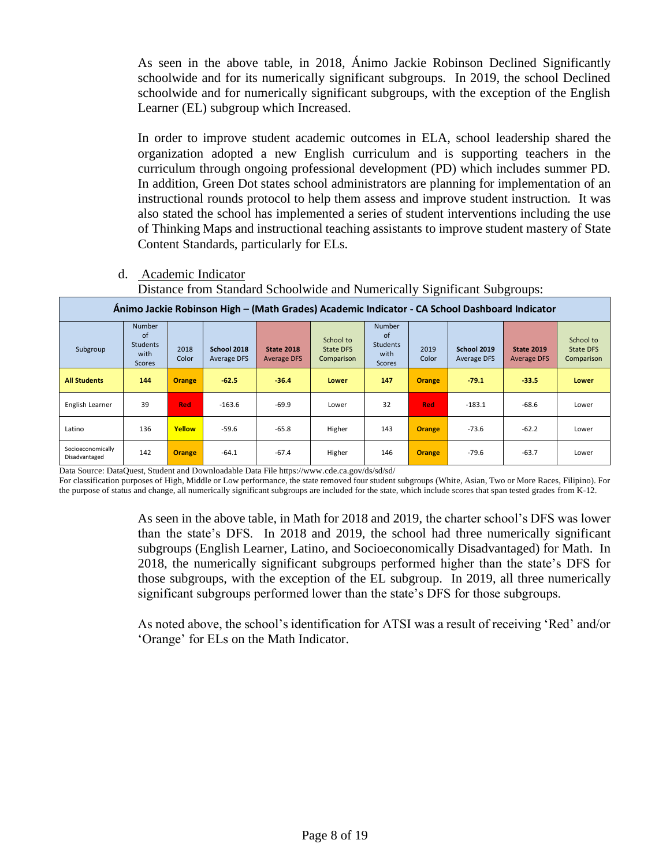As seen in the above table, in 2018, Ánimo Jackie Robinson Declined Significantly schoolwide and for its numerically significant subgroups. In 2019, the school Declined schoolwide and for numerically significant subgroups, with the exception of the English Learner (EL) subgroup which Increased.

In order to improve student academic outcomes in ELA, school leadership shared the organization adopted a new English curriculum and is supporting teachers in the curriculum through ongoing professional development (PD) which includes summer PD. In addition, Green Dot states school administrators are planning for implementation of an instructional rounds protocol to help them assess and improve student instruction. It was also stated the school has implemented a series of student interventions including the use of Thinking Maps and instructional teaching assistants to improve student mastery of State Content Standards, particularly for ELs.

- d. Academic Indicator
	- Distance from Standard Schoolwide and Numerically Significant Subgroups:

|                                    | Animo Jackie Robinson High – (Math Grades) Academic Indicator - CA School Dashboard Indicator |               |                            |                                         |                                             |                                                                 |               |                            |                                         |                                             |  |  |  |  |
|------------------------------------|-----------------------------------------------------------------------------------------------|---------------|----------------------------|-----------------------------------------|---------------------------------------------|-----------------------------------------------------------------|---------------|----------------------------|-----------------------------------------|---------------------------------------------|--|--|--|--|
| Subgroup                           | <b>Number</b><br>of<br><b>Students</b><br>with<br><b>Scores</b>                               | 2018<br>Color | School 2018<br>Average DFS | <b>State 2018</b><br><b>Average DFS</b> | School to<br><b>State DFS</b><br>Comparison | <b>Number</b><br>of<br><b>Students</b><br>with<br><b>Scores</b> | 2019<br>Color | School 2019<br>Average DFS | <b>State 2019</b><br><b>Average DFS</b> | School to<br><b>State DFS</b><br>Comparison |  |  |  |  |
| <b>All Students</b>                | 144                                                                                           | <b>Orange</b> | $-62.5$                    | $-36.4$                                 | <b>Lower</b>                                | 147                                                             | <b>Orange</b> | $-79.1$                    | $-33.5$                                 | <b>Lower</b>                                |  |  |  |  |
| English Learner                    | 39                                                                                            | <b>Red</b>    | $-163.6$                   | $-69.9$                                 | Lower                                       | 32                                                              | Red           | $-183.1$                   | $-68.6$                                 | Lower                                       |  |  |  |  |
| Latino                             | 136                                                                                           | Yellow        | $-59.6$                    | $-65.8$                                 | Higher                                      | 143                                                             | <b>Orange</b> | $-73.6$                    | $-62.2$                                 | Lower                                       |  |  |  |  |
| Socioeconomically<br>Disadvantaged | 142                                                                                           | <b>Orange</b> | $-64.1$                    | $-67.4$                                 | Higher                                      | 146                                                             | <b>Orange</b> | $-79.6$                    | $-63.7$                                 | Lower                                       |  |  |  |  |

Data Source: DataQuest, Student and Downloadable Data File https://www.cde.ca.gov/ds/sd/sd/

For classification purposes of High, Middle or Low performance, the state removed four student subgroups (White, Asian, Two or More Races, Filipino). For the purpose of status and change, all numerically significant subgroups are included for the state, which include scores that span tested grades from K-12.

> As seen in the above table, in Math for 2018 and 2019, the charter school's DFS was lower than the state's DFS. In 2018 and 2019, the school had three numerically significant subgroups (English Learner, Latino, and Socioeconomically Disadvantaged) for Math. In 2018, the numerically significant subgroups performed higher than the state's DFS for those subgroups, with the exception of the EL subgroup. In 2019, all three numerically significant subgroups performed lower than the state's DFS for those subgroups.

> As noted above, the school's identification for ATSI was a result of receiving 'Red' and/or 'Orange' for ELs on the Math Indicator.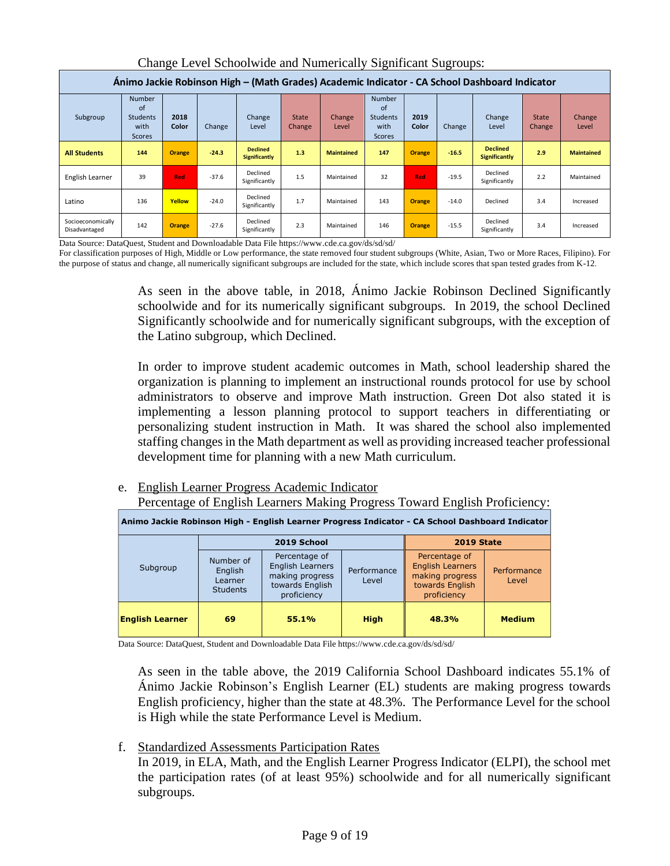| Animo Jackie Robinson High – (Math Grades) Academic Indicator - CA School Dashboard Indicator |                                                          |               |         |                                         |                               |                        |                                                                 |               |         |                                  |                               |                   |  |
|-----------------------------------------------------------------------------------------------|----------------------------------------------------------|---------------|---------|-----------------------------------------|-------------------------------|------------------------|-----------------------------------------------------------------|---------------|---------|----------------------------------|-------------------------------|-------------------|--|
| Subgroup                                                                                      | <b>Number</b><br>of<br>Students<br>with<br><b>Scores</b> | 2018<br>Color | Change  | Change<br>Level                         | <b>State</b><br><b>Change</b> | <b>Change</b><br>Level | <b>Number</b><br>of<br><b>Students</b><br>with<br><b>Scores</b> | 2019<br>Color | Change  | Change<br>Level                  | <b>State</b><br><b>Change</b> | Change<br>Level   |  |
| <b>All Students</b>                                                                           | 144                                                      | <b>Orange</b> | $-24.3$ | <b>Declined</b><br><b>Significantly</b> | 1.3                           | <b>Maintained</b>      | 147                                                             | <b>Orange</b> | $-16.5$ | <b>Declined</b><br>Significantly | 2.9                           | <b>Maintained</b> |  |
| English Learner                                                                               | 39                                                       | Red           | $-37.6$ | Declined<br>Significantly               | 1.5                           | Maintained             | 32                                                              | Red           | $-19.5$ | Declined<br>Significantly        | 2.2                           | Maintained        |  |
| Latino                                                                                        | 136                                                      | Yellow        | $-24.0$ | Declined<br>Significantly               | 1.7                           | Maintained             | 143                                                             | Orange        | $-14.0$ | Declined                         | 3.4                           | Increased         |  |
| Socioeconomically<br>Disadvantaged                                                            | 142                                                      | <b>Orange</b> | $-27.6$ | Declined<br>Significantly               | 2.3                           | Maintained             | 146                                                             | <b>Orange</b> | $-15.5$ | Declined<br>Significantly        | 3.4                           | Increased         |  |

Change Level Schoolwide and Numerically Significant Sugroups:

Data Source: DataQuest, Student and Downloadable Data File https://www.cde.ca.gov/ds/sd/sd/

For classification purposes of High, Middle or Low performance, the state removed four student subgroups (White, Asian, Two or More Races, Filipino). For the purpose of status and change, all numerically significant subgroups are included for the state, which include scores that span tested grades from K-12.

> As seen in the above table, in 2018, Ánimo Jackie Robinson Declined Significantly schoolwide and for its numerically significant subgroups. In 2019, the school Declined Significantly schoolwide and for numerically significant subgroups, with the exception of the Latino subgroup, which Declined.

> In order to improve student academic outcomes in Math, school leadership shared the organization is planning to implement an instructional rounds protocol for use by school administrators to observe and improve Math instruction. Green Dot also stated it is implementing a lesson planning protocol to support teachers in differentiating or personalizing student instruction in Math. It was shared the school also implemented staffing changes in the Math department as well as providing increased teacher professional development time for planning with a new Math curriculum.

# e. English Learner Progress Academic Indicator

Percentage of English Learners Making Progress Toward English Proficiency:

| Animo Jackie Robinson High - English Learner Progress Indicator - CA School Dashboard Indicator |                                                    |                                                                                               |                      |                                                                                               |                      |  |  |  |  |  |  |  |  |
|-------------------------------------------------------------------------------------------------|----------------------------------------------------|-----------------------------------------------------------------------------------------------|----------------------|-----------------------------------------------------------------------------------------------|----------------------|--|--|--|--|--|--|--|--|
|                                                                                                 |                                                    | 2019 School                                                                                   |                      | <b>2019 State</b>                                                                             |                      |  |  |  |  |  |  |  |  |
| Subgroup                                                                                        | Number of<br>English<br>Learner<br><b>Students</b> | Percentage of<br><b>English Learners</b><br>making progress<br>towards English<br>proficiency | Performance<br>Level | Percentage of<br><b>English Learners</b><br>making progress<br>towards English<br>proficiency | Performance<br>Level |  |  |  |  |  |  |  |  |
| <b>English Learner</b>                                                                          | 69                                                 | 55.1%                                                                                         | <b>High</b>          | 48.3%                                                                                         | <b>Medium</b>        |  |  |  |  |  |  |  |  |

Data Source: DataQuest, Student and Downloadable Data File https://www.cde.ca.gov/ds/sd/sd/

As seen in the table above, the 2019 California School Dashboard indicates 55.1% of Ánimo Jackie Robinson's English Learner (EL) students are making progress towards English proficiency, higher than the state at 48.3%. The Performance Level for the school is High while the state Performance Level is Medium.

# f. Standardized Assessments Participation Rates

In 2019, in ELA, Math, and the English Learner Progress Indicator (ELPI), the school met the participation rates (of at least 95%) schoolwide and for all numerically significant subgroups.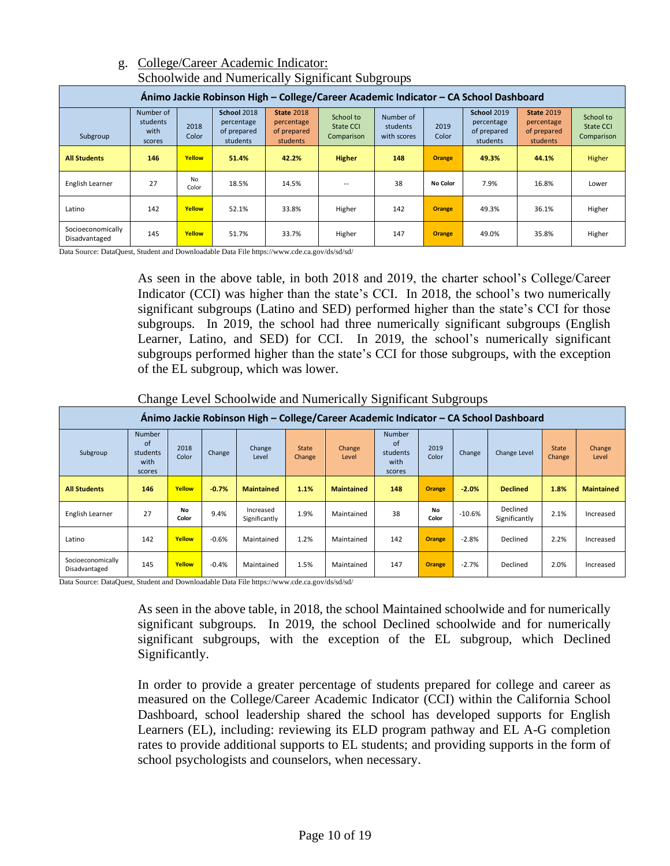|                                                                                      |                                         |               |                                                      | ັ                                                          |                                      | ັ                                    |                 |                                                             |                                                            |                                      |  |  |  |
|--------------------------------------------------------------------------------------|-----------------------------------------|---------------|------------------------------------------------------|------------------------------------------------------------|--------------------------------------|--------------------------------------|-----------------|-------------------------------------------------------------|------------------------------------------------------------|--------------------------------------|--|--|--|
| Ánimo Jackie Robinson High – College/Career Academic Indicator – CA School Dashboard |                                         |               |                                                      |                                                            |                                      |                                      |                 |                                                             |                                                            |                                      |  |  |  |
| Subgroup                                                                             | Number of<br>students<br>with<br>scores | 2018<br>Color | School 2018<br>percentage<br>of prepared<br>students | <b>State 2018</b><br>percentage<br>of prepared<br>students | School to<br>State CCI<br>Comparison | Number of<br>students<br>with scores | 2019<br>Color   | <b>School 2019</b><br>percentage<br>of prepared<br>students | <b>State 2019</b><br>percentage<br>of prepared<br>students | School to<br>State CCI<br>Comparison |  |  |  |
| <b>All Students</b>                                                                  | 146                                     | Yellow        | 51.4%                                                | 42.2%                                                      | <b>Higher</b>                        | 148                                  | <b>Orange</b>   | 49.3%                                                       | 44.1%                                                      | Higher                               |  |  |  |
| English Learner                                                                      | 27                                      | No<br>Color   | 18.5%                                                | 14.5%                                                      |                                      | 38                                   | <b>No Color</b> | 7.9%                                                        | 16.8%                                                      | Lower                                |  |  |  |
| Latino                                                                               | 142                                     | Yellow        | 52.1%                                                | 33.8%                                                      | Higher                               | 142                                  | <b>Orange</b>   | 49.3%                                                       | 36.1%                                                      | Higher                               |  |  |  |
| Socioeconomically<br>Disadvantaged                                                   | 145                                     | Yellow        | 51.7%                                                | 33.7%                                                      | Higher                               | 147                                  | <b>Orange</b>   | 49.0%                                                       | 35.8%                                                      | Higher                               |  |  |  |

# g. College/Career Academic Indicator: Schoolwide and Numerically Significant Subgroups

Data Source: DataQuest, Student and Downloadable Data File https://www.cde.ca.gov/ds/sd/sd/

As seen in the above table, in both 2018 and 2019, the charter school's College/Career Indicator (CCI) was higher than the state's CCI. In 2018, the school's two numerically significant subgroups (Latino and SED) performed higher than the state's CCI for those subgroups. In 2019, the school had three numerically significant subgroups (English Learner, Latino, and SED) for CCI. In 2019, the school's numerically significant subgroups performed higher than the state's CCI for those subgroups, with the exception of the EL subgroup, which was lower.

Change Level Schoolwide and Numerically Significant Subgroups

|                                    | Animo Jackie Robinson High – College/Career Academic Indicator – CA School Dashboard |               |         |                            |                        |                                              |     |               |          |                           |                        |                   |  |  |  |
|------------------------------------|--------------------------------------------------------------------------------------|---------------|---------|----------------------------|------------------------|----------------------------------------------|-----|---------------|----------|---------------------------|------------------------|-------------------|--|--|--|
| Subgroup                           | Number<br><b>of</b><br>students<br>with<br>scores                                    | 2018<br>Color | Change  | Change<br>Level            | <b>State</b><br>Change | <b>Number</b><br>Change<br>students<br>Level |     | 2019<br>Color | Change   | Change Level              | <b>State</b><br>Change | Change<br>Level   |  |  |  |
| <b>All Students</b>                | 146                                                                                  | Yellow        | $-0.7%$ | <b>Maintained</b>          | 1.1%                   | <b>Maintained</b>                            | 148 | <b>Orange</b> | $-2.0%$  | <b>Declined</b>           | 1.8%                   | <b>Maintained</b> |  |  |  |
| English Learner                    | 27                                                                                   | No<br>Color   | 9.4%    | Increased<br>Significantly | 1.9%                   | Maintained                                   | 38  | No<br>Color   | $-10.6%$ | Declined<br>Significantly | 2.1%                   | Increased         |  |  |  |
| Latino                             | 142                                                                                  | Yellow        | $-0.6%$ | Maintained                 | 1.2%                   | Maintained                                   | 142 | <b>Orange</b> | $-2.8%$  | Declined                  | 2.2%                   | Increased         |  |  |  |
| Socioeconomically<br>Disadvantaged | 145                                                                                  | Yellow        | $-0.4%$ | Maintained                 | 1.5%                   | Maintained                                   | 147 | <b>Orange</b> | $-2.7%$  | Declined                  | 2.0%                   | Increased         |  |  |  |

Data Source: DataQuest, Student and Downloadable Data File https://www.cde.ca.gov/ds/sd/sd/

As seen in the above table, in 2018, the school Maintained schoolwide and for numerically significant subgroups. In 2019, the school Declined schoolwide and for numerically significant subgroups, with the exception of the EL subgroup, which Declined Significantly.

In order to provide a greater percentage of students prepared for college and career as measured on the College/Career Academic Indicator (CCI) within the California School Dashboard, school leadership shared the school has developed supports for English Learners (EL), including: reviewing its ELD program pathway and EL A-G completion rates to provide additional supports to EL students; and providing supports in the form of school psychologists and counselors, when necessary.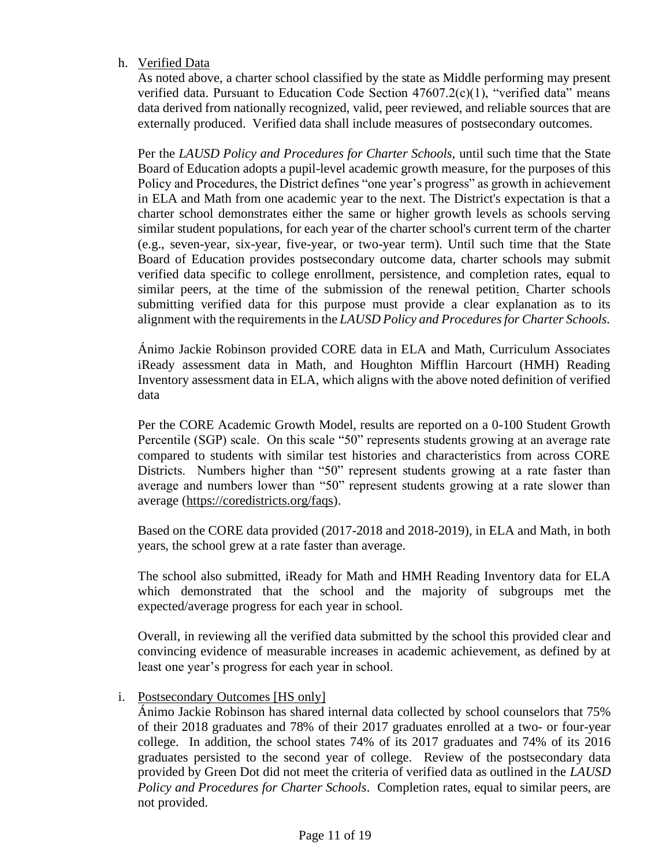# h. Verified Data

As noted above, a charter school classified by the state as Middle performing may present verified data. Pursuant to Education Code Section  $47607.2(c)(1)$ , "verified data" means data derived from nationally recognized, valid, peer reviewed, and reliable sources that are externally produced. Verified data shall include measures of postsecondary outcomes.

Per the *LAUSD Policy and Procedures for Charter Schools,* until such time that the State Board of Education adopts a pupil-level academic growth measure, for the purposes of this Policy and Procedures, the District defines "one year's progress" as growth in achievement in ELA and Math from one academic year to the next. The District's expectation is that a charter school demonstrates either the same or higher growth levels as schools serving similar student populations, for each year of the charter school's current term of the charter (e.g., seven-year, six-year, five-year, or two-year term). Until such time that the State Board of Education provides postsecondary outcome data, charter schools may submit verified data specific to college enrollment, persistence, and completion rates, equal to similar peers, at the time of the submission of the renewal petition. Charter schools submitting verified data for this purpose must provide a clear explanation as to its alignment with the requirements in the *LAUSD Policy and Procedures for Charter Schools.*

Ánimo Jackie Robinson provided CORE data in ELA and Math, Curriculum Associates iReady assessment data in Math, and Houghton Mifflin Harcourt (HMH) Reading Inventory assessment data in ELA, which aligns with the above noted definition of verified data

Per the CORE Academic Growth Model, results are reported on a 0-100 Student Growth Percentile (SGP) scale. On this scale "50" represents students growing at an average rate compared to students with similar test histories and characteristics from across CORE Districts. Numbers higher than "50" represent students growing at a rate faster than average and numbers lower than "50" represent students growing at a rate slower than average [\(https://coredistricts.org/faqs\)](https://coredistricts.org/faqs).

Based on the CORE data provided (2017-2018 and 2018-2019), in ELA and Math, in both years, the school grew at a rate faster than average.

The school also submitted, iReady for Math and HMH Reading Inventory data for ELA which demonstrated that the school and the majority of subgroups met the expected/average progress for each year in school.

Overall, in reviewing all the verified data submitted by the school this provided clear and convincing evidence of measurable increases in academic achievement, as defined by at least one year's progress for each year in school.

# i. Postsecondary Outcomes [HS only]

Ánimo Jackie Robinson has shared internal data collected by school counselors that 75% of their 2018 graduates and 78% of their 2017 graduates enrolled at a two- or four-year college. In addition, the school states 74% of its 2017 graduates and 74% of its 2016 graduates persisted to the second year of college. Review of the postsecondary data provided by Green Dot did not meet the criteria of verified data as outlined in the *LAUSD Policy and Procedures for Charter Schools*. Completion rates, equal to similar peers, are not provided.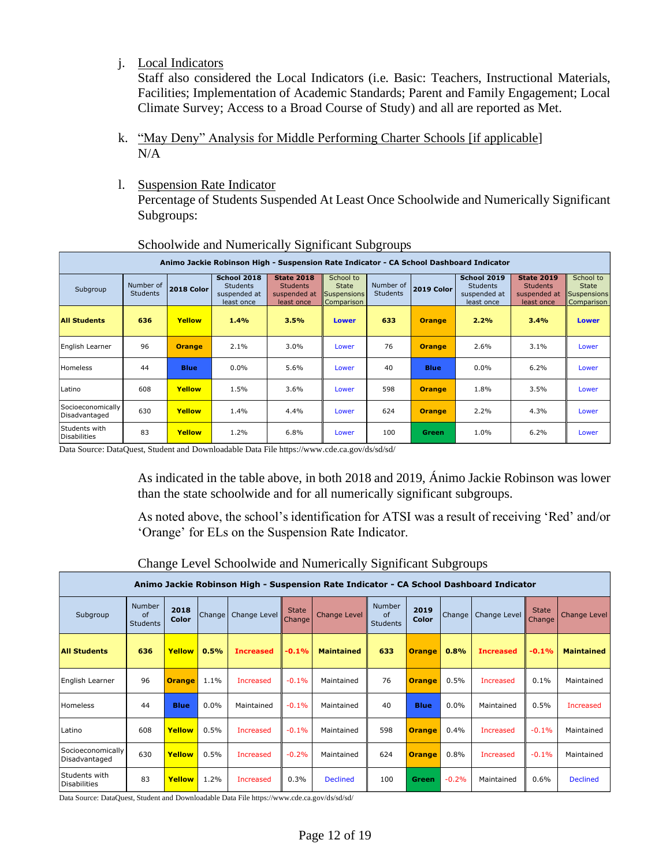j. Local Indicators

Staff also considered the Local Indicators (i.e. Basic: Teachers, Instructional Materials, Facilities; Implementation of Academic Standards; Parent and Family Engagement; Local Climate Survey; Access to a Broad Course of Study) and all are reported as Met.

- k. "May Deny" Analysis for Middle Performing Charter Schools [if applicable]  $N/A$
- l. Suspension Rate Indicator Percentage of Students Suspended At Least Once Schoolwide and Numerically Significant Subgroups:

| Animo Jackie Robinson High - Suspension Rate Indicator - CA School Dashboard Indicator |                              |               |                                                                                                                                                                                                                               |      |                                                                                  |     |                                                                    |                                                        |      |              |  |  |  |
|----------------------------------------------------------------------------------------|------------------------------|---------------|-------------------------------------------------------------------------------------------------------------------------------------------------------------------------------------------------------------------------------|------|----------------------------------------------------------------------------------|-----|--------------------------------------------------------------------|--------------------------------------------------------|------|--------------|--|--|--|
| Subgroup                                                                               | Number of<br><b>Students</b> | 2018 Color    | School 2018<br><b>State 2018</b><br>Number of<br><b>Students</b><br><b>Students</b><br><b>State</b><br>2019 Color<br><b>Students</b><br>suspended at<br>suspended at<br>Suspensions<br>least once<br>least once<br>Comparison |      | <b>School 2019</b><br>School to<br><b>Students</b><br>suspended at<br>least once |     | <b>State 2019</b><br><b>Students</b><br>suspended at<br>least once | School to<br><b>State</b><br>Suspensions<br>Comparison |      |              |  |  |  |
| <b>All Students</b>                                                                    | 636                          | Yellow        | 1.4%                                                                                                                                                                                                                          | 3.5% | <b>Lower</b>                                                                     | 633 | <b>Orange</b>                                                      | 2.2%                                                   | 3.4% | <b>Lower</b> |  |  |  |
| English Learner                                                                        | 96                           | <b>Orange</b> | 2.1%                                                                                                                                                                                                                          | 3.0% | Lower                                                                            | 76  | <b>Orange</b>                                                      | 2.6%                                                   | 3.1% | Lower        |  |  |  |
| Homeless                                                                               | 44                           | <b>Blue</b>   | $0.0\%$                                                                                                                                                                                                                       | 5.6% | Lower                                                                            | 40  | <b>Blue</b>                                                        | 0.0%                                                   | 6.2% | Lower        |  |  |  |
| Latino                                                                                 | 608                          | Yellow        | 1.5%                                                                                                                                                                                                                          | 3.6% | Lower                                                                            | 598 | <b>Orange</b>                                                      | 1.8%                                                   | 3.5% | Lower        |  |  |  |
| Socioeconomically<br>Disadvantaged                                                     | 630                          | Yellow        | 1.4%                                                                                                                                                                                                                          | 4.4% | Lower                                                                            | 624 | <b>Orange</b>                                                      | 2.2%                                                   | 4.3% | Lower        |  |  |  |
| Students with<br>Disabilities                                                          | 83                           | Yellow        | 1.2%                                                                                                                                                                                                                          | 6.8% | Lower                                                                            | 100 | Green                                                              | 1.0%                                                   | 6.2% | Lower        |  |  |  |

# Schoolwide and Numerically Significant Subgroups

Data Source: DataQuest, Student and Downloadable Data File https://www.cde.ca.gov/ds/sd/sd/

As indicated in the table above, in both 2018 and 2019, Ánimo Jackie Robinson was lower than the state schoolwide and for all numerically significant subgroups.

As noted above, the school's identification for ATSI was a result of receiving 'Red' and/or 'Orange' for ELs on the Suspension Rate Indicator.

|                                      |                                                                                        |               |        |                  |                        |                                                  | ັ   |                      | ັ                   |                  |                        |                   |  |  |  |
|--------------------------------------|----------------------------------------------------------------------------------------|---------------|--------|------------------|------------------------|--------------------------------------------------|-----|----------------------|---------------------|------------------|------------------------|-------------------|--|--|--|
|                                      | Animo Jackie Robinson High - Suspension Rate Indicator - CA School Dashboard Indicator |               |        |                  |                        |                                                  |     |                      |                     |                  |                        |                   |  |  |  |
| Subgroup                             | Number<br>of<br><b>Students</b>                                                        | 2018<br>Color | Change | Change Level     | <b>State</b><br>Change | <b>Number</b><br>Change Level<br><b>Students</b> |     | 2019<br><b>Color</b> | Change <sup>1</sup> | Change Level     | <b>State</b><br>Change | Change Level      |  |  |  |
| <b>All Students</b>                  | 636                                                                                    | <b>Yellow</b> | 0.5%   | <b>Increased</b> | $-0.1%$                | <b>Maintained</b>                                | 633 | <b>Orange</b>        | 0.8%                | <b>Increased</b> | $-0.1%$                | <b>Maintained</b> |  |  |  |
| English Learner                      | 96                                                                                     | <b>Orange</b> | 1.1%   | <b>Increased</b> | $-0.1%$                | Maintained                                       | 76  | <b>Orange</b>        | 0.5%                | <b>Increased</b> | 0.1%                   | Maintained        |  |  |  |
| Homeless                             | 44                                                                                     | <b>Blue</b>   | 0.0%   | Maintained       | $-0.1%$                | Maintained                                       | 40  | <b>Blue</b>          | $0.0\%$             | Maintained       | 0.5%                   | Increased         |  |  |  |
| Latino                               | 608                                                                                    | Yellow        | 0.5%   | <b>Increased</b> | $-0.1%$                | Maintained                                       | 598 | <b>Orange</b>        | 0.4%                | <b>Increased</b> | $-0.1%$                | Maintained        |  |  |  |
| Socioeconomically<br>Disadvantaged   | 630                                                                                    | Yellow        | 0.5%   | <b>Increased</b> | $-0.2%$                | Maintained                                       | 624 | <b>Orange</b>        | 0.8%                | <b>Increased</b> | $-0.1%$                | Maintained        |  |  |  |
| Students with<br><b>Disabilities</b> | 83                                                                                     | Yellow        | 1.2%   | Increased        | 0.3%                   | <b>Declined</b>                                  | 100 | <b>Green</b>         | $-0.2%$             | Maintained       | 0.6%                   | <b>Declined</b>   |  |  |  |

### Change Level Schoolwide and Numerically Significant Subgroups

Data Source: DataQuest, Student and Downloadable Data File https://www.cde.ca.gov/ds/sd/sd/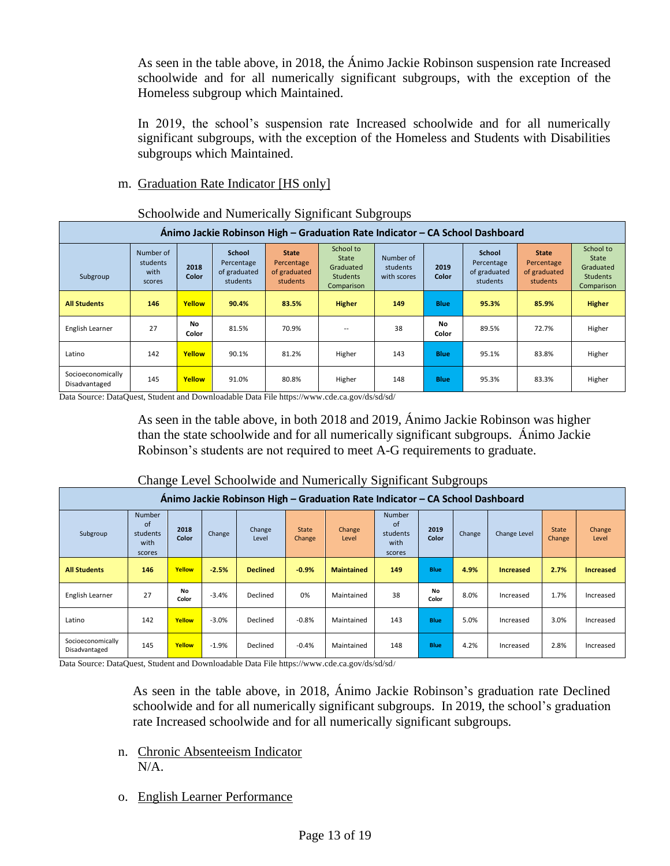As seen in the table above, in 2018, the Ánimo Jackie Robinson suspension rate Increased schoolwide and for all numerically significant subgroups, with the exception of the Homeless subgroup which Maintained.

In 2019, the school's suspension rate Increased schoolwide and for all numerically significant subgroups, with the exception of the Homeless and Students with Disabilities subgroups which Maintained.

# m. Graduation Rate Indicator [HS only]

|                                                                              | Schoolwide and Numerically Significant Subgroups                                                                    |                    |       |                                                        |                                                                  |                                      |               |                                                  |                                                        |                                                                  |  |  |  |  |
|------------------------------------------------------------------------------|---------------------------------------------------------------------------------------------------------------------|--------------------|-------|--------------------------------------------------------|------------------------------------------------------------------|--------------------------------------|---------------|--------------------------------------------------|--------------------------------------------------------|------------------------------------------------------------------|--|--|--|--|
| Ánimo Jackie Robinson High - Graduation Rate Indicator - CA School Dashboard |                                                                                                                     |                    |       |                                                        |                                                                  |                                      |               |                                                  |                                                        |                                                                  |  |  |  |  |
| Subgroup                                                                     | Number of<br><b>School</b><br>students<br>Percentage<br>2018<br>of graduated<br>with<br>Color<br>students<br>scores |                    |       | <b>State</b><br>Percentage<br>of graduated<br>students | School to<br>State<br>Graduated<br><b>Students</b><br>Comparison | Number of<br>students<br>with scores | 2019<br>Color | School<br>Percentage<br>of graduated<br>students | <b>State</b><br>Percentage<br>of graduated<br>students | School to<br>State<br>Graduated<br><b>Students</b><br>Comparison |  |  |  |  |
| <b>All Students</b>                                                          | 146                                                                                                                 | Yellow             | 90.4% | 83.5%                                                  | <b>Higher</b>                                                    | 149                                  | <b>Blue</b>   | 95.3%                                            | 85.9%                                                  | <b>Higher</b>                                                    |  |  |  |  |
| English Learner                                                              | 27                                                                                                                  | No<br><b>Color</b> | 81.5% | 70.9%                                                  |                                                                  | 38                                   | No<br>Color   | 89.5%                                            | 72.7%                                                  | Higher                                                           |  |  |  |  |
| Latino                                                                       | 142                                                                                                                 | Yellow             | 90.1% | 81.2%                                                  | Higher                                                           | 143                                  | <b>Blue</b>   | 95.1%                                            | 83.8%                                                  | Higher                                                           |  |  |  |  |
| Socioeconomically<br>Disadvantaged                                           | 145                                                                                                                 | Yellow             | 91.0% | 80.8%                                                  | Higher                                                           | 148                                  | <b>Blue</b>   | 95.3%                                            | 83.3%                                                  | Higher                                                           |  |  |  |  |

Schoolwide and Numerically Significant Subgroups

Data Source: DataQuest, Student and Downloadable Data File https://www.cde.ca.gov/ds/sd/sd/

As seen in the table above, in both 2018 and 2019, Ánimo Jackie Robinson was higher than the state schoolwide and for all numerically significant subgroups. Ánimo Jackie Robinson's students are not required to meet A-G requirements to graduate.

| Animo Jackie Robinson High – Graduation Rate Indicator – CA School Dashboard |                                                   |               |         |                 |                        |                   |                                                   |               |        |                  |                        |                        |  |  |
|------------------------------------------------------------------------------|---------------------------------------------------|---------------|---------|-----------------|------------------------|-------------------|---------------------------------------------------|---------------|--------|------------------|------------------------|------------------------|--|--|
| Subgroup                                                                     | <b>Number</b><br>of<br>students<br>with<br>scores | 2018<br>Color | Change  | Change<br>Level | <b>State</b><br>Change | Change<br>Level   | <b>Number</b><br>of<br>students<br>with<br>scores | 2019<br>Color | Change | Change Level     | <b>State</b><br>Change | <b>Change</b><br>Level |  |  |
| <b>All Students</b>                                                          | 146                                               | Yellow        | $-2.5%$ | <b>Declined</b> | $-0.9%$                | <b>Maintained</b> | 149                                               | <b>Blue</b>   | 4.9%   | <b>Increased</b> | 2.7%                   | <b>Increased</b>       |  |  |
| English Learner                                                              | 27                                                | No<br>Color   | $-3.4%$ | Declined        | 0%                     | Maintained        | 38                                                | No<br>Color   | 8.0%   | Increased        | 1.7%                   | Increased              |  |  |
| Latino                                                                       | 142                                               | Yellow        | $-3.0%$ | Declined        | $-0.8%$                | Maintained        | 143                                               | <b>Blue</b>   | 5.0%   | Increased        | 3.0%                   | Increased              |  |  |
| Socioeconomically<br>Disadvantaged                                           | 145                                               | Yellow        | $-1.9%$ | Declined        | $-0.4%$                | Maintained        | 148                                               | <b>Blue</b>   | 4.2%   | Increased        | 2.8%                   | Increased              |  |  |

# Change Level Schoolwide and Numerically Significant Subgroups

Data Source: DataQuest, Student and Downloadable Data File https://www.cde.ca.gov/ds/sd/sd/

As seen in the table above, in 2018, Ánimo Jackie Robinson's graduation rate Declined schoolwide and for all numerically significant subgroups. In 2019, the school's graduation rate Increased schoolwide and for all numerically significant subgroups.

- n. Chronic Absenteeism Indicator N/A.
- o. English Learner Performance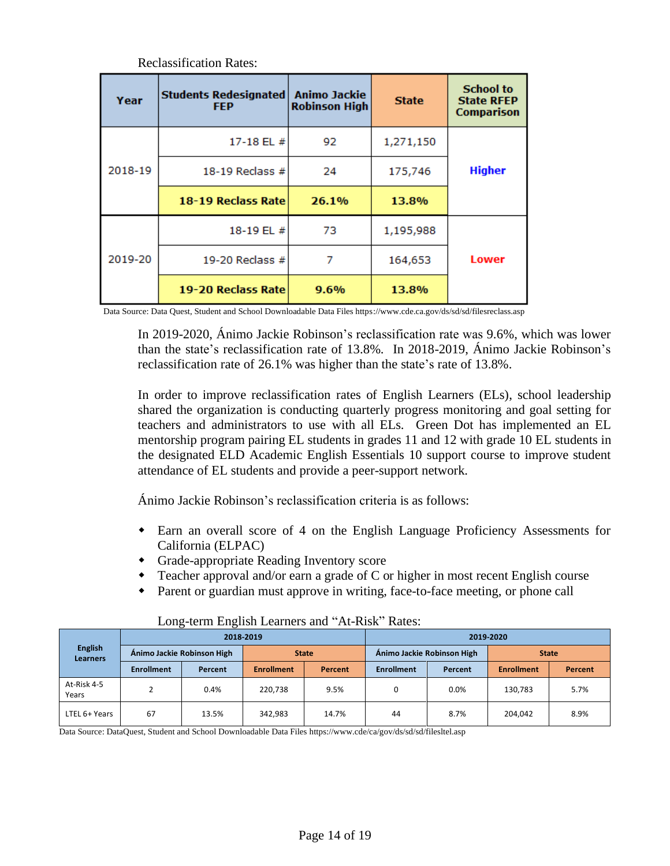| Year    | <b>Students Redesignated</b><br><b>FEP</b> | <b>Animo Jackie</b><br><b>Robinson High</b> | <b>State</b> | <b>School to</b><br><b>State RFEP</b><br><b>Comparison</b> |
|---------|--------------------------------------------|---------------------------------------------|--------------|------------------------------------------------------------|
|         | 17-18 EL $#$                               | 92                                          | 1,271,150    |                                                            |
| 2018-19 | 18-19 Reclass $#$                          | 24                                          | 175,746      | <b>Higher</b>                                              |
|         | 18-19 Reclass Rate                         | 26.1%                                       | 13.8%        |                                                            |
|         | 18-19 EL #                                 | 73                                          | 1,195,988    |                                                            |
| 2019-20 | 19-20 Reclass $#$                          |                                             | 164,653      | <b>Lower</b>                                               |
|         | 19-20 Reclass Rate                         | 9.6%                                        | 13.8%        |                                                            |

Reclassification Rates:

Data Source: Data Quest, Student and School Downloadable Data Files https://www.cde.ca.gov/ds/sd/sd/filesreclass.asp

In 2019-2020, Ánimo Jackie Robinson's reclassification rate was 9.6%, which was lower than the state's reclassification rate of 13.8%. In 2018-2019, Ánimo Jackie Robinson's reclassification rate of 26.1% was higher than the state's rate of 13.8%.

In order to improve reclassification rates of English Learners (ELs), school leadership shared the organization is conducting quarterly progress monitoring and goal setting for teachers and administrators to use with all ELs. Green Dot has implemented an EL mentorship program pairing EL students in grades 11 and 12 with grade 10 EL students in the designated ELD Academic English Essentials 10 support course to improve student attendance of EL students and provide a peer-support network.

Ánimo Jackie Robinson's reclassification criteria is as follows:

- Earn an overall score of 4 on the English Language Proficiency Assessments for California (ELPAC)
- Grade-appropriate Reading Inventory score
- Teacher approval and/or earn a grade of C or higher in most recent English course
- Parent or guardian must approve in writing, face-to-face meeting, or phone call

| <b>English</b><br><b>Learners</b> |                   |                            | 2018-2019         |              | 2019-2020         |                            |                   |         |  |  |  |
|-----------------------------------|-------------------|----------------------------|-------------------|--------------|-------------------|----------------------------|-------------------|---------|--|--|--|
|                                   |                   | Ánimo Jackie Robinson High |                   | <b>State</b> |                   | Ánimo Jackie Robinson High | <b>State</b>      |         |  |  |  |
|                                   | <b>Enrollment</b> | Percent                    | <b>Enrollment</b> | Percent      | <b>Enrollment</b> | Percent                    | <b>Enrollment</b> | Percent |  |  |  |
| At-Risk 4-5<br>Years              |                   | 0.4%                       | 220,738           | 9.5%         | $\Omega$          | 0.0%                       | 130,783           | 5.7%    |  |  |  |
| LTEL 6+ Years                     | 67                | 13.5%                      | 342,983           | 14.7%        | 44                | 8.7%                       | 204,042           | 8.9%    |  |  |  |

### Long-term English Learners and "At-Risk" Rates:

Data Source: DataQuest, Student and School Downloadable Data Files https://www.cde/ca/gov/ds/sd/sd/filesltel.asp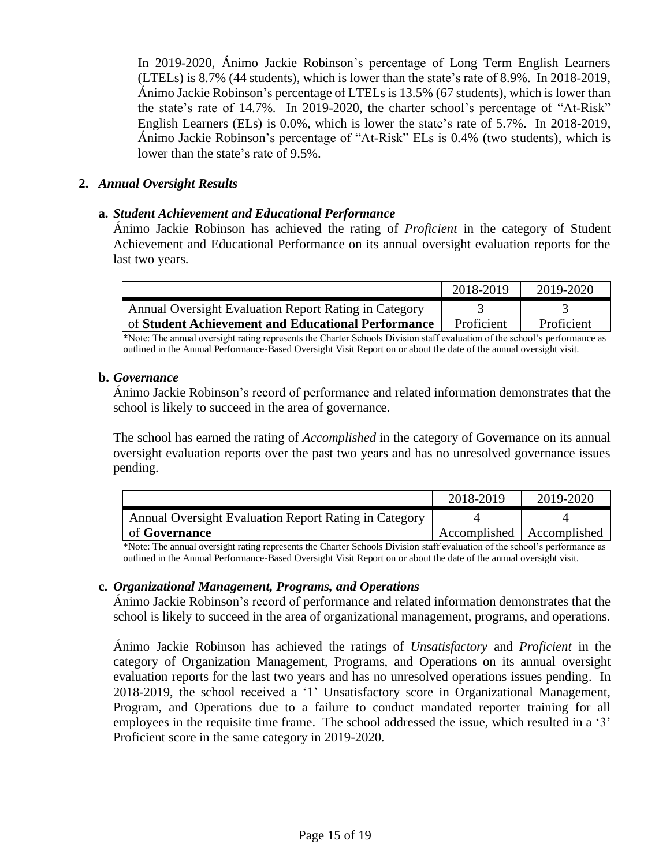In 2019-2020, Ánimo Jackie Robinson's percentage of Long Term English Learners (LTELs) is 8.7% (44 students), which is lower than the state's rate of 8.9%. In 2018-2019, Ánimo Jackie Robinson's percentage of LTELs is 13.5% (67 students), which is lower than the state's rate of 14.7%. In 2019-2020, the charter school's percentage of "At-Risk" English Learners (ELs) is 0.0%, which is lower the state's rate of 5.7%. In 2018-2019, Ánimo Jackie Robinson's percentage of "At-Risk" ELs is 0.4% (two students), which is lower than the state's rate of 9.5%.

# **2.** *Annual Oversight Results*

# **a.** *Student Achievement and Educational Performance*

Ánimo Jackie Robinson has achieved the rating of *Proficient* in the category of Student Achievement and Educational Performance on its annual oversight evaluation reports for the last two years.

|                                                       | 2018-2019  | 2019-2020  |
|-------------------------------------------------------|------------|------------|
| Annual Oversight Evaluation Report Rating in Category |            |            |
| of Student Achievement and Educational Performance    | Proficient | Proficient |

\*Note: The annual oversight rating represents the Charter Schools Division staff evaluation of the school's performance as outlined in the Annual Performance-Based Oversight Visit Report on or about the date of the annual oversight visit.

## **b.** *Governance*

Ánimo Jackie Robinson's record of performance and related information demonstrates that the school is likely to succeed in the area of governance.

The school has earned the rating of *Accomplished* in the category of Governance on its annual oversight evaluation reports over the past two years and has no unresolved governance issues pending.

|                                                       | 2018-2019                   | 2019-2020 |
|-------------------------------------------------------|-----------------------------|-----------|
| Annual Oversight Evaluation Report Rating in Category |                             |           |
| of <b>Governance</b>                                  | Accomplished   Accomplished |           |

\*Note: The annual oversight rating represents the Charter Schools Division staff evaluation of the school's performance as outlined in the Annual Performance-Based Oversight Visit Report on or about the date of the annual oversight visit.

# **c.** *Organizational Management, Programs, and Operations*

Ánimo Jackie Robinson's record of performance and related information demonstrates that the school is likely to succeed in the area of organizational management, programs, and operations.

Ánimo Jackie Robinson has achieved the ratings of *Unsatisfactory* and *Proficient* in the category of Organization Management, Programs, and Operations on its annual oversight evaluation reports for the last two years and has no unresolved operations issues pending. In 2018-2019, the school received a '1' Unsatisfactory score in Organizational Management, Program, and Operations due to a failure to conduct mandated reporter training for all employees in the requisite time frame. The school addressed the issue, which resulted in a '3' Proficient score in the same category in 2019-2020.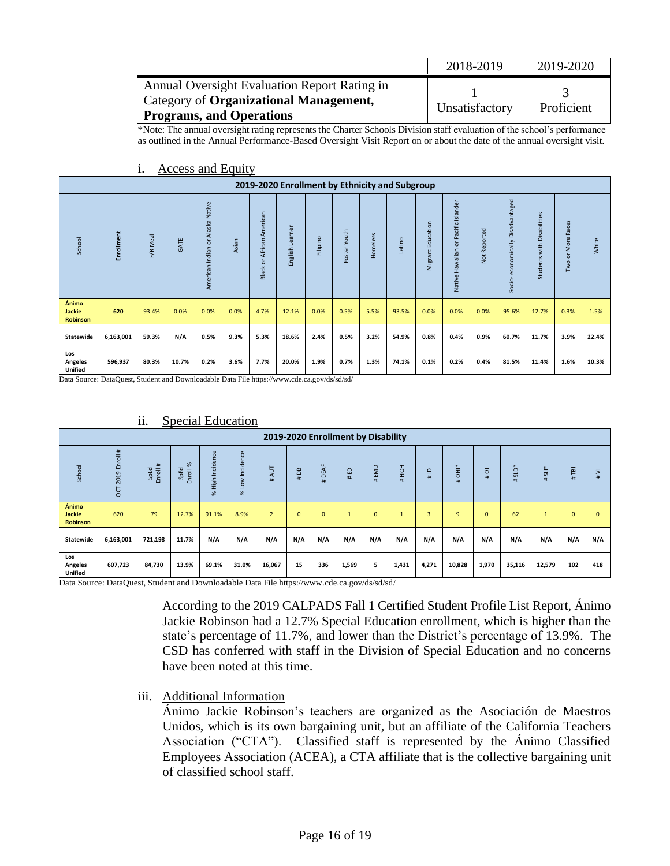|                                              | 2018-2019      | 2019-2020  |
|----------------------------------------------|----------------|------------|
| Annual Oversight Evaluation Report Rating in |                |            |
| Category of Organizational Management,       | Unsatisfactory | Proficient |
| Programs, and Operations                     |                |            |

\*Note: The annual oversight rating represents the Charter Schools Division staff evaluation of the school's performance as outlined in the Annual Performance-Based Oversight Visit Report on or about the date of the annual oversight visit.

|                                           | 2019-2020 Enrollment by Ethnicity and Subgroup |          |       |                                          |       |                                                |                      |          |                 |          |        |                      |                                                  |              |                                         |                                  |                                            |       |
|-------------------------------------------|------------------------------------------------|----------|-------|------------------------------------------|-------|------------------------------------------------|----------------------|----------|-----------------|----------|--------|----------------------|--------------------------------------------------|--------------|-----------------------------------------|----------------------------------|--------------------------------------------|-------|
| School                                    | Enrollment                                     | F/R Meal | GATE  | Alaska Native<br>ă<br>Indian<br>American | Asian | American<br>African<br>$\overline{5}$<br>Black | Learner<br>English I | Filipino | Youth<br>Foster | Homeless | Latino | Education<br>Migrant | Islander<br>Pacific I<br>ă<br>Hawaiian<br>Native | Not Reported | Disadvantaged<br>economically<br>Socio- | Disabilities<br>with<br>Students | aces<br>œ<br>More<br>$\overline{5}$<br>Two | White |
| Ánimo<br><b>Jackie</b><br><b>Robinson</b> | 620                                            | 93.4%    | 0.0%  | 0.0%                                     | 0.0%  | 4.7%                                           | 12.1%                | 0.0%     | 0.5%            | 5.5%     | 93.5%  | 0.0%                 | 0.0%                                             | 0.0%         | 95.6%                                   | 12.7%                            | 0.3%                                       | 1.5%  |
| Statewide                                 | 6,163,001                                      | 59.3%    | N/A   | 0.5%                                     | 9.3%  | 5.3%                                           | 18.6%                | 2.4%     | 0.5%            | 3.2%     | 54.9%  | 0.8%                 | 0.4%                                             | 0.9%         | 60.7%                                   | 11.7%                            | 3.9%                                       | 22.4% |
| Los<br><b>Angeles</b><br><b>Unified</b>   | 596,937                                        | 80.3%    | 10.7% | 0.2%                                     | 3.6%  | 7.7%                                           | 20.0%                | 1.9%     | 0.7%            | 1.3%     | 74.1%  | 0.1%                 | 0.2%                                             | 0.4%         | 81.5%                                   | 11.4%                            | 1.6%                                       | 10.3% |

### i. Access and Equity

Data Source: DataQuest, Student and Downloadable Data File https://www.cde.ca.gov/ds/sd/sd/

|                                    |                          |                     |                            |                               |                        |                |              |               | 2019-2020 Enrollment by Disability |                |       |                      |                |                |           |         |              |              |
|------------------------------------|--------------------------|---------------------|----------------------------|-------------------------------|------------------------|----------------|--------------|---------------|------------------------------------|----------------|-------|----------------------|----------------|----------------|-----------|---------|--------------|--------------|
| School                             | nroll#<br>面<br>2019<br>5 | #<br>SpEd<br>Enroll | $\aleph$<br>SpEd<br>ᅙ<br>훕 | Incidence<br>High<br>$\aleph$ | Incidence<br>δ<br>$\%$ | AUT<br>#       | #DB          | DEAF<br>$\pm$ | #ED                                | EMD<br>±.      | HOH#  | $\supseteq$<br>$\pm$ | <b>FE</b><br># | $\overline{0}$ | GTS<br>±. | $#SLI*$ | ΓēΙ<br>#     | 5<br>#       |
| Ánimo<br>Jackie<br><b>Robinson</b> | 620                      | 79                  | 12.7%                      | 91.1%                         | 8.9%                   | $\overline{2}$ | $\mathbf{0}$ | $\mathbf{0}$  | $\overline{a}$<br>ш                | $\overline{0}$ | ш     | $\overline{3}$       | 9              | $\mathbf{0}$   | 62        |         | $\mathbf{0}$ | $\mathbf{0}$ |
| Statewide                          | 6,163,001                | 721,198             | 11.7%                      | N/A                           | N/A                    | N/A            | N/A          | N/A           | N/A                                | N/A            | N/A   | N/A                  | N/A            | N/A            | N/A       | N/A     | N/A          | N/A          |
| Los<br>Angeles<br><b>Unified</b>   | 607,723                  | 84,730              | 13.9%                      | 69.1%                         | 31.0%                  | 16,067         | 15           | 336           | 1,569                              | 5              | 1,431 | 4,271                | 10,828         | 1,970          | 35,116    | 12,579  | 102          | 418          |

# ii. Special Education

Data Source: DataQuest, Student and Downloadable Data File https://www.cde.ca.gov/ds/sd/sd/

According to the 2019 CALPADS Fall 1 Certified Student Profile List Report, Ánimo Jackie Robinson had a 12.7% Special Education enrollment, which is higher than the state's percentage of 11.7%, and lower than the District's percentage of 13.9%. The CSD has conferred with staff in the Division of Special Education and no concerns have been noted at this time.

# iii. Additional Information

Ánimo Jackie Robinson's teachers are organized as the Asociación de Maestros Unidos, which is its own bargaining unit, but an affiliate of the California Teachers Association ("CTA"). Classified staff is represented by the Ánimo Classified Employees Association (ACEA), a CTA affiliate that is the collective bargaining unit of classified school staff.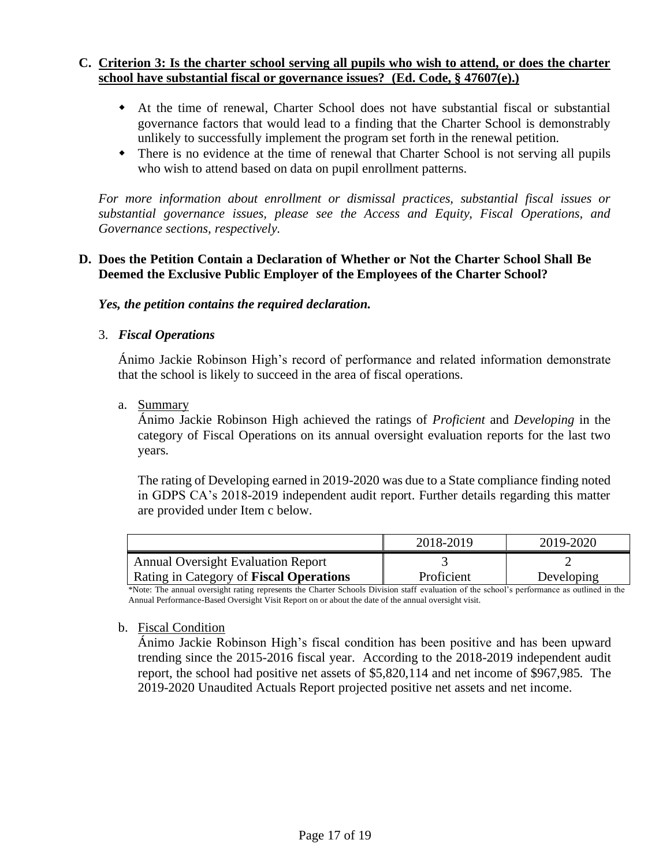# **C. Criterion 3: Is the charter school serving all pupils who wish to attend, or does the charter school have substantial fiscal or governance issues? (Ed. Code, § 47607(e).)**

- At the time of renewal, Charter School does not have substantial fiscal or substantial governance factors that would lead to a finding that the Charter School is demonstrably unlikely to successfully implement the program set forth in the renewal petition.
- There is no evidence at the time of renewal that Charter School is not serving all pupils who wish to attend based on data on pupil enrollment patterns.

*For more information about enrollment or dismissal practices, substantial fiscal issues or substantial governance issues, please see the Access and Equity, Fiscal Operations, and Governance sections, respectively.* 

# **D. Does the Petition Contain a Declaration of Whether or Not the Charter School Shall Be Deemed the Exclusive Public Employer of the Employees of the Charter School?**

*Yes, the petition contains the required declaration.*

# 3. *Fiscal Operations*

Ánimo Jackie Robinson High's record of performance and related information demonstrate that the school is likely to succeed in the area of fiscal operations.

a. Summary

Ánimo Jackie Robinson High achieved the ratings of *Proficient* and *Developing* in the category of Fiscal Operations on its annual oversight evaluation reports for the last two years.

The rating of Developing earned in 2019-2020 was due to a State compliance finding noted in GDPS CA's 2018-2019 independent audit report. Further details regarding this matter are provided under Item c below.

|                                           | 2018-2019  | 2019-2020  |
|-------------------------------------------|------------|------------|
| <b>Annual Oversight Evaluation Report</b> |            |            |
| Rating in Category of Fiscal Operations   | Proficient | Developing |

\*Note: The annual oversight rating represents the Charter Schools Division staff evaluation of the school's performance as outlined in the Annual Performance-Based Oversight Visit Report on or about the date of the annual oversight visit.

# b. Fiscal Condition

Ánimo Jackie Robinson High's fiscal condition has been positive and has been upward trending since the 2015-2016 fiscal year. According to the 2018-2019 independent audit report, the school had positive net assets of \$5,820,114 and net income of \$967,985. The 2019-2020 Unaudited Actuals Report projected positive net assets and net income.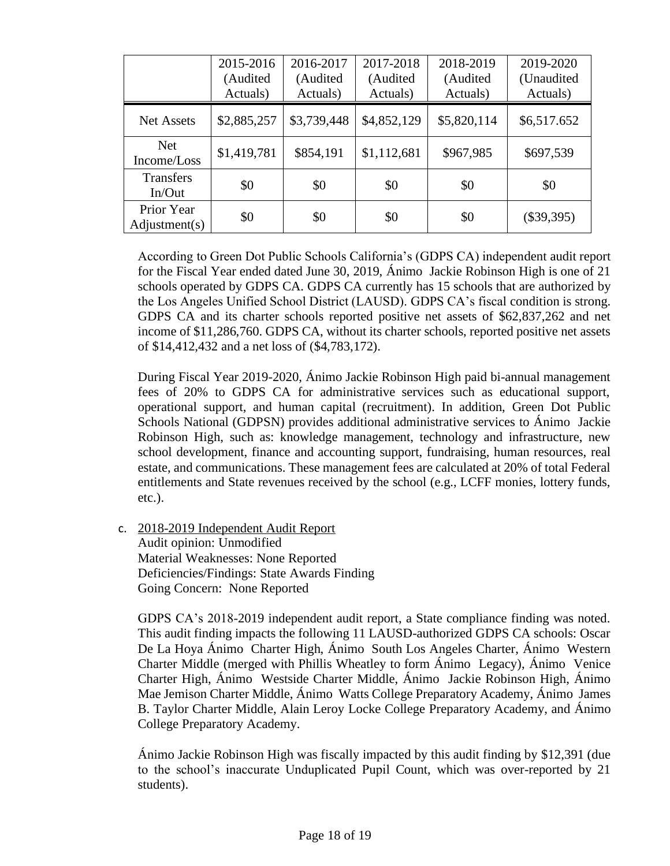|                             | 2015-2016<br>(Audited<br>Actuals) | 2016-2017<br>(Audited<br>Actuals) | 2017-2018<br>(Audited<br>Actuals) | 2018-2019<br>(Audited<br>Actuals) | 2019-2020<br>(Unaudited<br>Actuals) |
|-----------------------------|-----------------------------------|-----------------------------------|-----------------------------------|-----------------------------------|-------------------------------------|
| <b>Net Assets</b>           | \$2,885,257                       | \$3,739,448                       | \$4,852,129                       | \$5,820,114                       | \$6,517.652                         |
| <b>Net</b><br>Income/Loss   | \$1,419,781                       | \$854,191                         | \$1,112,681                       | \$967,985                         | \$697,539                           |
| <b>Transfers</b><br>In/Out  | \$0                               | \$0                               | \$0                               | \$0                               | \$0                                 |
| Prior Year<br>Adjustment(s) | \$0                               | \$0                               | \$0                               | \$0                               | $(\$39,395)$                        |

According to Green Dot Public Schools California's (GDPS CA) independent audit report for the Fiscal Year ended dated June 30, 2019, Ánimo Jackie Robinson High is one of 21 schools operated by GDPS CA. GDPS CA currently has 15 schools that are authorized by the Los Angeles Unified School District (LAUSD). GDPS CA's fiscal condition is strong. GDPS CA and its charter schools reported positive net assets of \$62,837,262 and net income of \$11,286,760. GDPS CA, without its charter schools, reported positive net assets of \$14,412,432 and a net loss of (\$4,783,172).

During Fiscal Year 2019-2020, Ánimo Jackie Robinson High paid bi-annual management fees of 20% to GDPS CA for administrative services such as educational support, operational support, and human capital (recruitment). In addition, Green Dot Public Schools National (GDPSN) provides additional administrative services to Ánimo Jackie Robinson High, such as: knowledge management, technology and infrastructure, new school development, finance and accounting support, fundraising, human resources, real estate, and communications. These management fees are calculated at 20% of total Federal entitlements and State revenues received by the school (e.g., LCFF monies, lottery funds, etc.).

c. 2018-2019 Independent Audit Report Audit opinion: Unmodified Material Weaknesses: None Reported Deficiencies/Findings: State Awards Finding Going Concern: None Reported

GDPS CA's 2018-2019 independent audit report, a State compliance finding was noted. This audit finding impacts the following 11 LAUSD-authorized GDPS CA schools: Oscar De La Hoya Ánimo Charter High, Ánimo South Los Angeles Charter, Ánimo Western Charter Middle (merged with Phillis Wheatley to form Ánimo Legacy), Ánimo Venice Charter High, Ánimo Westside Charter Middle, Ánimo Jackie Robinson High, Ánimo Mae Jemison Charter Middle, Ánimo Watts College Preparatory Academy, Ánimo James B. Taylor Charter Middle, Alain Leroy Locke College Preparatory Academy, and Ánimo College Preparatory Academy.

Ánimo Jackie Robinson High was fiscally impacted by this audit finding by \$12,391 (due to the school's inaccurate Unduplicated Pupil Count, which was over-reported by 21 students).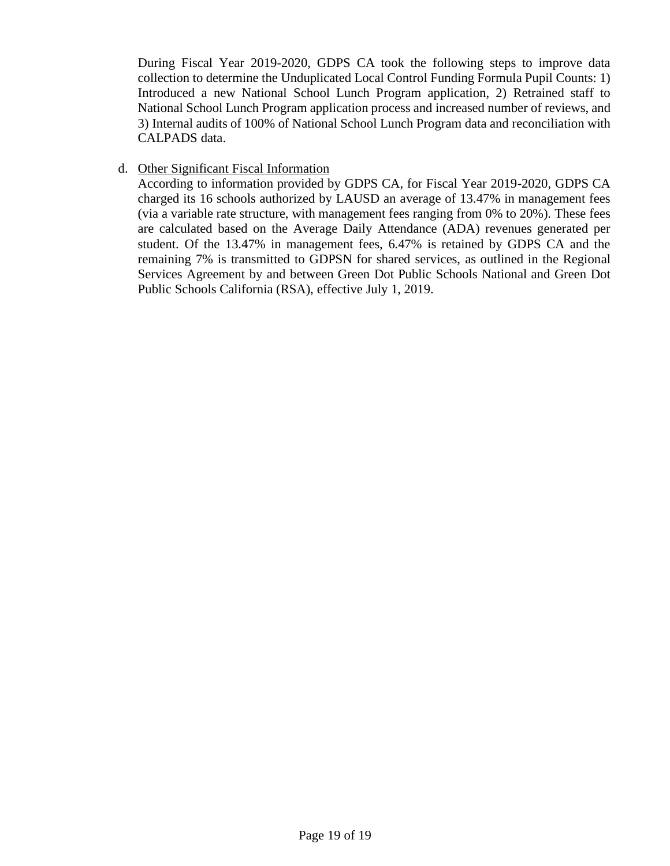During Fiscal Year 2019-2020, GDPS CA took the following steps to improve data collection to determine the Unduplicated Local Control Funding Formula Pupil Counts: 1) Introduced a new National School Lunch Program application, 2) Retrained staff to National School Lunch Program application process and increased number of reviews, and 3) Internal audits of 100% of National School Lunch Program data and reconciliation with CALPADS data.

# d. Other Significant Fiscal Information

According to information provided by GDPS CA, for Fiscal Year 2019-2020, GDPS CA charged its 16 schools authorized by LAUSD an average of 13.47% in management fees (via a variable rate structure, with management fees ranging from 0% to 20%). These fees are calculated based on the Average Daily Attendance (ADA) revenues generated per student. Of the 13.47% in management fees, 6.47% is retained by GDPS CA and the remaining 7% is transmitted to GDPSN for shared services, as outlined in the Regional Services Agreement by and between Green Dot Public Schools National and Green Dot Public Schools California (RSA), effective July 1, 2019.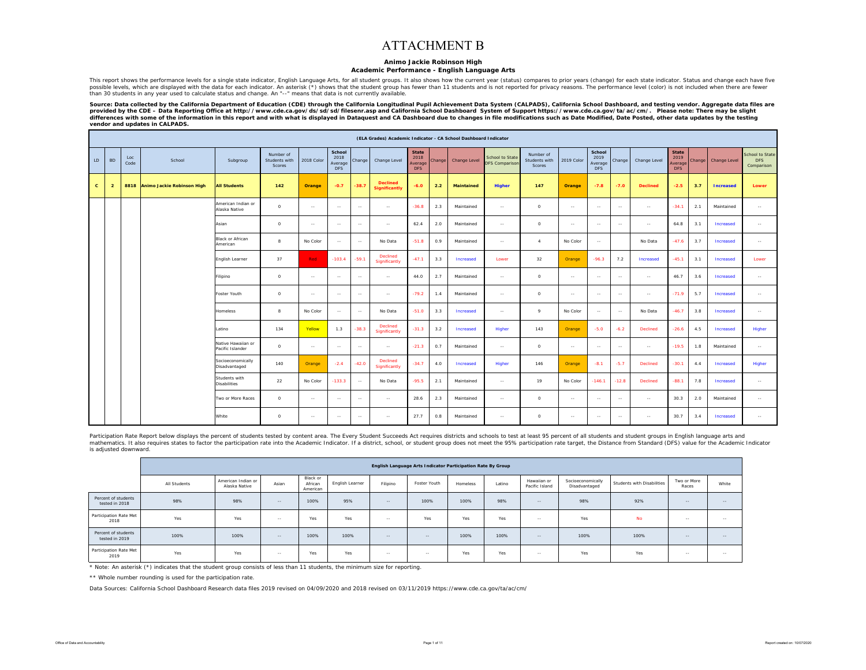### ATTACHMENT B

#### **Animo Jackie Robinson High**

### **Academic Performance - English Language Arts**

This report shows the performance levels for a single state indicator, English Language Arts, for all student groups. It also shows how the current year (status) compares to prior years (change) for each state indicator. S possible levels, which are displayed with the data for each indicator. An asterisk (\*) shows that the student group has fewer than 11 students and is not reported for privacy reasons. The performance level (color) is not i than 30 students in any year used to calculate status and change. An "--" means that data is not currently available.

Source: Data collected by the California Department of Education (CDE) through the California Longitudinal Pupil Achievement Data System (CALPADS), California School Dashboard, and testing vendor. Aggregate data files are *provided by the CDE – Data Reporting Office at http://www.cde.ca.gov/ds/sd/sd/filesenr.asp and California School Dashboard System of Support https://www.cde.ca.gov/ta/ac/cm/. Please note: There may be slight*  differences with some of the information in this report and with what is displayed in Dataquest and CA Dashboard due to changes in file modifications such as Date Modified, Date Posted, other data updates by the testing *vendor and updates in CALPADS.* 

|              |                |             |                            |                                        |                                      |               |                                         |         | (ELA Grades) Academic Indicator - CA School Dashboard Indicator |                                              |        |                   |                                          |                                      |            |                                         |         |                 |                                               |        |                  |                                             |
|--------------|----------------|-------------|----------------------------|----------------------------------------|--------------------------------------|---------------|-----------------------------------------|---------|-----------------------------------------------------------------|----------------------------------------------|--------|-------------------|------------------------------------------|--------------------------------------|------------|-----------------------------------------|---------|-----------------|-----------------------------------------------|--------|------------------|---------------------------------------------|
| LD           | <b>BD</b>      | Loc<br>Code | School                     | Subgroup                               | Number of<br>Students with<br>Scores | 2018 Color    | School<br>2018<br>Average<br><b>DFS</b> | Change  | Change Level                                                    | <b>State</b><br>2018<br>Averag<br><b>DFS</b> | Change | Change Level      | School to State<br><b>DFS Comparison</b> | Number of<br>Students with<br>Scores | 2019 Color | School<br>2019<br>Average<br><b>DFS</b> | Change  | Change Level    | <b>State</b><br>2019<br>Average<br><b>DFS</b> | Change | Change Level     | School to State<br><b>DFS</b><br>Comparison |
| $\mathbf{c}$ | $\overline{2}$ | 8818        | Animo Jackie Robinson High | <b>All Students</b>                    | 142                                  | Orange        | $-0.7$                                  | $-38.7$ | <b>Declined</b><br><b>Significantly</b>                         | $-6.0$                                       | 2.2    | <b>Maintained</b> | Higher                                   | 147                                  | Orange     | $-7.8$                                  | $-7.0$  | <b>Declined</b> | $-2.5$                                        | 3.7    | <b>Increased</b> | Lower                                       |
|              |                |             |                            | American Indian or<br>Alaska Native    | $\circ$                              | $\sim$ $\sim$ | $\sim$                                  | $\sim$  | $\sim$                                                          | $-36.8$                                      | 2.3    | Maintained        | $\sim$                                   | $\circ$                              | $\sim$     | $\sim$                                  | $\sim$  | $\sim$ $\sim$   | $-34.1$                                       | 2.1    | Maintained       | $\sim$                                      |
|              |                |             |                            | Asian                                  | $\circ$                              | $\sim$        | $\sim$                                  | $\sim$  | $\sim$                                                          | 62.4                                         | 2.0    | Maintained        | $\sim$                                   | $\circ$                              | $\sim$     | $\sim$                                  | $\sim$  | $\sim$          | 64.8                                          | 3.1    | Increased        | $\sim$                                      |
|              |                |             |                            | Black or African<br>American           | 8                                    | No Color      | $\sim$                                  | $\sim$  | No Data                                                         | $-51.8$                                      | 0.9    | Maintained        | $\sim$                                   | $\boldsymbol{A}$                     | No Color   | $\sim$                                  |         | No Data         | $-47.6$                                       | 3.7    | Increased        | $\sim$                                      |
|              |                |             |                            | English Learner                        | 37                                   | <b>Red</b>    | $-103.4$                                | $-59.1$ | Declined<br>Significantly                                       | $-47.1$                                      | 3.3    | Increased         | Lower                                    | 32                                   | Orange     | $-96.3$                                 | 7.2     | Increased       | $-45.1$                                       | 3.1    | Increased        | Lower                                       |
|              |                |             |                            | Filipino                               | $\circ$                              | $\sim$ $\sim$ | $\sim$                                  | $\sim$  | $\sim$                                                          | 44.0                                         | 2.7    | Maintained        | $\sim$                                   | $\circ$                              | $\sim$     | $\sim$                                  | $\sim$  | $\sim$          | 46.7                                          | 3.6    | Increased        | $\sim$ $\sim$                               |
|              |                |             |                            | Foster Youth                           | $\circ$                              | $\sim$        | $\sim$                                  | $\sim$  | $\sim$                                                          | $-79.2$                                      | 1.4    | Maintained        | $\sim$                                   | $\circ$                              | $\sim$     | $\sim$                                  | $\sim$  | $\sim$          | $-71.9$                                       | 5.7    | Increased        | $\sim$                                      |
|              |                |             |                            | Homeless                               | 8                                    | No Color      | $\sim$                                  | $\sim$  | No Data                                                         | $-51.0$                                      | 3.3    | Increased         | $\sim$                                   | 9                                    | No Color   | $\sim$                                  | $\sim$  | No Data         | $-46.7$                                       | 3.8    | Increased        | $\sim$                                      |
|              |                |             |                            | Latino                                 | 134                                  | Yellow        | 1.3                                     | $-38.3$ | Declined<br>Significantly                                       | $-31.3$                                      | 3.2    | Increased         | Higher                                   | 143                                  | Orange     | $-5.0$                                  | $-6.2$  | Declined        | $-26.6$                                       | 4.5    | Increased        | Higher                                      |
|              |                |             |                            | Native Hawaiian or<br>Pacific Islander | $\Omega$                             | $\sim$        | $\sim$                                  | $\sim$  | $\sim$                                                          | $-21.3$                                      | 0.7    | Maintained        | $\sim$                                   | $\circ$                              | $\sim$     | $\sim$                                  | $\sim$  | $\sim$ $\sim$   | $-19.5$                                       | 1.8    | Maintained       | $\sim$ $\sim$                               |
|              |                |             |                            | Socioeconomically<br>Disadvantaged     | 140                                  | Orange        | $-2.4$                                  | $-42.0$ | Declined<br>Significantly                                       | $-34.7$                                      | 4.0    | Increased         | Higher                                   | 146                                  | Orange     | $-8.1$                                  | $-5.7$  | Declined        | $-30.1$                                       | 4.4    | Increased        | Higher                                      |
|              |                |             |                            | Students with<br><b>Disabilities</b>   | 22                                   | No Color      | $-133.3$                                | $\sim$  | No Data                                                         | $-95.5$                                      | 2.1    | Maintained        | $\sim$                                   | 19                                   | No Color   | $-146.1$                                | $-12.8$ | Declined        | $-88.1$                                       | 7.8    | Increased        | $\sim$                                      |
|              |                |             |                            | Two or More Races                      | $\Omega$                             | $\sim$        | $\sim$                                  | $\sim$  | $\sim$                                                          | 28.6                                         | 2.3    | Maintained        | $\sim$                                   | $\circ$                              | $\sim$     | $\sim$                                  | $\sim$  | $\sim$          | 30.3                                          | 2.0    | Maintained       | $\sim$                                      |
|              |                |             |                            | White                                  | $\circ$                              | $\sim$        | $\sim$                                  | $\sim$  | $\sim$                                                          | 27.7                                         | 0.8    | Maintained        | $\sim$                                   | $\circ$                              | $\sim$     | $\sim$                                  | $\sim$  | $\sim$          | 30.7                                          | 3.4    | Increased        | $\sim$                                      |

Participation Rate Report below displays the percent of students tested by content area. The Every Student Succeeds Act requires districts and schools to test at least 95 percent of all students and student groups in Engli rank parameters. It also requires states to factor the participation rate into the Academic Indicator. If a district, school, or student group does not meet the 95% participation rate target, the Distance from Standard (DF is adjusted downward.

|                                       |              |                                     |        |                                 |                 |            | English Language Arts Indicator Participation Rate By Group |          |        |                               |                                    |                            |                      |        |
|---------------------------------------|--------------|-------------------------------------|--------|---------------------------------|-----------------|------------|-------------------------------------------------------------|----------|--------|-------------------------------|------------------------------------|----------------------------|----------------------|--------|
|                                       | All Students | American Indian or<br>Alaska Native | Asian  | Black or<br>African<br>American | English Learner | Filipino   | Foster Youth                                                | Homeless | Latino | Hawaiian or<br>Pacific Island | Socioeconomically<br>Disadvantaged | Students with Disabilities | Two or More<br>Races | White  |
| Percent of students<br>tested in 2018 | 98%          | 98%                                 | $-$    | 100%                            | 95%             | $-$        | 100%                                                        | 100%     | 98%    | $\sim$                        | 98%                                | 92%                        | $\sim$ $-$           | $-$    |
| Participation Rate Met<br>2018        | Yes          | Yes                                 | $\sim$ | Yes                             | Yes             | $\sim$ $-$ | Yes                                                         | Yes      | Yes    | $\sim$ $-$                    | Yes                                | <b>No</b>                  | $\sim$ $-$           | $\sim$ |
| Percent of students<br>tested in 2019 | 100%         | 100%                                | $-$    | 100%                            | 100%            | $\sim$ $-$ | $\sim$                                                      | 100%     | 100%   | $\sim$ $-$                    | 100%                               | 100%                       | $\sim$ $-$           | $\sim$ |
| Participation Rate Met<br>2019        | Yes          | Yes                                 | $\sim$ | Yes                             | Yes             | $\sim$ $-$ | $\sim$                                                      | Yes      | Yes    | $\sim$ $-$                    | Yes                                | Yes                        | $\sim$ $\sim$        | $\sim$ |

\* Note: An asterisk (\*) indicates that the student group consists of less than 11 students, the minimum size for reporting.

\*\* Whole number rounding is used for the participation rate.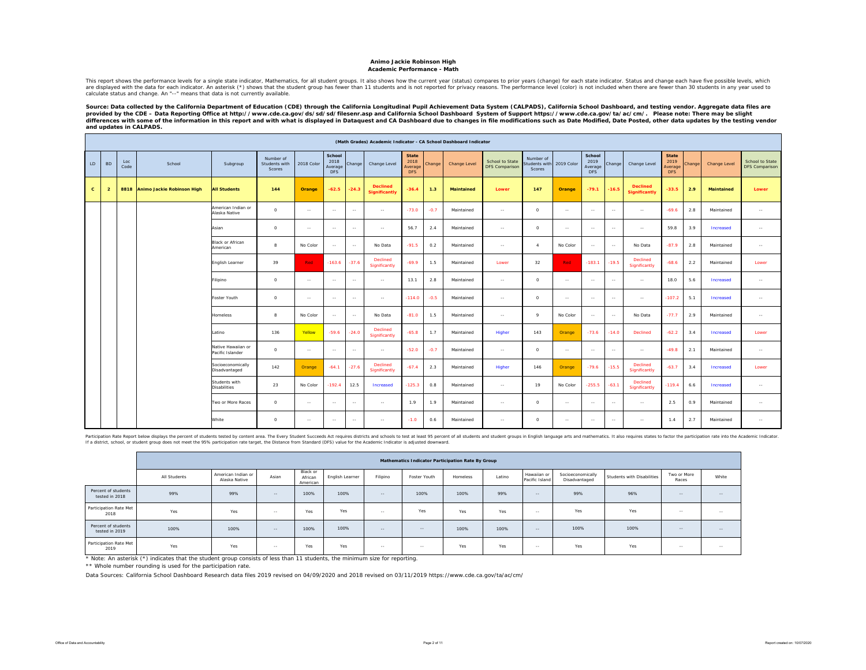#### **Animo Jackie Robinson High Academic Performance - Math**

This report shows the performance levels for a single state indicator, Mathematics, for all student groups. It also shows how the current year (status) compares to prior years (enable between than 10 suddents in any vear u calculate status and change. An "--" means that data is not currently available.

Source: Data collected by the California Department of Education (CDE) through the California Longitudinal Pupil Achievement Data System (CALPADS), California School Dashboard, and testing vendor. Aggregate data files are provided by the CDE – Data Reporting Office at http://www.cde.ca.gov/ds/sd/sd/filesenr.asp and California School Dashboard System of Support https://www.cde.ca.gov/ta/ac/cm/. Please note: There may be slight<br>differences *and updates in CALPADS.* 

|              |                |             |                            |                                        |                                      |            |                                         |            |                                         |                                               |        | (Math Grades) Academic Indicator - CA School Dashboard Indicator |                                          |                                     |               |                                  |         |                                         |                                               |        |                   |                                   |
|--------------|----------------|-------------|----------------------------|----------------------------------------|--------------------------------------|------------|-----------------------------------------|------------|-----------------------------------------|-----------------------------------------------|--------|------------------------------------------------------------------|------------------------------------------|-------------------------------------|---------------|----------------------------------|---------|-----------------------------------------|-----------------------------------------------|--------|-------------------|-----------------------------------|
| LD           | <b>BD</b>      | Loc<br>Code | School                     | Subgroup                               | Number of<br>Students with<br>Scores | 2018 Color | School<br>2018<br>Average<br><b>DFS</b> | Change     | Change Level                            | <b>State</b><br>2018<br>Average<br><b>DFS</b> | Change | Change Level                                                     | School to State<br><b>DFS Comparison</b> | Number of<br>tudents with<br>Scores | 2019 Color    | School<br>2019<br>Average<br>DFS | Change  | Change Level                            | <b>State</b><br>2019<br>Average<br><b>DFS</b> | Change | Change Level      | School to State<br>DFS Comparison |
| $\mathbf{C}$ | $\overline{2}$ | 8818        | Animo Jackie Robinson High | <b>All Students</b>                    | 144                                  | Orange     | $-62.5$                                 | $-24.3$    | <b>Declined</b><br><b>Significantly</b> | $-36.4$                                       | 1.3    | <b>Maintained</b>                                                | Lower                                    | 147                                 | Orange        | $-79.1$                          | $-16.5$ | <b>Declined</b><br><b>Significantly</b> | $-33.5$                                       | 2.9    | <b>Maintained</b> | Lower                             |
|              |                |             |                            | American Indian or<br>Alaska Native    | $\circ$                              | $\sim$     | $\sim$ $-$                              | $\sim$     | $\sim$ $\sim$                           | $-73.0$                                       | $-0.7$ | Maintained                                                       | $\sim$                                   | $\circ$                             | $\sim$ $-$    | $\sim$ $\sim$                    | $\sim$  | $\sim$                                  | $-69.6$                                       | 2.8    | Maintained        | $\sim$                            |
|              |                |             |                            | Asian                                  | $\circ$                              | $\sim$     | $\sim$                                  | $\sim$     | $\sim$ $\sim$                           | 56.7                                          | 2.4    | Maintained                                                       | $\sim$                                   | $\circ$                             | $\sim$        | $\sim$                           | $\sim$  | $\sim$                                  | 59.8                                          | 3.9    | Increased         | $\sim$                            |
|              |                |             |                            | <b>Black or African</b><br>American    | $\mathbf{R}$                         | No Color   | $\sim$                                  | $\sim$     | No Data                                 | $-91.5$                                       | 0.2    | Maintained                                                       | $\sim$                                   | $\overline{a}$                      | No Color      | $\sim$ $\sim$                    | $\sim$  | No Data                                 | $-87.9$                                       | 2.8    | Maintained        | $\sim$                            |
|              |                |             |                            | English Learner                        | 39                                   | <b>Red</b> | $-163.6$                                | $-37.6$    | Declined<br>Significantly               | $-69.9$                                       | 1.5    | Maintained                                                       | Lower                                    | 32                                  | Red           | $-183.1$                         | $-19.5$ | Declined<br>Significantly               | $-68.6$                                       | 2.2    | Maintained        | Lower                             |
|              |                |             |                            | Filipino                               | $\circ$                              | $\sim$     | $\sim$ $-$                              | $\sim$     | $\sim$ $\sim$                           | 13.1                                          | 2.8    | Maintained                                                       | $\sim$                                   | $\circ$                             | $\sim$ $-$    | $\sim$                           | $\sim$  | $\sim$ $-$                              | 18.0                                          | 5.6    | Increased         | $\sim$                            |
|              |                |             |                            | <b>Foster Youth</b>                    | $\Omega$                             | $\sim$     | $\sim$                                  | $\sim$     | $\sim$ $\sim$                           | $-114.0$                                      | $-0.5$ | Maintained                                                       | $\sim$                                   | $\circ$                             | $\sim$        | $\sim$                           | $\sim$  | $\sim$                                  | $-107.2$                                      | 5.1    | Increased         | $\sim$                            |
|              |                |             |                            | <b>Homeless</b>                        | $\mathbf{R}$                         | No Color   | $\sim$                                  | $\sim$     | No Data                                 | $-81.0$                                       | 1.5    | Maintained                                                       | $\sim$                                   | $\mathbf Q$                         | No Color      | $\sim$ $\sim$                    | $\sim$  | No Data                                 | $-77.7$                                       | 2.9    | Maintained        | $\sim$                            |
|              |                |             |                            | Latino                                 | 136                                  | Yellow     | $-59.6$                                 | $-24.0$    | Declined<br>Significantly               | $-65.8$                                       | 1.7    | Maintained                                                       | Higher                                   | 143                                 | Orange        | $-73.6$                          | $-14.0$ | Declined                                | $-62.2$                                       | 3.4    | Increased         | Lower                             |
|              |                |             |                            | Native Hawaiian or<br>Pacific Islander | $\circ$                              | $\sim$     | $\sim$ $\sim$                           | $\sim$     | $\sim$ $\sim$                           | $-52.0$                                       | $-0.7$ | Maintained                                                       | $\sim$                                   | $\circ$                             | $\sim$ $-$    | $\sim$ $-$                       | $\sim$  | $\sim$                                  | $-49.8$                                       | 2.1    | Maintained        | $\sim$                            |
|              |                |             |                            | Socioeconomically<br>Disadvantaged     | 142                                  | Orange     | $-64.1$                                 | $-27.6$    | Declined<br>Significantly               | $-67.4$                                       | 2.3    | Maintained                                                       | Higher                                   | 146                                 | Orange        | $-79.6$                          | $-15.5$ | Declined<br>Significantly               | $-63.7$                                       | 3.4    | Increased         | Lower                             |
|              |                |             |                            | Students with<br><b>Disabilities</b>   | 23                                   | No Color   | $-192.4$                                | 12.5       | Increased                               | $-125.3$                                      | 0.8    | Maintained                                                       | $\sim$                                   | 19                                  | No Color      | $-255.5$                         | $-63.1$ | Declined<br>Significantly               | $-119.4$                                      | 6.6    | Increased         | $\sim$                            |
|              |                |             |                            | Two or More Races                      | $\circ$                              | $\sim$     | $\sim$ $\sim$                           | $\sim$     | $\sim$                                  | 1.9                                           | 1.9    | Maintained                                                       | $\sim$                                   | $\circ$                             | $\sim$ $\sim$ | $\sim$ $\sim$                    | $\sim$  | $\sim$                                  | 2.5                                           | 0.9    | Maintained        | $\sim$ $\sim$                     |
|              |                |             |                            | White                                  | $\circ$                              | $\sim$     | $\sim$                                  | $\sim$ $-$ | $\sim$ $\sim$                           | $-1.0$                                        | 0.6    | Maintained                                                       | $\sim$                                   | $\circ$                             | $\sim$ $-$    | $\sim$ $\sim$                    | $\sim$  | $\sim$                                  | 1.4                                           | 2.7    | Maintained        | $\sim$                            |

Participation Relations of the procedure of students lested by content area. The Devery Student Succeds Act requires distants and schools to issual least 95 percent of all students and to subseque in the Academic Indicator

|                                       |              |                                     |            |                                 |                 |               | Mathematics Indicator Participation Rate By Group |          |        |                               |                                    |                            |                      |               |
|---------------------------------------|--------------|-------------------------------------|------------|---------------------------------|-----------------|---------------|---------------------------------------------------|----------|--------|-------------------------------|------------------------------------|----------------------------|----------------------|---------------|
|                                       | All Students | American Indian or<br>Alaska Native | Asian      | Black or<br>African<br>American | English Learner | Filipino      | Foster Youth                                      | Homeless | Latino | Hawaiian or<br>Pacific Island | Socioeconomically<br>Disadvantaged | Students with Disabilities | Two or More<br>Races | White         |
| Percent of students<br>tested in 2018 | 99%          | 99%                                 | $\sim$ $-$ | 100%                            | 100%            | $\sim$ $\sim$ | 100%                                              | 100%     | 99%    | $\sim$ $-$                    | 99%                                | 96%                        | $\frac{1}{2}$        | $\sim$ $\sim$ |
| Participation Rate Met<br>2018        | Yes          | Yes                                 | $\sim$     | Yes                             | Yes             | $\sim$ $-$    | Yes                                               | Yes      | Yes    | $\sim$                        | Yes                                | Yes                        | $\sim$               | $\sim$        |
| Percent of students<br>tested in 2019 | 100%         | 100%                                | $-$        | 100%                            | 100%            | $-$           | $\sim$ $\sim$                                     | 100%     | 100%   | $\sim$                        | 100%                               | 100%                       | $\frac{1}{2}$        | $\sim$ $\sim$ |
| Participation Rate Met<br>2019        | Yes          | Yes                                 | $\sim$     | Yes                             | Yes             | $\sim$ $-$    | $\sim$ $-$                                        | Yes      | Yes    | $\sim$                        | Yes                                | Yes                        | $\sim$ $-$           | $\sim$        |

\* Note: An asterisk (\*) indicates that the student group consists of less than 11 students, the minimum size for reporting.

\*\* Whole number rounding is used for the participation rate.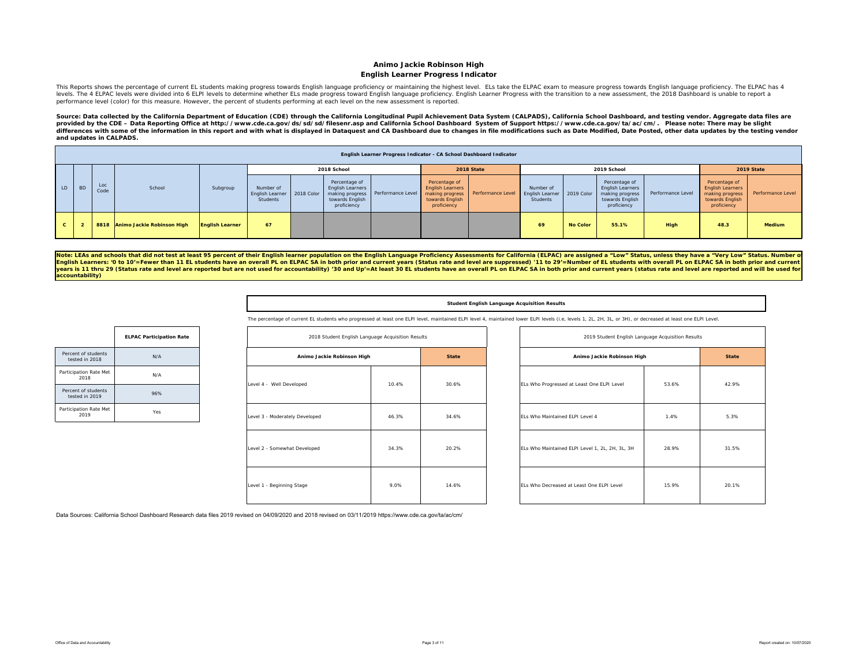### **Animo Jackie Robinson High English Learner Progress Indicator**

This Reports shows the percentage of current EL students making progress towards English language proficiency or maintaining the highest level. ELs take the ELPAC exam to measure progress towards English language proficien levels. The 4 ELPAC levels were divided into 6 ELPI levels to determine whether ELs made progress toward English language proficiency. English Learner Progress with the transition to a new assessment, the 2018 Dashboard is performance level (color) for this measure. However, the percent of students performing at each level on the new assessment is reported.

Source: Data collected by the California Department of Education (CDE) through the California Longitudinal Pupil Achievement Data System (CALPADS), California School Dashboard, and testing vendor. Aggregate data files are *provided by the CDE – Data Reporting Office at http://www.cde.ca.gov/ds/sd/sd/filesenr.asp and California School Dashboard System of Support https://www.cde.ca.gov/ta/ac/cm/. Please note: There may be slight*  differences with some of the information in this report and with what is displayed in Dataquest and CA Dashboard due to changes in file modifications such as Date Modified, Date Posted, other data updates by the testing ve *and updates in CALPADS.* 

|        |           |             |                                 |                        |                                                       |                                                                            | English Learner Progress Indicator - CA School Dashboard Indicator |                                                                                               |                   |                                          |                 |                                                                                               |                   |                                                                                               |                   |
|--------|-----------|-------------|---------------------------------|------------------------|-------------------------------------------------------|----------------------------------------------------------------------------|--------------------------------------------------------------------|-----------------------------------------------------------------------------------------------|-------------------|------------------------------------------|-----------------|-----------------------------------------------------------------------------------------------|-------------------|-----------------------------------------------------------------------------------------------|-------------------|
|        |           |             |                                 |                        |                                                       | 2018 School                                                                |                                                                    |                                                                                               | 2018 State        |                                          |                 | 2019 School                                                                                   |                   |                                                                                               | 2019 State        |
| LD -   | <b>BD</b> | Loc<br>Code | School                          | Subgroup               | Number of<br>English Learner   2018 Color<br>Students | Percentage of<br><b>English Learners</b><br>towards English<br>proficiency | making progress   Performance Level                                | Percentage of<br><b>English Learners</b><br>making progress<br>towards English<br>proficiency | Performance Level | Number of<br>English Learner<br>Students | 2019 Color      | Percentage of<br><b>English Learners</b><br>making progress<br>towards English<br>proficiency | Performance Level | Percentage of<br><b>English Learners</b><br>making progress<br>towards English<br>proficiency | Performance Level |
| $\sim$ |           |             | 8818 Animo Jackie Robinson High | <b>English Learner</b> | 67                                                    |                                                                            |                                                                    |                                                                                               |                   | 69                                       | <b>No Color</b> | 55.1%                                                                                         | High              | 48.3                                                                                          | <b>Medium</b>     |

Note: LEAs and schools that did not test at least 95 percent of their English learner population on the English Language Proficiency Assessments for California (ELPAC) are assigned a "Low" Status, unless they have a "Very **accountability)** 

|  | Student English Language Acquisition Results |  |
|--|----------------------------------------------|--|
|  |                                              |  |

The percentage of current EL students who progressed at least one ELPI level, maintained ELPI level 4, maintained lower ELPI levels (i.e, levels 1, 2L, 2H, 3L, or 3H), or decreased at least one ELPI Level.

| 2018 Student English Language Acquisition Results |       |              |  |  |  |  |  |  |
|---------------------------------------------------|-------|--------------|--|--|--|--|--|--|
| Animo Jackie Robinson High                        |       | <b>State</b> |  |  |  |  |  |  |
| Level 4 - Well Developed                          | 10.4% | 30.6%        |  |  |  |  |  |  |
| Level 3 - Moderately Developed                    | 46.3% | 34.6%        |  |  |  |  |  |  |
| Level 2 - Somewhat Developed                      | 34.3% | 20.2%        |  |  |  |  |  |  |
| Level 1 - Beginning Stage                         | 9.0%  | 14.6%        |  |  |  |  |  |  |

| 2018 Student English Language Acquisition Results |       |              | 2019 Student English Language Acquisition Results |       |              |
|---------------------------------------------------|-------|--------------|---------------------------------------------------|-------|--------------|
| Animo Jackie Robinson High                        |       | <b>State</b> | Animo Jackie Robinson High                        |       | <b>State</b> |
| ped                                               | 10.4% | 30.6%        | ELs Who Progressed at Least One ELPI Level        | 53.6% | 42.9%        |
| Developed                                         | 46.3% | 34.6%        | ELs Who Maintained ELPI Level 4                   | 1.4%  | 5.3%         |
| eveloped                                          | 34.3% | 20.2%        | ELs Who Maintained ELPI Level 1, 2L, 2H, 3L, 3H   | 28.9% | 31.5%        |
| tage                                              | 9.0%  | 14.6%        | ELs Who Decreased at Least One ELPI Level         | 15.9% | 20.1%        |

|                                       | <b>ELPAC Participation Rate</b> |
|---------------------------------------|---------------------------------|
| Percent of students<br>tested in 2018 | N/A                             |
| Participation Rate Met<br>2018        | N/A                             |
| Percent of students<br>tested in 2019 | 96%                             |
| Participation Rate Met<br>2019        | Yes                             |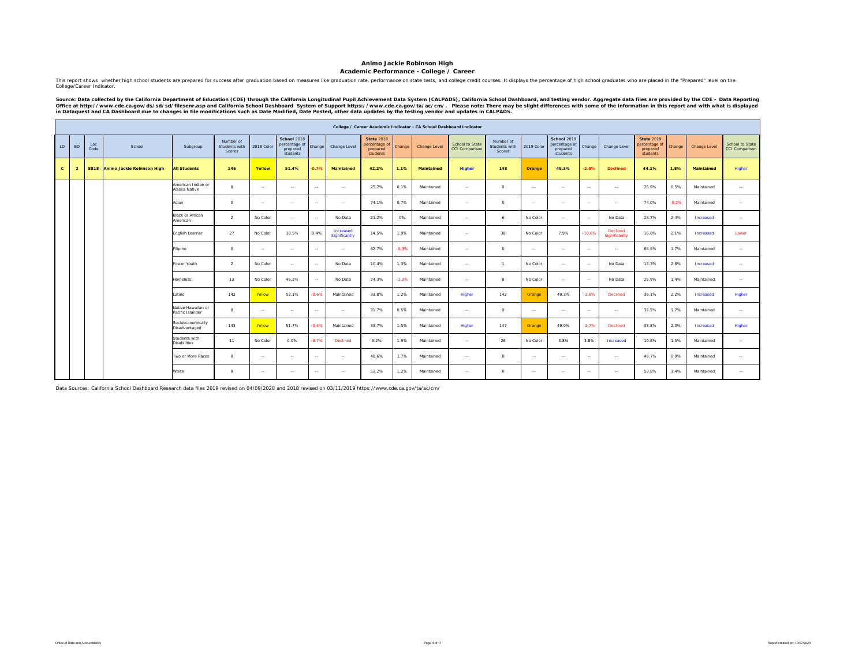### **Academic Performance - College / Career**

This report shows whether high school students are prepared for success after graduation based on measures like graduation rate, performance on state tests, and college credit courses. It displays the percentage of high sc College/Career Indicator.

Source: Data collected by the California Department of Education (CDE) through the California Longitudinal Pupil Achievement Data System (CALPADS), California School Dashboard, and testing vendor. Aggregate data files are

|              |                |             |                                 |                                        |                                             |               |                                                      |               |                            |                                                            |         | College / Career Academic Indicator - CA School Dashboard Indicator |                                          |                                      |               |                                                      |               |                           |                                                            |         |                   |                                   |
|--------------|----------------|-------------|---------------------------------|----------------------------------------|---------------------------------------------|---------------|------------------------------------------------------|---------------|----------------------------|------------------------------------------------------------|---------|---------------------------------------------------------------------|------------------------------------------|--------------------------------------|---------------|------------------------------------------------------|---------------|---------------------------|------------------------------------------------------------|---------|-------------------|-----------------------------------|
| LD           | <b>BD</b>      | Loc<br>Code | School                          | Subgroup                               | Number of<br>Students with<br><b>Scores</b> | 2018 Color    | School 2018<br>percentage of<br>prepared<br>students | Change        | Change Level               | <b>State 2018</b><br>percentage of<br>prepared<br>students | Change  | <b>Change Level</b>                                                 | School to State<br><b>CCI Comparison</b> | Number of<br>Students with<br>Scores | 2019 Color    | School 2019<br>percentage of<br>prepared<br>students | Change        | Change Level              | <b>State 2019</b><br>percentage of<br>prepared<br>students | Change  | Change Level      | School to State<br>CCI Comparison |
| $\mathbf{c}$ | $\overline{2}$ |             | 8818 Animo Jackie Robinson High | <b>All Students</b>                    | 146                                         | Yellow        | 51.4%                                                | $-0.7%$       | <b>Maintained</b>          | 42.2%                                                      | 1.1%    | Maintained                                                          | <b>Higher</b>                            | 148                                  | Orange        | 49.3%                                                | $-2.0%$       | <b>Declined</b>           | 44.1%                                                      | 1.8%    | <b>Maintained</b> | Higher                            |
|              |                |             |                                 | American Indian or<br>Alaska Native    | $\circ$                                     | $\sim$ $\sim$ | $\sim$                                               | $\sim$ $\sim$ | $\sim$                     | 25.2%                                                      | 0.1%    | Maintained                                                          | $\sim$                                   | $\circ$                              | $\sim$        | $\sim$ $\sim$                                        | $\sim$        | $\sim$ $\sim$             | 25.9%                                                      | 0.5%    | Maintained        | $\sim$                            |
|              |                |             |                                 | Asian                                  | $\Omega$                                    | $\sim$        | $\sim$                                               | $\sim$        | $\sim$ $\sim$              | 74.1%                                                      | 0.7%    | Maintained                                                          | $\sim$                                   | $\circ$                              | $\sim$ $\sim$ | $\sim$                                               | $\sim$        | $\sim$ $\sim$             | 74.0%                                                      | $-0.2%$ | Maintained        | $\sim$ $\sim$                     |
|              |                |             |                                 | Black or African<br>American           | $\overline{2}$                              | No Color      | $\sim$                                               | $\sim$ $\sim$ | No Data                    | 21.2%                                                      | 0%      | Maintained                                                          | $\sim$                                   | 6                                    | No Color      | $\sim$ $\sim$                                        | $\sim$        | No Data                   | 23.7%                                                      | 2.4%    | Increased         | $\sim$ $\sim$                     |
|              |                |             |                                 | English Learner                        | 27                                          | No Color      | 18.5%                                                | 9.4%          | Increased<br>Significantly | 14.5%                                                      | 1.9%    | Maintained                                                          | $\cdots$                                 | 38                                   | No Color      | 7.9%                                                 | $-10.6%$      | Declined<br>Significantly | 16.8%                                                      | 2.1%    | Increased         | Lower                             |
|              |                |             |                                 | Filipino                               | $\circ$                                     | $\sim$ $\sim$ | $\sim$                                               | $\sim$        | $\sim$ $\sim$              | 62.7%                                                      | $-0.3%$ | Maintained                                                          | $\sim$                                   | $\Omega$                             | $\sim$        | $\sim$                                               | $\sim$        | $\sim$ $\sim$             | 64.5%                                                      | 1.7%    | Maintained        | $\sim$ $\sim$                     |
|              |                |             |                                 | Foster Youth                           | $\overline{2}$                              | No Color      | $\cdots$                                             | $\sim$        | No Data                    | 10.4%                                                      | 1.3%    | Maintained                                                          | $\cdots$                                 | $\overline{1}$                       | No Color      | $\sim$                                               | $\cdots$      | No Data                   | 13.3%                                                      | 2.8%    | Increased         | $\sim$                            |
|              |                |             |                                 | Homeless                               | 13                                          | No Color      | 46.2%                                                | $\sim$        | No Data                    | 24.3%                                                      | $-1.3%$ | Maintained                                                          | $\sim$                                   | $\mathbf{a}$                         | No Color      | $\sim$ $\sim$                                        | $\sim$ $\sim$ | No Data                   | 25.9%                                                      | 1.4%    | Maintained        | $\sim$ $\sim$                     |
|              |                |             |                                 | Latino                                 | 142                                         | Yellow        | 52.1%                                                | $-0.6%$       | Maintained                 | 33.8%                                                      | 1.2%    | Maintained                                                          | Higher                                   | 142                                  | Orange        | 49.3%                                                | $-2.8%$       | Declined                  | 36.1%                                                      | 2.2%    | Increased         | Higher                            |
|              |                |             |                                 | Native Hawaiian or<br>Pacific Islander | $\Omega$                                    | $\sim$ $\sim$ | $\sim$                                               | $\sim$ $\sim$ | $\sim$                     | 31.7%                                                      | 0.5%    | Maintained                                                          | $\sim$                                   | $\Omega$                             | $\sim$ $\sim$ | $\sim$                                               | $\sim$        | $\sim$ $\sim$             | 33.5%                                                      | 1.7%    | Maintained        | $\sim$                            |
|              |                |             |                                 | Socioeconomically<br>Disadvantaged     | 145                                         | Yellow        | 51.7%                                                | $-0.4%$       | Maintained                 | 33.7%                                                      | 1.5%    | Maintained                                                          | Higher                                   | 147                                  | Orange        | 49.0%                                                | $-2.7%$       | Declined                  | 35.8%                                                      | 2.0%    | Increased         | Higher                            |
|              |                |             |                                 | Students with<br><b>Disabilities</b>   | 11                                          | No Color      | 0.0%                                                 | $-8.7%$       | Declined                   | 9.2%                                                       | 1.9%    | Maintained                                                          | $\sim$                                   | 26                                   | No Color      | 3.8%                                                 | 3.8%          | Increased                 | 10.8%                                                      | 1.5%    | Maintained        | $\sim$                            |
|              |                |             |                                 | Two or More Races                      | $\Omega$                                    | $\sim$ $\sim$ | $\sim$                                               | $\sim$ $\sim$ | $\sim$                     | 48.6%                                                      | 1.7%    | Maintained                                                          | $\sim$                                   | $\circ$                              | $\sim$ $\sim$ | $\sim$                                               | $\sim$        | $\sim$                    | 49.7%                                                      | 0.9%    | Maintained        | $\sim$ $\sim$                     |
|              |                |             |                                 | White                                  | $\circ$                                     | $\sim$        | $\sim$                                               | $\sim$        | $\sim$                     | 52.2%                                                      | 1.2%    | Maintained                                                          | $\cdots$                                 | $\Omega$                             | $\sim$        | $\sim$                                               | $\cdots$      | $\sim$                    | 53.8%                                                      | 1.4%    | Maintained        | $\sim$                            |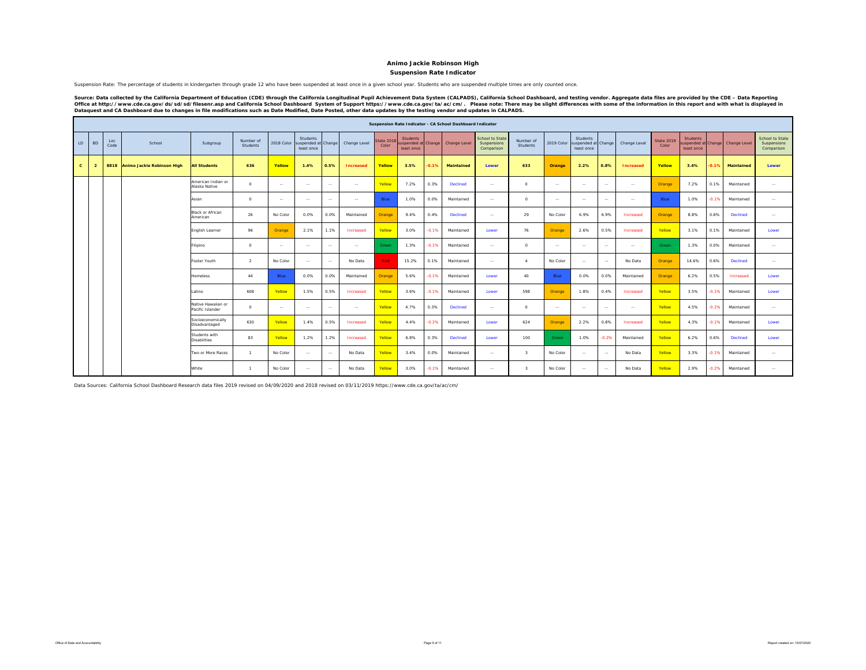### **Suspension Rate Indicator**

Suspension Rate: The percentage of students in kindergarten through grade 12 who have been suspended at least once in a given school year. Students who are suspended multiple times are only counted once.

Source: Data collected by the California Department of Education (CDE) through the California Longitudinal Pupil Achievement Data System (CALPADS), California School Dashboard, and testing vendor. Aggregate data files are

|              |                |             |                                 |                                        |                       |               |                                               |        |                  |                            |                                                     |         | Suspension Rate Indicator - CA School Dashboard Indicator |                                                            |                       |               |                                               |                |                  |                            |                                                     |         |              |                                              |
|--------------|----------------|-------------|---------------------------------|----------------------------------------|-----------------------|---------------|-----------------------------------------------|--------|------------------|----------------------------|-----------------------------------------------------|---------|-----------------------------------------------------------|------------------------------------------------------------|-----------------------|---------------|-----------------------------------------------|----------------|------------------|----------------------------|-----------------------------------------------------|---------|--------------|----------------------------------------------|
| LD           | <b>BD</b>      | Loc<br>Code | School                          | Subgroup                               | Number of<br>Students | 2018 Color    | Students<br>suspended at Change<br>least once |        | Change Level     | <b>State 2018</b><br>Color | <b>Students</b><br>uspended at Change<br>least once |         | Change Level                                              | <b>School to State</b><br><b>Suspensions</b><br>Comparison | Number of<br>Students | 2019 Color    | Students<br>suspended at Change<br>least once |                | Change Level     | <b>State 2019</b><br>Color | <b>Students</b><br>ispended at Change<br>least once |         | Change Level | School to State<br>Suspensions<br>Comparison |
| $\mathbf{c}$ | $\overline{2}$ |             | 8818 Animo Jackie Robinson High | <b>All Students</b>                    | 636                   | Yellow        | 1.4%                                          | 0.5%   | <b>Increased</b> | Yellow                     | 3.5%                                                | $-0.1%$ | <b>Maintained</b>                                         | Lower                                                      | 633                   | Orange        | 2.2%                                          | 0.8%           | <b>Increased</b> | Yellow                     | 3.4%                                                | 0.1%    | Maintained   | Lower                                        |
|              |                |             |                                 | American Indian or<br>Alaska Native    | $\Omega$              | $\sim$        | $\sim$                                        | $\sim$ | $\sim$           | Yellow                     | 7.2%                                                | 0.3%    | <b>Declined</b>                                           | $\sim$ $\sim$                                              | $\Omega$              | $\sim$        | $\sim$                                        | $\sim$         | $\sim$ $\sim$    | Orange                     | 7.2%                                                | 0.1%    | Maintained   | $\sim$                                       |
|              |                |             |                                 | Asian                                  | $^{\circ}$            | $\sim$ $\sim$ | $\sim$                                        | $\sim$ | $\sim$ $\sim$    | Blue                       | 1.0%                                                | 0.0%    | Maintained                                                | $\sim$ $\sim$                                              | $\Omega$              | $\sim$ $\sim$ | $\sim$                                        | $\sim$         | $\sim$           | Blue                       | 1.0%                                                | $-0.1%$ | Maintained   | $\sim$                                       |
|              |                |             |                                 | Black or African<br>American           | 26                    | No Color      | 0.0%                                          | 0.0%   | Maintained       | Orange                     | 9.4%                                                | 0.4%    | Declined                                                  | $\sim$                                                     | 29                    | No Color      | 6.9%                                          | 6.9%           | Increased        | Orange                     | 8.8%                                                | 0.6%    | Declined     | $\sim$ $\sim$                                |
|              |                |             |                                 | English Learner                        | 96                    | Orange        | 2.1%                                          | 1.1%   | Increased        | Yellow                     | 3.0%                                                | $-0.1%$ | Maintained                                                | Lower                                                      | 76                    | Orange        | 2.6%                                          | 0.5%           | Increased        | Yellow                     | 3.1%                                                | 0.1%    | Maintained   | Lower                                        |
|              |                |             |                                 | Filipino                               | $\circ$               | $\sim$        | $\sim$                                        | $\sim$ | $\sim$           | Green                      | 1.3%                                                | $-0.1%$ | Maintained                                                | $\sim$ $\sim$                                              | $\Omega$              | $\sim$ $\sim$ | $\sim$                                        | <b>Service</b> | $\sim$           | Green                      | 1.3%                                                | 0.0%    | Maintained   | $\sim$                                       |
|              |                |             |                                 | Foster Youth                           | $\overline{2}$        | No Color      | $\sim$                                        | $\sim$ | No Data          | <b>Red</b>                 | 15.2%                                               | 0.1%    | Maintained                                                | $\sim$                                                     | $\mathbf{A}$          | No Color      | $\sim$                                        | $\sim$         | No Data          | Orange                     | 14.6%                                               | 0.6%    | Declined     | $\sim$                                       |
|              |                |             |                                 | Homeless                               | 44                    | Blue          | 0.0%                                          | 0.0%   | Maintained       | Orange                     | 5.6%                                                | $-0.1%$ | Maintained                                                | Lower                                                      | 40                    | Blue          | 0.0%                                          | 0.0%           | Maintained       | Orange                     | 6.2%                                                | 0.5%    | Increased    | Lower                                        |
|              |                |             |                                 | Latino                                 | 608                   | Yellow        | 1.5%                                          | 0.5%   | Increased        | Yellow                     | 3.6%                                                | $-0.1%$ | Maintained                                                | Lower                                                      | 598                   | Orange        | 1.8%                                          | 0.4%           | Increased        | Yellow                     | 3.5%                                                | $-0.1%$ | Maintained   | Lower                                        |
|              |                |             |                                 | Native Hawaiian or<br>Pacific Islander | $\Omega$              | $\sim$        | $\sim$                                        | $\sim$ | $\sim$           | Yellow                     | 4.7%                                                | 0.3%    | <b>Declined</b>                                           | $\sim$                                                     | $\Omega$              | $\sim$ $\sim$ | $\sim$                                        | $\sim$         | $\sim$           | Yellow                     | 4.5%                                                | 0.2%    | Maintained   | <b>Service</b>                               |
|              |                |             |                                 | Socioeconomically<br>Disadvantaged     | 630                   | Yellow        | 1.4%                                          | 0.5%   | Increased        | Yellow                     | 4.4%                                                | $-0.2%$ | Maintained                                                | Lower                                                      | 624                   | Orange        | 2.2%                                          | 0.8%           | Increased        | Yellow                     | 4.3%                                                | $-0.1%$ | Maintained   | Lower                                        |
|              |                |             |                                 | Students with<br><b>Disabilities</b>   | 83                    | Yellow        | 1.2%                                          | 1.2%   | Increased        | Yellow                     | 6.8%                                                | 0.3%    | Declined                                                  | Lower                                                      | 100                   | Green         | 1.0%                                          | $-0.2%$        | Maintained       | Yellow                     | 6.2%                                                | 0.6%    | Declined     | Lower                                        |
|              |                |             |                                 | Two or More Races                      | $\overline{1}$        | No Color      | $\sim$                                        | $\sim$ | No Data          | Yellow                     | 3.4%                                                | 0.0%    | Maintained                                                | $\sim$                                                     | $\mathbf{3}$          | No Color      | $\sim$                                        | $\sim$         | No Data          | Yellow                     | 3.3%                                                | $-0.1%$ | Maintained   | $\sim$ $\sim$                                |
|              |                |             |                                 | White                                  | $\mathbf{1}$          | No Color      | $\sim$                                        | $\sim$ | No Data          | Yellow                     | 3.0%                                                | $-0.1%$ | Maintained                                                | $\sim$ $\sim$                                              | $\mathbf{3}$          | No Color      | $\sim$                                        | $\sim$ $\sim$  | No Data          | Yellow                     | 2.9%                                                | $-0.2%$ | Maintained   | $\sim$ $\sim$                                |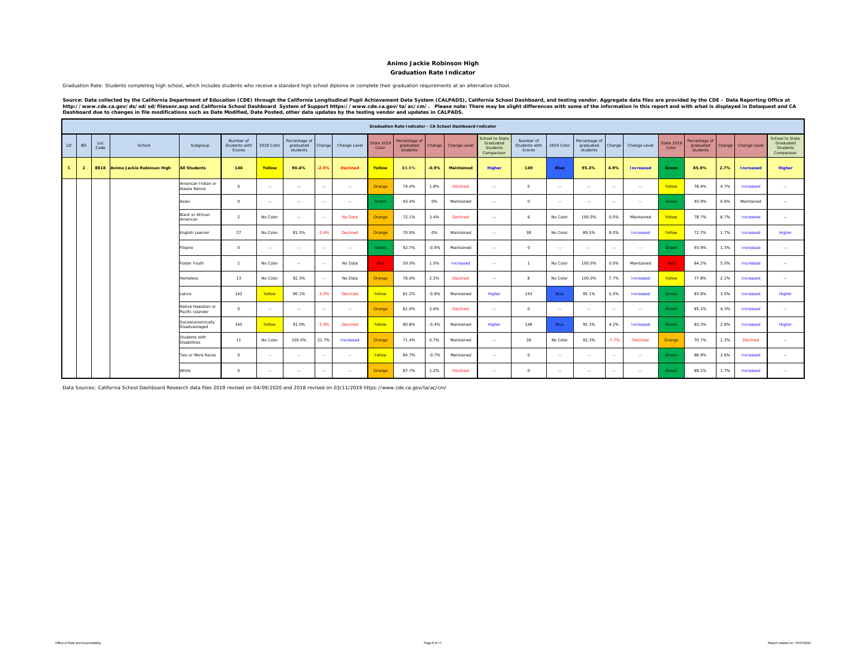#### **Graduation Rate Indicator**

Graduation Rate: Students completing high school, which includes students who receive a standard high school diploma or complete their graduation requirements at an alternative school.

Source: Data collected by the California Department of Education (CDE) through the California Longitudinal Pupil Achievement Data System (CALPADS), California School Dashboard, and testing vendor. Aggregate data files are

|              |                |             |                                 |                                        |                                      |            |                                        |               |                 |                     |                                        |         | <b>Graduation Rate Indicator - CA School Dashboard Indicator</b> |                                                        |                                             |                |                                        |               |                  |                     |                                        |      |                     |                                                        |
|--------------|----------------|-------------|---------------------------------|----------------------------------------|--------------------------------------|------------|----------------------------------------|---------------|-----------------|---------------------|----------------------------------------|---------|------------------------------------------------------------------|--------------------------------------------------------|---------------------------------------------|----------------|----------------------------------------|---------------|------------------|---------------------|----------------------------------------|------|---------------------|--------------------------------------------------------|
| LD           | <b>BD</b>      | Loc<br>Code | School                          | Subgroup                               | Number of<br>Students with<br>Scores | 2018 Color | Percentage of<br>graduated<br>students | Change        | Change Level    | State 2018<br>Color | Percentage of<br>graduated<br>students | Change  | Change Level                                                     | School to State<br>Graduated<br>Students<br>Comparison | Number of<br>Students with<br><b>Scores</b> | 2019 Color     | Percentage of<br>graduated<br>students | Change        | Change Level     | State 2019<br>Color | Percentage of<br>graduated<br>students |      | Change Change Level | School to State<br>Graduated<br>Students<br>Comparison |
| $\mathbf{c}$ | $\overline{2}$ |             | 8818 Animo Jackie Robinson High | <b>All Students</b>                    | 146                                  | Yellow     | 90.4%                                  | $-2.5%$       | <b>Declined</b> | Yellow              | 83.5%                                  | $-0.9%$ | Maintained                                                       | <b>Higher</b>                                          | 149                                         | Blue           | 95.3%                                  | 4.9%          | <b>Increased</b> | Green               | 85.9%                                  | 2.7% | <b>Increased</b>    | <b>Higher</b>                                          |
|              |                |             |                                 | American Indian or<br>Alaska Native    | $\circ$                              | $\sim$     | $\sim$                                 | $\sim$        | $\sim$          | Orange              | 74.4%                                  | 1.8%    | Declined                                                         | $\sim$                                                 | $\circ$                                     | $\sim$         | $\sim$ $\sim$                          | $\sim$ $\sim$ | $\sim$           | Yellow              | 78.4%                                  | 4.7% | Increased           | $\sim$                                                 |
|              |                |             |                                 | Asian                                  | $\circ$                              | $\sim$     | <b>Service</b>                         | $\sim$        | $\sim$ $\sim$   | Green               | 93.4%                                  | 0%      | Maintained                                                       | $\sim$ $-$                                             | $\Omega$                                    | $\sim$         | $\sim$ $\sim$                          | $\sim$ $\sim$ | $\sim$           | Green               | 93.9%                                  | 0.6% | Maintained          | $\sim$                                                 |
|              |                |             |                                 | <b>Black or African</b><br>American    | $\mathcal{L}$                        | No Color   | <b>Section</b>                         | $\sim$        | No Data         | Orange              | 72.1%                                  | 3.4%    | Declined                                                         | $\sim$ $\sim$                                          | 6                                           | No Color       | 100.0%                                 | 0.0%          | Maintained       | Yellow              | 78.7%                                  | 6.7% | Increased           | $\sim$                                                 |
|              |                |             |                                 | English Learner                        | 27                                   | No Color   | 81.5%                                  | $-3.4%$       | <b>Declined</b> | Orange              | 70.9%                                  | 0%      | Maintained                                                       | $\sim$                                                 | 38                                          | No Color       | 89.5%                                  | 8.0%          | Increased        | Yellow              | 72.7%                                  | 1.7% | Increased           | Higher                                                 |
|              |                |             |                                 | Filipino                               | $\Omega$                             | $\sim$     | <b>Service</b>                         | $\sim$        | $\sim$ $\sim$   | Green               | 92.7%                                  | $-0.9%$ | Maintained                                                       | $\sim$ $\sim$                                          | $\Omega$                                    | $\sim$         | $\sim$ $\sim$                          | $\sim$        | $\sim$           | Green               | 93.9%                                  | 1.3% | Increased           | $\sim$                                                 |
|              |                |             |                                 | Foster Youth                           | $\mathcal{L}$                        | No Color   | $\sim$                                 | $\sim$        | No Data         | Red -               | 59.0%                                  | 1.0%    | Increased                                                        | $\sim$                                                 | $\mathbf{1}$                                | No Color       | 100.0%                                 | 0.0%          | Maintained       | Red                 | 64.2%                                  | 5.0% | Increased           | $\sim$                                                 |
|              |                |             |                                 | Homeless                               | 13                                   | No Color   | 92.3%                                  | $\sim$        | No Data         | Orange              | 76.0%                                  | 2.5%    | Declined                                                         | $\sim$                                                 | $\mathbf{R}$                                | No Color       | 100.0%                                 | 7.7%          | Increased        | Yellow              | 77.8%                                  | 2.2% | Increased           | $\sim$                                                 |
|              |                |             |                                 | Latino                                 | 142                                  | Yellow     | 90.1%                                  | $-3.0%$       | Declined        | Yellow              | 81.2%                                  | $-0.8%$ | Maintained                                                       | Higher                                                 | 143                                         | Blue           | 95.1%                                  | 5.0%          | Increased        | Green               | 83.8%                                  | 3.0% | Increased           | Higher                                                 |
|              |                |             |                                 | Native Hawaiian or<br>Pacific Islander | $\Omega$                             | $\sim$     | <b>Section</b>                         | $\sim$ $\sim$ | $\sim$ $\sim$   | Orange              | 81.0%                                  | 2.6%    | Declined                                                         | $\sim$ $-$                                             | $\circ$                                     | <b>Service</b> | $\sim$ $\sim$                          | $\sim$        | $\sim$           | Green               | 85.1%                                  | 4.3% | Increased           | $\sim$                                                 |
|              |                |             |                                 | Socioeconomically<br>Disadvantaged     | 145                                  | Yellow     | 91.0%                                  | $-1.9%$       | Declined        | Yellow              | 80.8%                                  | $-0.4%$ | Maintained                                                       | Higher                                                 | 148                                         | Blue           | 95.3%                                  | 4.2%          | Increased        | Green               | 83.3%                                  | 2.8% | Increased           | Higher                                                 |
|              |                |             |                                 | Students with<br><b>Disabilities</b>   | 11                                   | No Color   | 100.0%                                 | 21.7%         | Increased       | Orange              | 71.4%                                  | 0.7%    | Maintained                                                       | $\sim$ $\sim$                                          | 26                                          | No Color       | 92.3%                                  | $-7.7%$       | Declined         | Orange              | 70.7%                                  | 1.3% | Declined            | $\sim$                                                 |
|              |                |             |                                 | Two or More Races                      | $\Omega$                             | $\sim$     | <b>COL</b>                             | $\sim$        | $\sim$ $-$      | Yellow              | 84.7%                                  | $-0.7%$ | Maintained                                                       | $\sim$ $\sim$                                          | $\Omega$                                    | <b>Service</b> | $\sim$                                 | $\sim$ $\sim$ | $\sim$           | Green               | 86.9%                                  | 2.6% | Increased           | $\sim$                                                 |
|              |                |             |                                 | White                                  | $\circ$                              | $\sim$     | $\sim$ $\sim$                          | $\sim$ $\sim$ | $\sim$ $-$      | Orange              | 87.7%                                  | 1.2%    | Declined                                                         | $\sim$                                                 | $\Omega$                                    | $\sim$         | $\sim$ $\sim$                          | $\sim$ $\sim$ | $\sim$           | Green               | 89.1%                                  | 1.7% | Increased           | $\sim$                                                 |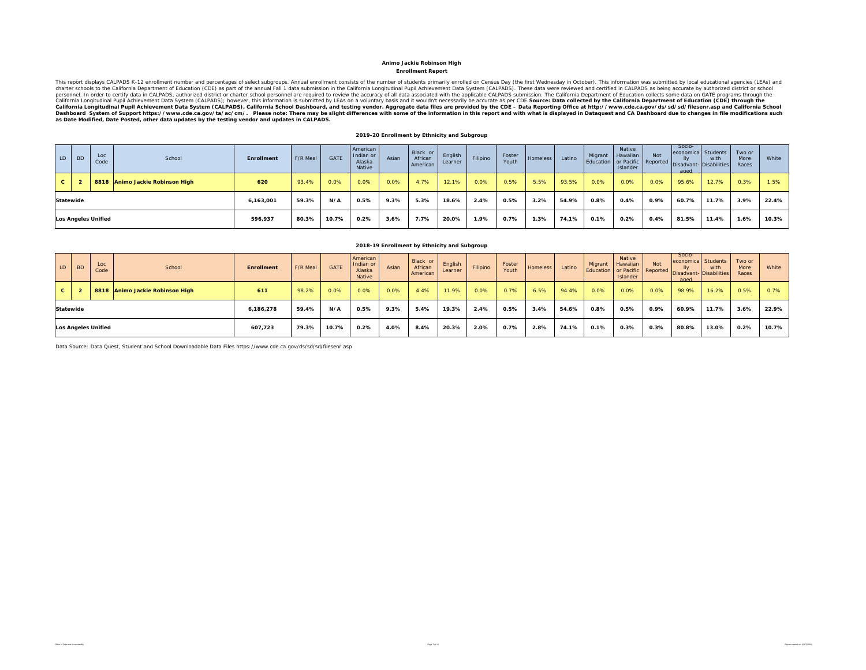#### **Enrollment Report Animo Jackie Robinson High**

This report displays CALPADS K-12 enrollment number and percentages of select subgroups. Annual enrollment consists of the number of students primarily enrolled on Census Day (the first Wednesday in October). This informat California Longitudinal Pupil Achievement Data System (CALPADS), California School Dashboard, and testing vendor. Aggregate data files are provided by the CDE – Data Reporting Office at http://www.cde.ca.gov/ds/sd/filesenr

#### **2019-20 Enrollment by Ethnicity and Subgroup**

| LD | <b>BD</b> | Loc<br>Code                | School                          | <b>Enrollment</b> | F/R Meal | GATE  | American<br>Indian or<br>Alaska<br>Native | Asian | Black or<br>African<br>American | English<br>Learner | Filipino | Foster<br>Youth | Homeless | Latino | Migrant | Native<br><b>Hawaiian</b><br>Islander | <b>Not</b> | Socio-<br>economica Students<br>IIv<br>aged | with<br>Education or Pacific Reported Disadvant- Disabilities | Two or<br>More<br>Races | White |
|----|-----------|----------------------------|---------------------------------|-------------------|----------|-------|-------------------------------------------|-------|---------------------------------|--------------------|----------|-----------------|----------|--------|---------|---------------------------------------|------------|---------------------------------------------|---------------------------------------------------------------|-------------------------|-------|
| C. |           |                            | 8818 Animo Jackie Robinson High | 620               | 93.4%    | 0.0%  | 0.0%                                      | 0.0%  | 4.7%                            | 12.1%              | 0.0%     | 0.5%            | 5.5%     | 93.5%  | 0.0%    | 0.0%                                  | 0.0%       | 95.6%                                       | 12.7%                                                         | 0.3%                    | 1.5%  |
|    | Statewide |                            |                                 | 6,163,001         | 59.3%    | N/A   | 0.5%                                      | 9.3%  | 5.3%                            | 18.6%              | 2.4%     | 0.5%            | 3.2%     | 54.9%  | 0.8%    | 0.4%                                  | 0.9%       | 60.7%                                       | 11.7%                                                         | 3.9%                    | 22.4% |
|    |           | <b>Los Angeles Unified</b> |                                 | 596,937           | 80.3%    | 10.7% | 0.2%                                      | 3.6%  | 7.7%                            | 20.0%              | 1.9%     | 0.7%            | 1.3%     | 74.1%  | 0.1%    | 0.2%                                  | 0.4%       | 81.5%                                       | 11.4%                                                         | 1.6%                    | 10.3% |

#### LD BD Loc Code School **Enrollment** F/R Meal GATE **Americar** Indian or Alaska NativeAsianBlack or African AmericanEnglish LearnerFilipino Foster Iomeless Latino Migrant Native Hawaiian or Pacific IslanderNot Reported Socioconomic lly sadvar aged **Students** with **Disabilities** Two or More Races**White C 2 8818 Animo Jackie Robinson High 611** 98.2% 0.0% 0.0% 0.0% 4.4% 11.9% 0.0% 0.7% 6.5% 94.4% 0.0% 0.0% 0.0% 98.9% 16.2% 0.5% 0.7%6,186,278 | 59.4% | N/A | 0.5% | 9.3% | 5.4% | 19.3% | 2.4% | 0.5% | 3.4% | 54.6% | 0.8% | 0.5% | 0.9% | 60.9% | 11.7% | 3.6% | 22.9% 607,723 | 79.3% | 10.7% | 0.2% | 4.0% | 8.4% | 20.3% | 2.0% | 0.7% | 2.8% | 74.1% | 0.1% | 0.3% | 0.3% | 80.8% | 13.0% | 0.2% |10.7% **2018-19 Enrollment by Ethnicity and Subgroup StatewideLos Angeles Unified**

Data Source: Data Quest, Student and School Downloadable Data Files https://www.cde.ca.gov/ds/sd/sd/filesenr.asp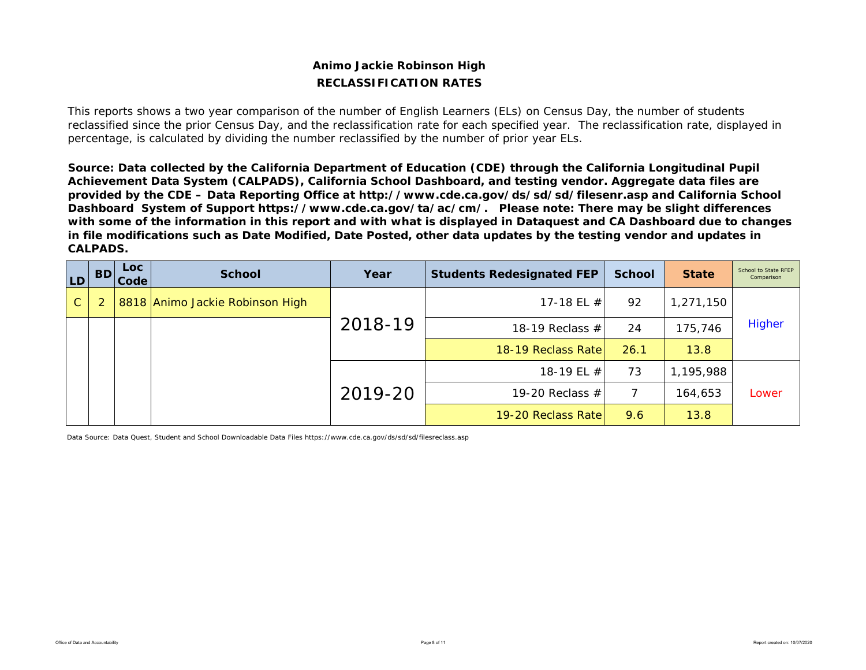# **Animo Jackie Robinson High RECLASSIFICATION RATES**

This reports shows a two year comparison of the number of English Learners (ELs) on Census Day, the number of students reclassified since the prior Census Day, and the reclassification rate for each specified year. The reclassification rate, displayed in percentage, is calculated by dividing the number reclassified by the number of prior year ELs.

*Source: Data collected by the California Department of Education (CDE) through the California Longitudinal Pupil Achievement Data System (CALPADS), California School Dashboard, and testing vendor. Aggregate data files are provided by the CDE – Data Reporting Office at http://www.cde.ca.gov/ds/sd/sd/filesenr.asp and California School Dashboard System of Support https://www.cde.ca.gov/ta/ac/cm/. Please note: There may be slight differences with some of the information in this report and with what is displayed in Dataquest and CA Dashboard due to changes in file modifications such as Date Modified, Date Posted, other data updates by the testing vendor and updates in CALPADS.* 

| <b>LD</b>    | <b>BD</b> | Loc<br>Code | <b>School</b>                   | Year    | <b>Students Redesignated FEP</b> | <b>School</b> | <b>State</b> | School to State RFEP<br>Comparison |
|--------------|-----------|-------------|---------------------------------|---------|----------------------------------|---------------|--------------|------------------------------------|
| $\mathsf{C}$ |           |             | 8818 Animo Jackie Robinson High |         | 17-18 EL $#$                     | 92            | 1,271,150    |                                    |
|              |           |             |                                 | 2018-19 | 18-19 Reclass $#$                | 24            | 175,746      | <b>Higher</b>                      |
|              |           |             |                                 |         | 18-19 Reclass Rate               | 26.1          | 13.8         |                                    |
|              |           |             |                                 |         | 18-19 EL $#$                     | 73            | 1,195,988    |                                    |
|              |           |             |                                 | 2019-20 | 19-20 Reclass $#$                | 7             | 164,653      | Lower                              |
|              |           |             |                                 |         | 19-20 Reclass Rate               | 9.6           | 13.8         |                                    |

Data Source: Data Quest, Student and School Downloadable Data Files https://www.cde.ca.gov/ds/sd/sd/filesreclass.asp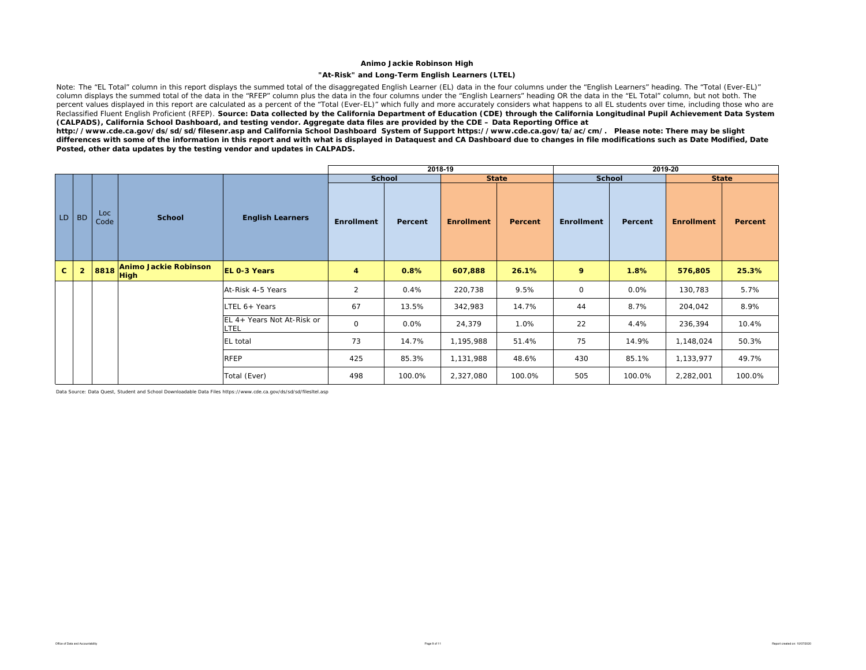### **"At-Risk" and Long-Term English Learners (LTEL)**

Note: The "EL Total" column in this report displays the summed total of the disaggregated English Learner (EL) data in the four columns under the "English Learners" heading. The "Total (Ever-EL)" column displays the summed total of the data in the "RFEP" column plus the data in the four columns under the "English Learners" heading OR the data in the "EL Total" column, but not both. The percent values displayed in this report are calculated as a percent of the "Total (Ever-EL)" which fully and more accurately considers what happens to all EL students over time, including those who are Reclassified Fluent English Proficient (RFEP). *Source: Data collected by the California Department of Education (CDE) through the California Longitudinal Pupil Achievement Data System (CALPADS), California School Dashboard, and testing vendor. Aggregate data files are provided by the CDE – Data Reporting Office at* 

*http://www.cde.ca.gov/ds/sd/sd/filesenr.asp and California School Dashboard System of Support https://www.cde.ca.gov/ta/ac/cm/. Please note: There may be slight differences with some of the information in this report and with what is displayed in Dataquest and CA Dashboard due to changes in file modifications such as Date Modified, Date Posted, other data updates by the testing vendor and updates in CALPADS.* 

|              |                |             |                                             |                                           |                   |               | 2018-19           |              |              |               | 2019-20           |              |
|--------------|----------------|-------------|---------------------------------------------|-------------------------------------------|-------------------|---------------|-------------------|--------------|--------------|---------------|-------------------|--------------|
|              |                |             |                                             |                                           |                   | <b>School</b> |                   | <b>State</b> |              | <b>School</b> |                   | <b>State</b> |
|              | LD BD          | Loc<br>Code | <b>School</b>                               | <b>English Learners</b>                   | <b>Enrollment</b> | Percent       | <b>Enrollment</b> | Percent      | Enrollment   | Percent       | <b>Enrollment</b> | Percent      |
| $\mathbf{C}$ | $\overline{2}$ | 8818        | <b>Animo Jackie Robinson</b><br><b>High</b> | <b>EL 0-3 Years</b>                       | 4                 | 0.8%          | 607,888           | 26.1%        | 9            | 1.8%          | 576,805           | 25.3%        |
|              |                |             |                                             | At-Risk 4-5 Years                         | 2                 | 0.4%          | 220,738           | 9.5%         | $\mathsf{O}$ | 0.0%          | 130,783           | 5.7%         |
|              |                |             |                                             | LTEL 6+ Years                             | 67                | 13.5%         | 342,983           | 14.7%        | 44           | 8.7%          | 204,042           | 8.9%         |
|              |                |             |                                             | EL 4+ Years Not At-Risk or<br><b>LTEL</b> | $\mathsf{O}$      | 0.0%          | 24,379            | 1.0%         | 22           | 4.4%          | 236,394           | 10.4%        |
|              |                |             |                                             | <b>EL</b> total                           | 73                | 14.7%         | 1,195,988         | 51.4%        | 75           | 14.9%         | 1,148,024         | 50.3%        |
|              |                |             |                                             | <b>RFEP</b>                               | 425               | 85.3%         | 1,131,988         | 48.6%        | 430          | 85.1%         | 1,133,977         | 49.7%        |
|              |                |             |                                             | Total (Ever)                              | 498               | 100.0%        | 2,327,080         | 100.0%       | 505          | 100.0%        | 2,282,001         | 100.0%       |

Data Source: Data Quest, Student and School Downloadable Data Files https://www.cde.ca.gov/ds/sd/sd/filesltel.asp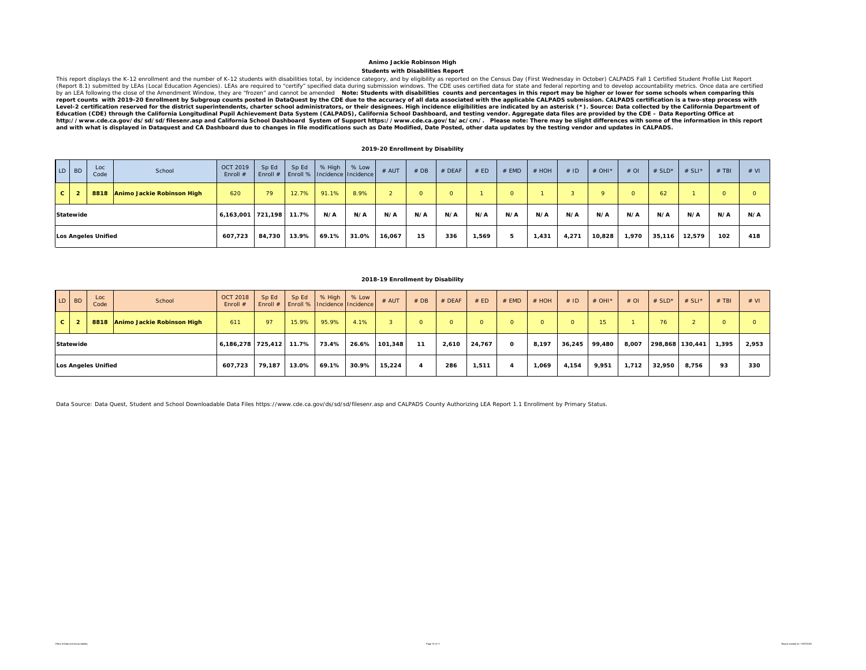#### **Students with Disabilities Report Animo Jackie Robinson High**

This report displays the K-12 enrollment and the number of K-12 students with disabilities total, by incidence category, and by eligibility as reported on the Census Day (First Wednesday in October) CALPADS Fall 1 Certifie Level-2 certification reserved for the district superintendents, charter school administrators, or their designees. High incidence eligibilities are indicated by an asterisk (\*). Source: Data collected by the California De *Education (CDE) through the California Longitudinal Pupil Achievement Data System (CALPADS), California School Dashboard, and testing vendor. Aggregate data files are provided by the CDE – Data Reporting Office at*  http://www.cde.ca.gov/ds/sd/sd/filesenr.asp and California School Dashboard System of Support https://www.cde.ca.gov/ta/ac/cm/. Please note: There may be slight differences with some of the information in this report<br>an

### **2019-20 Enrollment by Disability**

|              | LD BD     | Loc<br>Code                | School                     | <b>OCT 2019</b><br>Enroll $#$ | Sp Ed<br>Enroll $#$ | Sp Ed | % High<br>Enroll % Incidence Incidence | % Low | # AUT  | #DB     | $#$ DEAF | # ED  | # EMD    | # HOH | #ID   | # OHI*  | $#$ OI | # $SLD^*$ | # SLI* | $#$ TBI | # VI |
|--------------|-----------|----------------------------|----------------------------|-------------------------------|---------------------|-------|----------------------------------------|-------|--------|---------|----------|-------|----------|-------|-------|---------|--------|-----------|--------|---------|------|
| $\mathbf{c}$ |           | 8818                       | Animo Jackie Robinson High | 620                           | 79                  | 12.7% | 91.1%                                  | 8.9%  |        | $\circ$ |          |       | $\Omega$ |       |       | $\circ$ |        | 62        |        | o       |      |
|              | Statewide |                            |                            | 6,163,001 721,198             |                     | 11.7% | N/A                                    | N/A   | N/A    | N/A     | N/A      | N/A   | N/A      | N/A   | N/A   | N/A     | N/A    | N/A       | N/A    | N/A     | N/A  |
|              |           | <b>Los Angeles Unified</b> |                            | 607,723                       | 84,730              | 13.9% | 69.1%                                  | 31.0% | 16,067 | 15      | 336      | 1,569 |          | 1,431 | 4,271 | 10,828  | 1,970  | 35,116    | 12,579 | 102     | 418  |

### **2018-19 Enrollment by Disability**

|   | LD BD     | Loc<br>Code                | School                     | <b>OCT 2018</b><br>Enroll $#$ | Sp Ed  | Sp Ed | % High<br>Enroll #   Enroll %   Incidence   Incidence | % Low | $#$ AUT | #DB      | $#$ DEAF | # ED   | $#$ EMD  | # HOH    | #ID    | $#$ OHI <sup>*</sup> | $#$ OI | # $SLD^*$       | # SLI* | $#$ TBI  | # VI  |
|---|-----------|----------------------------|----------------------------|-------------------------------|--------|-------|-------------------------------------------------------|-------|---------|----------|----------|--------|----------|----------|--------|----------------------|--------|-----------------|--------|----------|-------|
| c |           | 8818                       | Animo Jackie Robinson High | 611                           | 97     | 15.9% | 95.9%                                                 | 4.1%  |         | $\Omega$ | $\Omega$ |        | $\Omega$ | $\Omega$ |        | 15 <sup>1</sup>      |        | 76              |        | $\Omega$ |       |
|   | Statewide |                            |                            | 6,186,278 725,412             |        | 11.7% | 73.4%                                                 | 26.6% | 101.348 | 11       | 2.610    | 24,767 | 0        | 8,197    | 36,245 | 99,480               | 8,007  | 298,868 130,441 |        | 1.395    | 2,953 |
|   |           | <b>Los Angeles Unified</b> |                            | 607,723                       | 79.187 | 13.0% | 69.1%                                                 | 30.9% | 15,224  | 4        | 286      | 1,511  |          | 1,069    | 4,154  | 9,951                | 1,712  | 32,950          | 8,756  | 93       | 330   |

Data Source: Data Quest, Student and School Downloadable Data Files https://www.cde.ca.gov/ds/sd/sd/filesenr.asp and CALPADS County Authorizing LEA Report 1.1 Enrollment by Primary Status.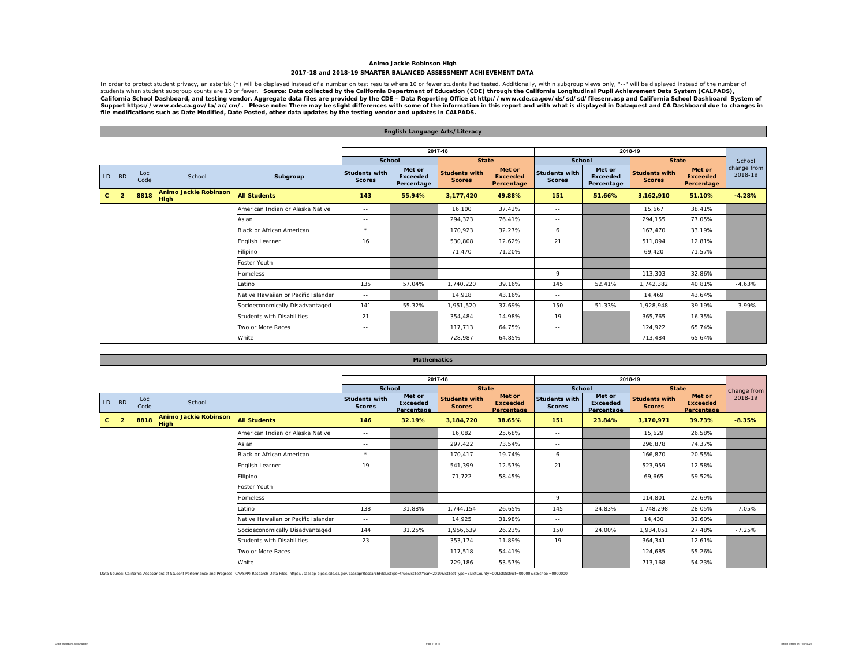### **Animo Jackie Robinson High 2017-18 and 2018-19 SMARTER BALANCED ASSESSMENT ACHIEVEMENT DATA**

In order to protect student privacy, an asterisk (\*) will be displayed instead of a number on test results where 10 or fewer. Source: Data collected by the California Department of Education (CDE) through the California Lo

|              |                |             |                                             |                                     |                                       | English Language Arts/Literacy          |                                       |                                         |                                       |                                         |                                       |                                                                                                                                                                                                                                                                                                                                                                                              |                        |
|--------------|----------------|-------------|---------------------------------------------|-------------------------------------|---------------------------------------|-----------------------------------------|---------------------------------------|-----------------------------------------|---------------------------------------|-----------------------------------------|---------------------------------------|----------------------------------------------------------------------------------------------------------------------------------------------------------------------------------------------------------------------------------------------------------------------------------------------------------------------------------------------------------------------------------------------|------------------------|
|              |                |             |                                             |                                     |                                       |                                         |                                       |                                         |                                       |                                         |                                       |                                                                                                                                                                                                                                                                                                                                                                                              |                        |
|              |                |             |                                             |                                     |                                       |                                         | 2017-18                               |                                         |                                       |                                         | 2018-19                               |                                                                                                                                                                                                                                                                                                                                                                                              |                        |
|              |                |             |                                             |                                     | <b>School</b>                         |                                         | <b>State</b>                          |                                         | School                                |                                         | <b>State</b>                          |                                                                                                                                                                                                                                                                                                                                                                                              | School                 |
| LD           | <b>BD</b>      | Loc<br>Code | School                                      | Subgroup                            | <b>Students with</b><br><b>Scores</b> | Met or<br><b>Exceeded</b><br>Percentage | <b>Students with</b><br><b>Scores</b> | Met or<br><b>Exceeded</b><br>Percentage | <b>Students with</b><br><b>Scores</b> | Met or<br><b>Exceeded</b><br>Percentage | <b>Students with</b><br><b>Scores</b> | Met or<br><b>Exceeded</b><br>Percentage                                                                                                                                                                                                                                                                                                                                                      | change from<br>2018-19 |
| $\mathbf{c}$ | $\overline{2}$ | 8818        | <b>Animo Jackie Robinson</b><br><b>High</b> | <b>All Students</b>                 | 143                                   | 55.94%                                  | 3,177,420                             | 49.88%                                  | 151                                   | 51.66%                                  | 3,162,910                             | 51.10%                                                                                                                                                                                                                                                                                                                                                                                       | $-4.28%$               |
|              |                |             |                                             | American Indian or Alaska Native    | $\sim$ $-$                            |                                         | 16.100                                | 37.42%                                  | $\sim$ $-$                            |                                         | 15.667                                | 38.41%                                                                                                                                                                                                                                                                                                                                                                                       |                        |
|              |                |             |                                             | Asian                               | $\sim$ $-$                            |                                         | 294,323                               | 76.41%                                  | $\sim$ $-$                            |                                         | 294.155                               | 77.05%                                                                                                                                                                                                                                                                                                                                                                                       |                        |
|              |                |             |                                             | Black or African American           | $\star$                               |                                         | 170,923                               | 32.27%                                  | 6                                     |                                         | 167.470                               | 33.19%                                                                                                                                                                                                                                                                                                                                                                                       |                        |
|              |                |             |                                             | English Learner                     | 16                                    |                                         | 530,808                               | 12.62%                                  | 21                                    |                                         | 511,094                               | 12.81%                                                                                                                                                                                                                                                                                                                                                                                       |                        |
|              |                |             |                                             | Filipino                            | $\sim$ $-$                            |                                         | 71,470                                | 71.20%                                  | $\sim$ $-$                            |                                         | 69,420                                | 71.57%                                                                                                                                                                                                                                                                                                                                                                                       |                        |
|              |                |             |                                             | Foster Youth                        | $\sim$ $-$                            |                                         | $\sim$ $-$                            | $\sim$ $-$                              | $\sim$ $-$                            |                                         | $\sim$ $-$                            | $\frac{1}{2} \frac{1}{2} \frac{1}{2} \frac{1}{2} \frac{1}{2} \frac{1}{2} \frac{1}{2} \frac{1}{2} \frac{1}{2} \frac{1}{2} \frac{1}{2} \frac{1}{2} \frac{1}{2} \frac{1}{2} \frac{1}{2} \frac{1}{2} \frac{1}{2} \frac{1}{2} \frac{1}{2} \frac{1}{2} \frac{1}{2} \frac{1}{2} \frac{1}{2} \frac{1}{2} \frac{1}{2} \frac{1}{2} \frac{1}{2} \frac{1}{2} \frac{1}{2} \frac{1}{2} \frac{1}{2} \frac{$ |                        |
|              |                |             |                                             | <b>Homeless</b>                     | $\sim$ $-$                            |                                         | $\sim$ $-$                            | $\frac{1}{2}$                           | $\mathsf{Q}$                          |                                         | 113,303                               | 32.86%                                                                                                                                                                                                                                                                                                                                                                                       |                        |
|              |                |             |                                             | Latino                              | 135                                   | 57.04%                                  | 1.740.220                             | 39.16%                                  | 145                                   | 52.41%                                  | 1,742,382                             | 40.81%                                                                                                                                                                                                                                                                                                                                                                                       | $-4.63%$               |
|              |                |             |                                             | Native Hawaiian or Pacific Islander | $\sim$ $-$                            |                                         | 14,918                                | 43.16%                                  | $\sim$ $-$                            |                                         | 14.469                                | 43.64%                                                                                                                                                                                                                                                                                                                                                                                       |                        |
|              |                |             |                                             | Socioeconomically Disadvantaged     | 141                                   | 55.32%                                  | 1,951,520                             | 37.69%                                  | 150                                   | 51.33%                                  | 1,928,948                             | 39.19%                                                                                                                                                                                                                                                                                                                                                                                       | $-3.99%$               |
|              |                |             |                                             | Students with Disabilities          | 21                                    |                                         | 354,484                               | 14.98%                                  | 19                                    |                                         | 365,765                               | 16.35%                                                                                                                                                                                                                                                                                                                                                                                       |                        |
|              |                |             |                                             | Two or More Races                   | $\sim$ $-$                            |                                         | 117.713                               | 64.75%                                  | $\sim$ $-$                            |                                         | 124.922                               | 65.74%                                                                                                                                                                                                                                                                                                                                                                                       |                        |
|              |                |             |                                             | White                               | $\sim$ $-$                            |                                         | 728,987                               | 64.85%                                  | $\sim$ $-$                            |                                         | 713.484                               | 65.64%                                                                                                                                                                                                                                                                                                                                                                                       |                        |

|              |                |             |                                             |                                     |                                       | <b>Mathematics</b>                      |                                       |                                         |                                       |                                         |                                       |                                         |             |
|--------------|----------------|-------------|---------------------------------------------|-------------------------------------|---------------------------------------|-----------------------------------------|---------------------------------------|-----------------------------------------|---------------------------------------|-----------------------------------------|---------------------------------------|-----------------------------------------|-------------|
|              |                |             |                                             |                                     |                                       |                                         |                                       |                                         |                                       |                                         |                                       |                                         |             |
|              |                |             |                                             |                                     |                                       |                                         | 2017-18                               |                                         |                                       |                                         | 2018-19                               |                                         |             |
|              |                |             |                                             |                                     |                                       | <b>School</b>                           |                                       | <b>State</b>                            | School                                |                                         | <b>State</b>                          |                                         | Change from |
| LD           | <b>BD</b>      | Loc<br>Code | School                                      |                                     | <b>Students with</b><br><b>Scores</b> | Met or<br><b>Exceeded</b><br>Percentage | <b>Students with</b><br><b>Scores</b> | Met or<br><b>Exceeded</b><br>Percentage | <b>Students with</b><br><b>Scores</b> | Met or<br><b>Exceeded</b><br>Percentage | <b>Students with</b><br><b>Scores</b> | Met or<br><b>Exceeded</b><br>Percentage | 2018-19     |
| $\mathbf{C}$ | $\overline{2}$ | 8818        | <b>Animo Jackie Robinson</b><br><b>High</b> | <b>All Students</b>                 | 146                                   | 32.19%                                  | 3,184,720                             | 38.65%                                  | 151                                   | 23.84%                                  | 3,170,971                             | 39.73%                                  | $-8.35%$    |
|              |                |             |                                             | American Indian or Alaska Native    | $\sim$ $\sim$                         |                                         | 16,082                                | 25.68%                                  | $\sim$ $-$                            |                                         | 15,629                                | 26.58%                                  |             |
|              |                |             |                                             | Asian                               | $\sim$ $-$                            |                                         | 297,422                               | 73.54%                                  | $\sim$ $-$                            |                                         | 296,878                               | 74.37%                                  |             |
|              |                |             |                                             | Black or African American           | $\star$                               |                                         | 170,417                               | 19.74%                                  | 6                                     |                                         | 166,870                               | 20.55%                                  |             |
|              |                |             |                                             | English Learner                     | 19                                    |                                         | 541,399                               | 12.57%                                  | 21                                    |                                         | 523,959                               | 12.58%                                  |             |
|              |                |             |                                             | Filipino                            | $\sim$ $-$                            |                                         | 71,722                                | 58.45%                                  | $\sim$ $-$                            |                                         | 69.665                                | 59.52%                                  |             |
|              |                |             |                                             | Foster Youth                        | $- -$                                 |                                         | $- -$                                 | $- -$                                   | $- -$                                 |                                         | $\sim$ $-$                            | $\sim$ $-$                              |             |
|              |                |             |                                             | <b>Homeless</b>                     | $\sim$ $-$                            |                                         | $\sim$ $-$                            | $\sim$ $-$                              | 9                                     |                                         | 114,801                               | 22.69%                                  |             |
|              |                |             |                                             | Latino                              | 138                                   | 31.88%                                  | 1.744.154                             | 26.65%                                  | 145                                   | 24.83%                                  | 1.748.298                             | 28.05%                                  | $-7.05%$    |
|              |                |             |                                             | Native Hawaiian or Pacific Islander | $\sim$ $-$                            |                                         | 14,925                                | 31.98%                                  | $\sim$ $-$                            |                                         | 14,430                                | 32.60%                                  |             |
|              |                |             |                                             | Socioeconomically Disadvantaged     | 144                                   | 31.25%                                  | 1,956,639                             | 26.23%                                  | 150                                   | 24.00%                                  | 1,934,051                             | 27.48%                                  | $-7.25%$    |
|              |                |             |                                             | Students with Disabilities          | 23                                    |                                         | 353,174                               | 11.89%                                  | 19                                    |                                         | 364,341                               | 12.61%                                  |             |
|              |                |             |                                             | Two or More Races                   | $\sim$ $-$                            |                                         | 117,518                               | 54.41%                                  | $\sim$ $-$                            |                                         | 124,685                               | 55.26%                                  |             |
|              |                |             |                                             | White                               | $- -$                                 |                                         | 729,186                               | 53.57%                                  | $- -$                                 |                                         | 713,168                               | 54.23%                                  |             |

Data Source: California Assessment of Student Performance and Progress (CAASPP) Research Data Files. https://caaspp-elpac.cde.ca.gov/caaspp/ResearchFlieList?ps=true&isTestYear=2019&isTestType=B&istCounty=00&istDistrict=000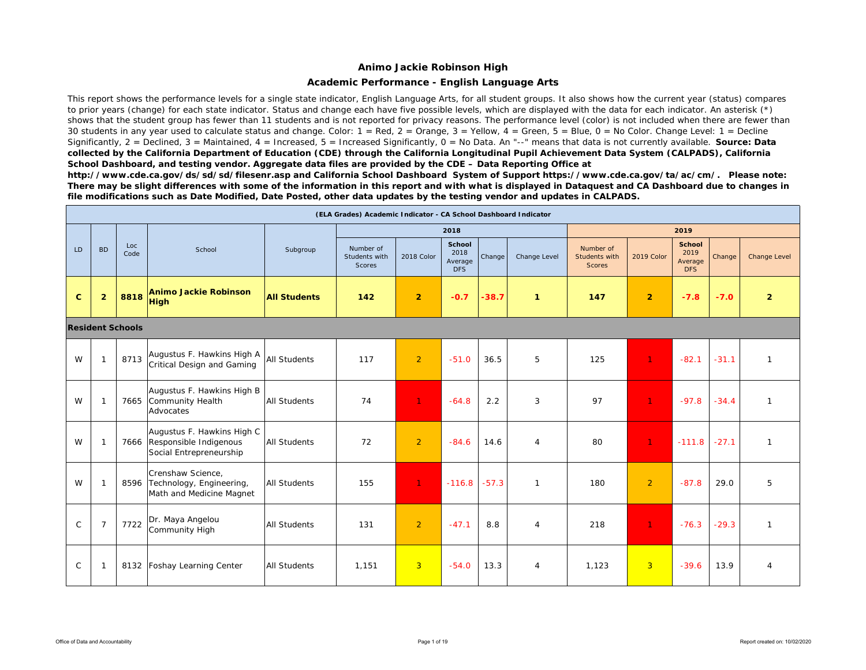### **Academic Performance - English Language Arts**

This report shows the performance levels for a single state indicator, English Language Arts, for all student groups. It also shows how the current year (status) compares to prior years (change) for each state indicator. Status and change each have five possible levels, which are displayed with the data for each indicator. An asterisk (\*) shows that the student group has fewer than 11 students and is not reported for privacy reasons. The performance level (color) is not included when there are fewer than 30 students in any year used to calculate status and change. Color:  $1 = \text{Red}$ ,  $2 = \text{Orange}$ ,  $3 = \text{Yellow}$ ,  $4 = \text{Green}$ ,  $5 = \text{Blue}$ ,  $0 = \text{No Color}$ . Change Level:  $1 = \text{Decline}$ Significantly, 2 = Declined, 3 = Maintained, 4 = Increased, 5 = Increased Significantly, 0 = No Data. An "--" means that data is not currently available. **Source: Data** *collected by the California Department of Education (CDE) through the California Longitudinal Pupil Achievement Data System (CALPADS), California School Dashboard, and testing vendor. Aggregate data files are provided by the CDE – Data Reporting Office at* 

*http://www.cde.ca.gov/ds/sd/sd/filesenr.asp and California School Dashboard System of Support https://www.cde.ca.gov/ta/ac/cm/. Please note: There may be slight differences with some of the information in this report and with what is displayed in Dataquest and CA Dashboard due to changes in file modifications such as Date Modified, Date Posted, other data updates by the testing vendor and updates in CALPADS.* 

|              |                |                         |                                                                                      |                     | (ELA Grades) Academic Indicator - CA School Dashboard Indicator |                |                                         |         |                |                                             |                |                                                |         |                |
|--------------|----------------|-------------------------|--------------------------------------------------------------------------------------|---------------------|-----------------------------------------------------------------|----------------|-----------------------------------------|---------|----------------|---------------------------------------------|----------------|------------------------------------------------|---------|----------------|
|              |                |                         |                                                                                      |                     |                                                                 |                | 2018                                    |         |                |                                             |                | 2019                                           |         |                |
| LD.          | <b>BD</b>      | Loc<br>Code             | School                                                                               | Subgroup            | Number of<br>Students with<br>Scores                            | 2018 Color     | School<br>2018<br>Average<br><b>DFS</b> | Change  | Change Level   | Number of<br>Students with<br><b>Scores</b> | 2019 Color     | <b>School</b><br>2019<br>Average<br><b>DFS</b> | Change  | Change Level   |
| $\mathbf{C}$ | $\overline{2}$ | 8818                    | <b>Animo Jackie Robinson</b><br><b>High</b>                                          | <b>All Students</b> | 142                                                             | $\overline{2}$ | $-0.7$                                  | $-38.7$ | $\mathbf{1}$   | 147                                         | $\overline{2}$ | $-7.8$                                         | $-7.0$  | $\overline{2}$ |
|              |                | <b>Resident Schools</b> |                                                                                      |                     |                                                                 |                |                                         |         |                |                                             |                |                                                |         |                |
| W            | r.             | 8713                    | Augustus F. Hawkins High A<br>Critical Design and Gaming                             | <b>All Students</b> | 117                                                             | $\overline{2}$ | $-51.0$                                 | 36.5    | 5              | 125                                         | $\mathbf{1}$   | $-82.1$                                        | $-31.1$ | $\mathbf{1}$   |
| W            |                | 7665                    | Augustus F. Hawkins High B<br>Community Health<br>Advocates                          | <b>All Students</b> | 74                                                              | 1              | $-64.8$                                 | 2.2     | 3              | 97                                          | $\mathbf{1}$   | $-97.8$                                        | $-34.4$ | $\mathbf{1}$   |
| W            |                |                         | Augustus F. Hawkins High C<br>7666 Responsible Indigenous<br>Social Entrepreneurship | <b>All Students</b> | 72                                                              | $\overline{2}$ | $-84.6$                                 | 14.6    | $\overline{4}$ | 80                                          | $\mathbf{1}$   | $-111.8$                                       | $-27.1$ | $\mathbf{1}$   |
| W            |                | 8596                    | Crenshaw Science,<br>Technology, Engineering,<br>Math and Medicine Magnet            | <b>All Students</b> | 155                                                             | $\mathbf{1}$   | $-116.8$                                | $-57.3$ | $\mathbf{1}$   | 180                                         | $\overline{2}$ | $-87.8$                                        | 29.0    | 5              |
| $\mathsf{C}$ | $\overline{7}$ | 7722                    | Dr. Maya Angelou<br>Community High                                                   | <b>All Students</b> | 131                                                             | $\overline{2}$ | $-47.1$                                 | 8.8     | $\overline{4}$ | 218                                         | $\mathbf{1}$   | $-76.3$                                        | $-29.3$ | $\mathbf{1}$   |
| $\mathsf{C}$ |                |                         | 8132 Foshay Learning Center                                                          | <b>All Students</b> | 1.151                                                           | $\overline{3}$ | $-54.0$                                 | 13.3    | $\overline{4}$ | 1.123                                       | $\overline{3}$ | $-39.6$                                        | 13.9    | $\overline{4}$ |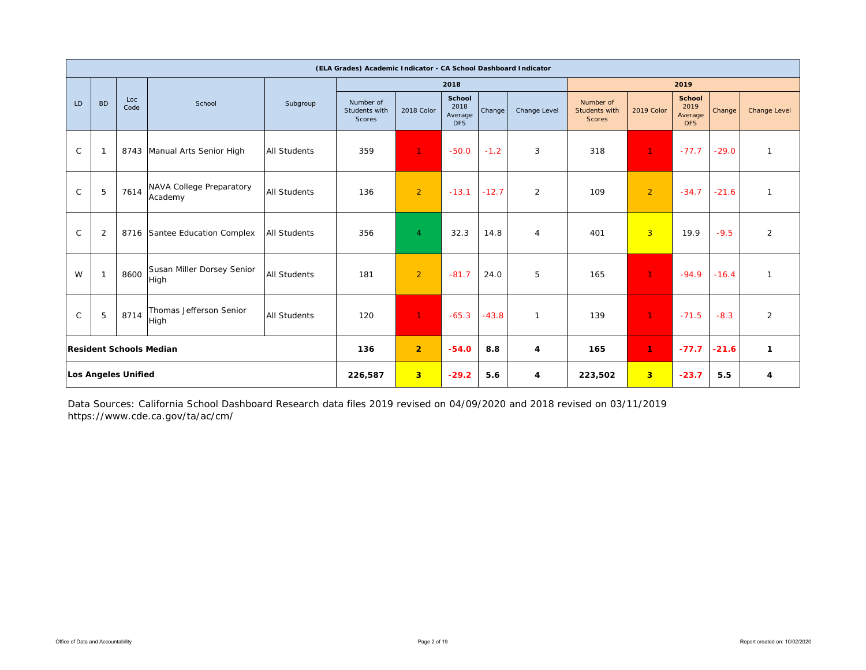|              |                |                            |                                     |                     | (ELA Grades) Academic Indicator - CA School Dashboard Indicator |                |                                         |         |                |                                             |                |                                         |         |                |
|--------------|----------------|----------------------------|-------------------------------------|---------------------|-----------------------------------------------------------------|----------------|-----------------------------------------|---------|----------------|---------------------------------------------|----------------|-----------------------------------------|---------|----------------|
|              |                |                            |                                     |                     |                                                                 |                | 2018                                    |         |                |                                             |                | 2019                                    |         |                |
| LD           | <b>BD</b>      | Loc<br>Code                | School                              | Subgroup            | Number of<br>Students with<br>Scores                            | 2018 Color     | School<br>2018<br>Average<br><b>DFS</b> | Change  | Change Level   | Number of<br>Students with<br><b>Scores</b> | 2019 Color     | <b>School</b><br>2019<br>Average<br>DFS | Change  | Change Level   |
| $\mathsf{C}$ | -1             |                            | 8743 Manual Arts Senior High        | <b>All Students</b> | 359                                                             | $\mathbf{1}$   | $-50.0$                                 | $-1.2$  | 3              | 318                                         | $\mathbf{1}$   | $-77.7$                                 | $-29.0$ | $\mathbf{1}$   |
| $\mathsf C$  | 5              | 7614                       | NAVA College Preparatory<br>Academy | <b>All Students</b> | 136                                                             | $\overline{2}$ | $-13.1$                                 | $-12.7$ | $\overline{2}$ | 109                                         | $\overline{2}$ | $-34.7$                                 | $-21.6$ | $\mathbf{1}$   |
| $\mathsf{C}$ | $\overline{2}$ |                            | 8716 Santee Education Complex       | <b>All Students</b> | 356                                                             | $\overline{4}$ | 32.3                                    | 14.8    | 4              | 401                                         | $\overline{3}$ | 19.9                                    | $-9.5$  | $\overline{2}$ |
| W            | $\mathbf{1}$   | 8600                       | Susan Miller Dorsey Senior<br>High  | <b>All Students</b> | 181                                                             | 2              | $-81.7$                                 | 24.0    | 5              | 165                                         | $\mathbf{1}$   | $-94.9$                                 | $-16.4$ | $\mathbf{1}$   |
| $\mathsf{C}$ | 5              | 8714                       | Thomas Jefferson Senior<br>High     | <b>All Students</b> | 120                                                             | $\mathbf{1}$   | $-65.3$                                 | $-43.8$ | $\mathbf{1}$   | 139                                         | $\mathbf{1}$   | $-71.5$                                 | $-8.3$  | $\overline{2}$ |
|              |                |                            | <b>Resident Schools Median</b>      |                     | 136                                                             | $\overline{2}$ | $-54.0$                                 | 8.8     | 4              | 165                                         | 1              | $-77.7$                                 | $-21.6$ | $\mathbf{1}$   |
|              |                | <b>Los Angeles Unified</b> |                                     |                     | 226,587                                                         | 3 <sup>2</sup> | $-29.2$                                 | 5.6     | 4              | 223,502                                     | 3 <sup>2</sup> | $-23.7$                                 | 5.5     | 4              |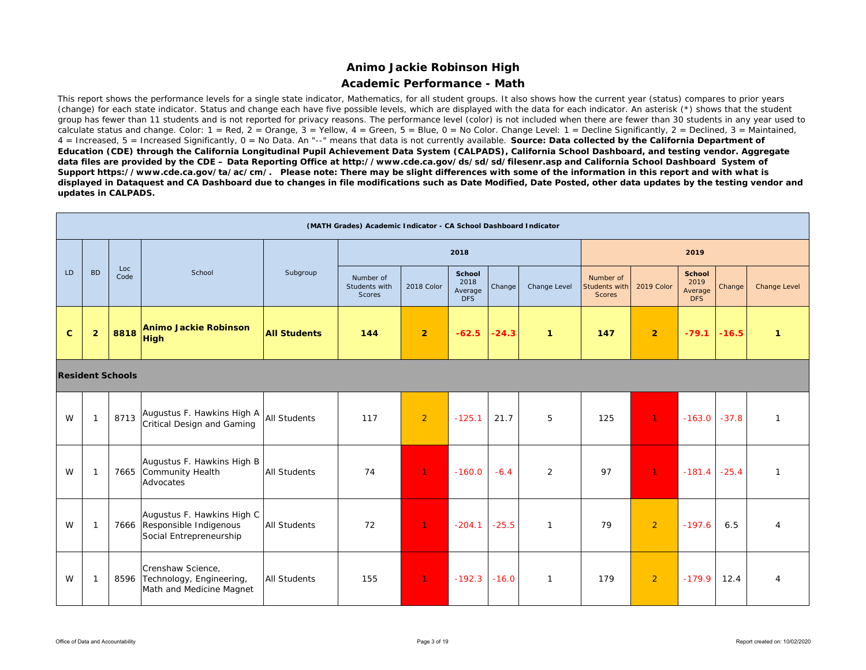### **Academic Performance - Math**

This report shows the performance levels for a single state indicator, Mathematics, for all student groups. It also shows how the current year (status) compares to prior years (change) for each state indicator. Status and change each have five possible levels, which are displayed with the data for each indicator. An asterisk (\*) shows that the student group has fewer than 11 students and is not reported for privacy reasons. The performance level (color) is not included when there are fewer than 30 students in any year used to calculate status and change. Color:  $1 = \text{Red}$ ,  $2 = \text{Orange}$ ,  $3 = \text{Yellow}$ ,  $4 = \text{Green}$ ,  $5 = \text{Blue}$ ,  $0 = \text{No Color}$ . Change Level:  $1 = \text{Decline}$  Significantly,  $2 = \text{Declined}$ ,  $3 = \text{Maintained}$ , 4 = Increased, 5 = Increased Significantly, 0 = No Data. An "--" means that data is not currently available. *Source: Data collected by the California Department of Education (CDE) through the California Longitudinal Pupil Achievement Data System (CALPADS), California School Dashboard, and testing vendor. Aggregate data files are provided by the CDE – Data Reporting Office at http://www.cde.ca.gov/ds/sd/sd/filesenr.asp and California School Dashboard System of Support https://www.cde.ca.gov/ta/ac/cm/. Please note: There may be slight differences with some of the information in this report and with what is displayed in Dataquest and CA Dashboard due to changes in file modifications such as Date Modified, Date Posted, other data updates by the testing vendor and updates in CALPADS.* 

|              |                |                         |                                                                                      |                     | (MATH Grades) Academic Indicator - CA School Dashboard Indicator |                |                                         |         |              |                                             |                |                                         |         |                |
|--------------|----------------|-------------------------|--------------------------------------------------------------------------------------|---------------------|------------------------------------------------------------------|----------------|-----------------------------------------|---------|--------------|---------------------------------------------|----------------|-----------------------------------------|---------|----------------|
|              |                |                         |                                                                                      |                     |                                                                  |                | 2018                                    |         |              |                                             |                | 2019                                    |         |                |
| LD           | <b>BD</b>      | Loc<br>Code             | School                                                                               | Subgroup            | Number of<br>Students with<br>Scores                             | 2018 Color     | School<br>2018<br>Average<br><b>DFS</b> | Change  | Change Level | Number of<br>Students with<br><b>Scores</b> | 2019 Color     | <b>School</b><br>2019<br>Average<br>DFS | Change  | Change Level   |
| $\mathbf{C}$ | $\overline{2}$ | 8818                    | <b>Animo Jackie Robinson</b><br><b>High</b>                                          | <b>All Students</b> | 144                                                              | $\overline{2}$ | $-62.5$                                 | $-24.3$ | $\mathbf{1}$ | 147                                         | 2 <sup>1</sup> | $-79.1$                                 | $-16.5$ | $\mathbf{1}$   |
|              |                | <b>Resident Schools</b> |                                                                                      |                     |                                                                  |                |                                         |         |              |                                             |                |                                         |         |                |
| W            | $\mathbf{1}$   | 8713                    | Augustus F. Hawkins High A<br>Critical Design and Gaming                             | All Students        | 117                                                              | $\overline{2}$ | $-125.1$                                | 21.7    | 5            | 125                                         | $\mathbf{1}$   | $-163.0$                                | $-37.8$ | $\mathbf{1}$   |
| W            | $\mathbf{1}$   | 7665                    | Augustus F. Hawkins High B<br>Community Health<br>Advocates                          | <b>All Students</b> | 74                                                               | $\mathbf{1}$   | $-160.0$                                | $-6.4$  | 2            | 97                                          | $\mathbf{1}$   | $-181.4$                                | $-25.4$ | $\mathbf{1}$   |
| W            | $\overline{1}$ |                         | Augustus F. Hawkins High C<br>7666 Responsible Indigenous<br>Social Entrepreneurship | <b>All Students</b> | 72                                                               | $\mathbf{1}$   | $-204.1$                                | $-25.5$ | $\mathbf{1}$ | 79                                          | $\overline{2}$ | $-197.6$                                | 6.5     | $\overline{4}$ |
| W            | $\mathbf{1}$   | 8596                    | Crenshaw Science,<br>Technology, Engineering,<br>Math and Medicine Magnet            | <b>All Students</b> | 155                                                              | $\mathbf{1}$   | $-192.3$                                | $-16.0$ | $\mathbf{1}$ | 179                                         | $\overline{2}$ | $-179.9$                                | 12.4    | $\overline{4}$ |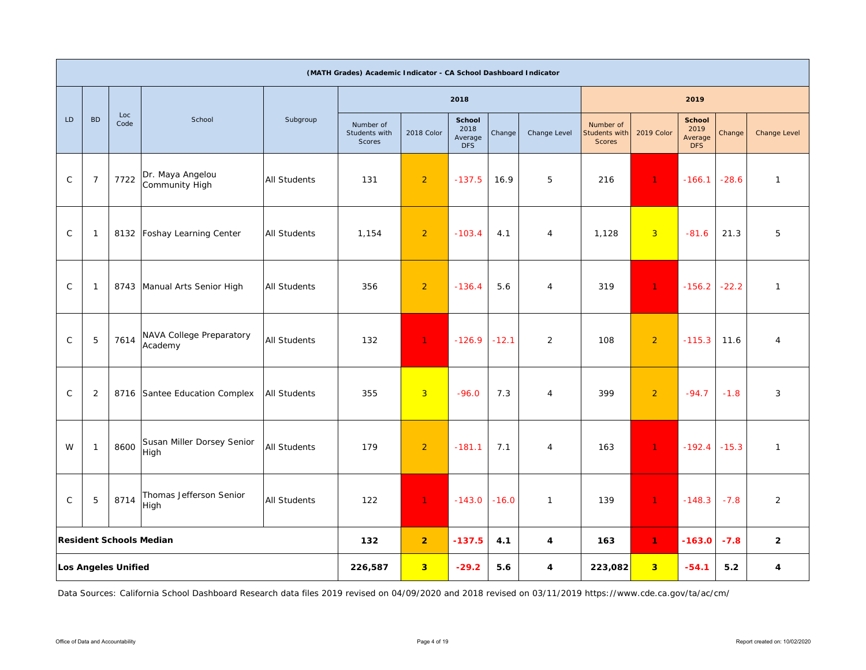|              |                |                            |                                     |                     | (MATH Grades) Academic Indicator - CA School Dashboard Indicator |                         |                                                |         |                |                                      |                |                                                |         |                |
|--------------|----------------|----------------------------|-------------------------------------|---------------------|------------------------------------------------------------------|-------------------------|------------------------------------------------|---------|----------------|--------------------------------------|----------------|------------------------------------------------|---------|----------------|
|              |                |                            |                                     |                     |                                                                  |                         | 2018                                           |         |                |                                      |                | 2019                                           |         |                |
| LD           | <b>BD</b>      | Loc<br>Code                | School                              | Subgroup            | Number of<br>Students with<br>Scores                             | 2018 Color              | <b>School</b><br>2018<br>Average<br><b>DFS</b> | Change  | Change Level   | Number of<br>Students with<br>Scores | 2019 Color     | <b>School</b><br>2019<br>Average<br><b>DFS</b> | Change  | Change Level   |
| $\mathsf{C}$ | $\overline{7}$ | 7722                       | Dr. Maya Angelou<br>Community High  | <b>All Students</b> | 131                                                              | $\overline{2}$          | $-137.5$                                       | 16.9    | 5              | 216                                  | $\mathbf{1}$   | $-166.1$                                       | $-28.6$ | $\mathbf{1}$   |
| $\mathsf{C}$ | $\mathbf{1}$   | 8132                       | Foshay Learning Center              | <b>All Students</b> | 1,154                                                            | $\overline{2}$          | $-103.4$                                       | 4.1     | 4              | 1,128                                | $\overline{3}$ | $-81.6$                                        | 21.3    | 5              |
| $\mathsf C$  | $\mathbf{1}$   | 8743                       | Manual Arts Senior High             | <b>All Students</b> | 356                                                              | $\overline{2}$          | $-136.4$                                       | 5.6     | $\overline{4}$ | 319                                  | $\mathbf{1}$   | $-156.2$                                       | $-22.2$ | $\mathbf{1}$   |
| $\mathsf{C}$ | $\mathbf 5$    | 7614                       | NAVA College Preparatory<br>Academy | All Students        | 132                                                              | $\mathbf{1}$            | $-126.9$                                       | $-12.1$ | $\overline{2}$ | 108                                  | $\overline{2}$ | $-115.3$                                       | 11.6    | $\overline{4}$ |
| $\mathsf{C}$ | 2              | 8716                       | Santee Education Complex            | <b>All Students</b> | 355                                                              | $\overline{3}$          | $-96.0$                                        | 7.3     | $\overline{4}$ | 399                                  | $\overline{2}$ | $-94.7$                                        | $-1.8$  | 3              |
| W            | $\mathbf{1}$   | 8600                       | Susan Miller Dorsey Senior<br>High  | <b>All Students</b> | 179                                                              | $\overline{2}$          | $-181.1$                                       | 7.1     | 4              | 163                                  | $\mathbf{1}$   | $-192.4$                                       | $-15.3$ | $\mathbf{1}$   |
| $\mathsf{C}$ | $\mathbf 5$    | 8714                       | Thomas Jefferson Senior<br>High     | <b>All Students</b> | 122                                                              | $\mathbf{1}$            | $-143.0$                                       | $-16.0$ | $\mathbf{1}$   | 139                                  | $\mathbf{1}$   | $-148.3$                                       | $-7.8$  | $\overline{2}$ |
|              |                |                            | <b>Resident Schools Median</b>      |                     | 132                                                              | $\overline{2}$          | $-137.5$                                       | 4.1     | 4              | 163                                  | $\mathbf{1}$   | $-163.0$                                       | $-7.8$  | $\mathbf{2}$   |
|              |                | <b>Los Angeles Unified</b> |                                     |                     | 226,587                                                          | $\overline{\mathbf{3}}$ | $-29.2$                                        | 5.6     | 4              | 223,082                              | 3 <sup>2</sup> | $-54.1$                                        | 5.2     | 4              |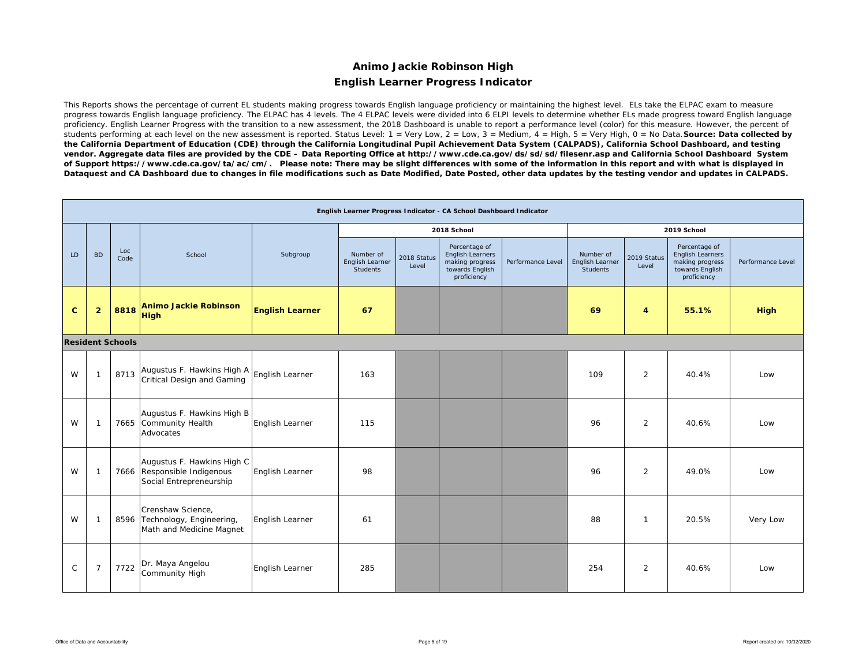# **Animo Jackie Robinson High English Learner Progress Indicator**

This Reports shows the percentage of current EL students making progress towards English language proficiency or maintaining the highest level. ELs take the ELPAC exam to measure progress towards English language proficiency. The ELPAC has 4 levels. The 4 ELPAC levels were divided into 6 ELPI levels to determine whether ELs made progress toward English language proficiency. English Learner Progress with the transition to a new assessment, the 2018 Dashboard is unable to report a performance level (color) for this measure. However, the percent of students performing at each level on the new assessment is reported. Status Level: 1 = Very Low, 2 = Low, 3 = Medium, 4 = High, 5 = Very High, 0 = No Data. **Source: Data collected by** *the California Department of Education (CDE) through the California Longitudinal Pupil Achievement Data System (CALPADS), California School Dashboard, and testing vendor. Aggregate data files are provided by the CDE – Data Reporting Office at http://www.cde.ca.gov/ds/sd/sd/filesenr.asp and California School Dashboard System of Support https://www.cde.ca.gov/ta/ac/cm/. Please note: There may be slight differences with some of the information in this report and with what is displayed in Dataquest and CA Dashboard due to changes in file modifications such as Date Modified, Date Posted, other data updates by the testing vendor and updates in CALPADS.* 

|              |                |                         |                                                                                      |                        |                                                 |                      | English Learner Progress Indicator - CA School Dashboard Indicator                     |                   |                                                 |                      |                                                                                        |                   |
|--------------|----------------|-------------------------|--------------------------------------------------------------------------------------|------------------------|-------------------------------------------------|----------------------|----------------------------------------------------------------------------------------|-------------------|-------------------------------------------------|----------------------|----------------------------------------------------------------------------------------|-------------------|
|              |                |                         |                                                                                      |                        |                                                 |                      | 2018 School                                                                            |                   |                                                 |                      | 2019 School                                                                            |                   |
| LD           | <b>BD</b>      | Loc<br>Code             | School                                                                               | Subgroup               | Number of<br>English Learner<br><b>Students</b> | 2018 Status<br>Level | Percentage of<br>English Learners<br>making progress<br>towards English<br>proficiency | Performance Level | Number of<br>English Learner<br><b>Students</b> | 2019 Status<br>Level | Percentage of<br>English Learners<br>making progress<br>towards English<br>proficiency | Performance Level |
| $\mathbf{C}$ | $\overline{2}$ | 8818                    | <b>Animo Jackie Robinson</b><br><b>High</b>                                          | <b>English Learner</b> | 67                                              |                      |                                                                                        |                   | 69                                              | 4                    | 55.1%                                                                                  | <b>High</b>       |
|              |                | <b>Resident Schools</b> |                                                                                      |                        |                                                 |                      |                                                                                        |                   |                                                 |                      |                                                                                        |                   |
| W            | $\mathbf{1}$   | 8713                    | Augustus F. Hawkins High A<br>Critical Design and Gaming                             | English Learner        | 163                                             |                      |                                                                                        |                   | 109                                             | 2                    | 40.4%                                                                                  | Low               |
| W            | -1             |                         | Augustus F. Hawkins High B<br>7665 Community Health<br>Advocates                     | English Learner        | 115                                             |                      |                                                                                        |                   | 96                                              | 2                    | 40.6%                                                                                  | Low               |
| W            | $\mathbf{1}$   |                         | Augustus F. Hawkins High C<br>7666 Responsible Indigenous<br>Social Entrepreneurship | English Learner        | 98                                              |                      |                                                                                        |                   | 96                                              | 2                    | 49.0%                                                                                  | Low               |
| W            | $\mathbf{1}$   |                         | Crenshaw Science,<br>8596 Technology, Engineering,<br>Math and Medicine Magnet       | English Learner        | 61                                              |                      |                                                                                        |                   | 88                                              | $\mathbf{1}$         | 20.5%                                                                                  | Very Low          |
| $\mathsf{C}$ | $\overline{7}$ | 7722                    | Dr. Maya Angelou<br>Community High                                                   | English Learner        | 285                                             |                      |                                                                                        |                   | 254                                             | 2                    | 40.6%                                                                                  | Low               |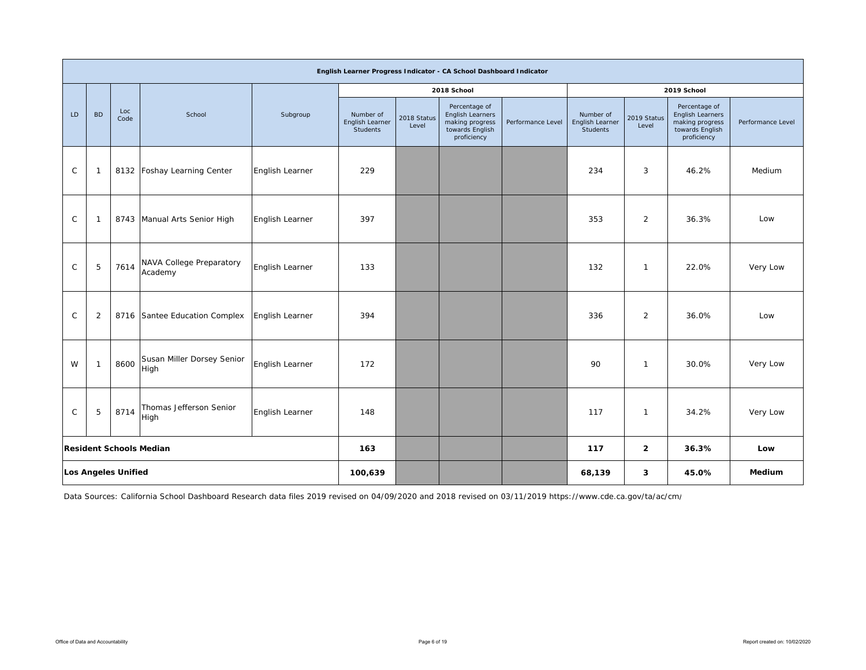|              |                |                            |                                     |                 |                                          |                      | English Learner Progress Indicator - CA School Dashboard Indicator                     |                   |                                          |                      |                                                                                        |                   |
|--------------|----------------|----------------------------|-------------------------------------|-----------------|------------------------------------------|----------------------|----------------------------------------------------------------------------------------|-------------------|------------------------------------------|----------------------|----------------------------------------------------------------------------------------|-------------------|
|              |                |                            |                                     |                 |                                          |                      | 2018 School                                                                            |                   |                                          |                      | 2019 School                                                                            |                   |
| LD           | <b>BD</b>      | Loc<br>Code                | School                              | Subgroup        | Number of<br>English Learner<br>Students | 2018 Status<br>Level | Percentage of<br>English Learners<br>making progress<br>towards English<br>proficiency | Performance Level | Number of<br>English Learner<br>Students | 2019 Status<br>Level | Percentage of<br>English Learners<br>making progress<br>towards English<br>proficiency | Performance Level |
| $\mathsf C$  | -1             |                            | 8132 Foshay Learning Center         | English Learner | 229                                      |                      |                                                                                        |                   | 234                                      | 3                    | 46.2%                                                                                  | Medium            |
| $\mathsf C$  | $\mathbf{1}$   | 8743                       | Manual Arts Senior High             | English Learner | 397                                      |                      |                                                                                        |                   | 353                                      | $\overline{2}$       | 36.3%                                                                                  | Low               |
| $\mathsf{C}$ | 5              | 7614                       | NAVA College Preparatory<br>Academy | English Learner | 133                                      |                      |                                                                                        |                   | 132                                      | $\mathbf{1}$         | 22.0%                                                                                  | Very Low          |
| $\mathsf{C}$ | $\overline{2}$ |                            | 8716 Santee Education Complex       | English Learner | 394                                      |                      |                                                                                        |                   | 336                                      | $\overline{2}$       | 36.0%                                                                                  | Low               |
| W            | $\mathbf{1}$   | 8600                       | Susan Miller Dorsey Senior<br>High  | English Learner | 172                                      |                      |                                                                                        |                   | 90                                       | $\mathbf{1}$         | 30.0%                                                                                  | Very Low          |
| $\mathsf{C}$ | 5              | 8714                       | Thomas Jefferson Senior<br>High     | English Learner | 148                                      |                      |                                                                                        |                   | 117                                      | $\mathbf{1}$         | 34.2%                                                                                  | Very Low          |
|              |                |                            | <b>Resident Schools Median</b>      |                 | 163                                      |                      |                                                                                        |                   | 117                                      | $\mathbf{2}$         | 36.3%                                                                                  | Low               |
|              |                | <b>Los Angeles Unified</b> |                                     |                 | 100,639                                  |                      |                                                                                        |                   | 68,139                                   | 3                    | 45.0%                                                                                  | Medium            |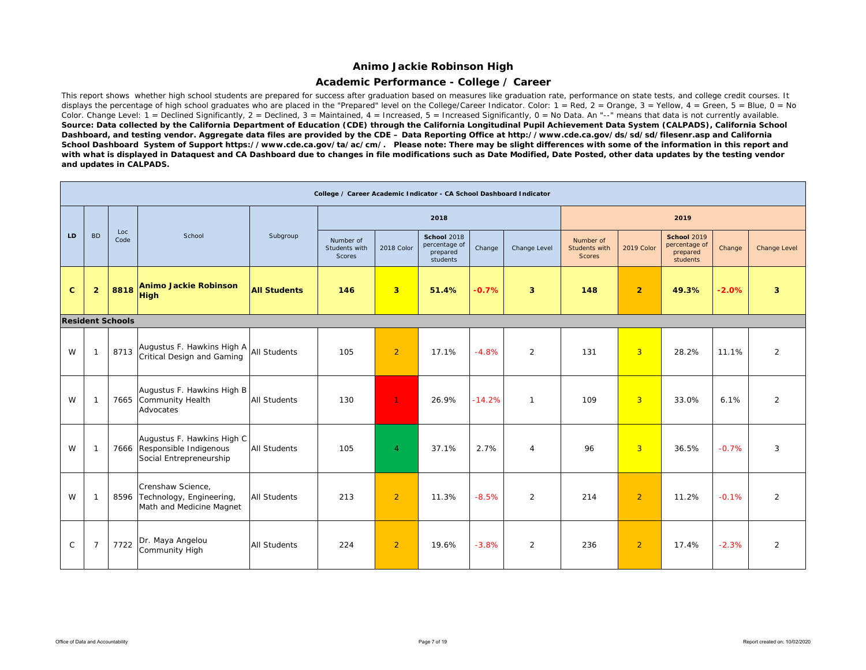### **Academic Performance - College / Career**

This report shows whether high school students are prepared for success after graduation based on measures like graduation rate, performance on state tests, and college credit courses. It displays the percentage of high school graduates who are placed in the "Prepared" level on the College/Career Indicator. Color:  $1 = \text{Red}$ ,  $2 = \text{Orange}$ ,  $3 = \text{Yellow}$ ,  $4 = \text{Green}$ ,  $5 = \text{Blue}$ ,  $0 = \text{No}$ Color. Change Level:  $1 =$  Declined Significantly,  $2 =$  Declined,  $3 =$  Maintained,  $4 =$  Increased,  $5 =$  Increased Significantly,  $0 =$  No Data. An "--" means that data is not currently available. *Source: Data collected by the California Department of Education (CDE) through the California Longitudinal Pupil Achievement Data System (CALPADS), California School Dashboard, and testing vendor. Aggregate data files are provided by the CDE – Data Reporting Office at http://www.cde.ca.gov/ds/sd/sd/filesenr.asp and California School Dashboard System of Support https://www.cde.ca.gov/ta/ac/cm/. Please note: There may be slight differences with some of the information in this report and*  with what is displayed in Dataquest and CA Dashboard due to changes in file modifications such as Date Modified, Date Posted, other data updates by the testing vendor *and updates in CALPADS.* 

|              |                |                         |                                                                                      |                     | College / Career Academic Indicator - CA School Dashboard Indicator |                |                                                             |          |                |                                             |                |                                                             |         |              |
|--------------|----------------|-------------------------|--------------------------------------------------------------------------------------|---------------------|---------------------------------------------------------------------|----------------|-------------------------------------------------------------|----------|----------------|---------------------------------------------|----------------|-------------------------------------------------------------|---------|--------------|
|              |                |                         |                                                                                      |                     |                                                                     |                | 2018                                                        |          |                |                                             |                | 2019                                                        |         |              |
| LD           | <b>BD</b>      | Loc<br>Code             | School                                                                               | Subgroup            | Number of<br>Students with<br>Scores                                | 2018 Color     | <b>School 2018</b><br>percentage of<br>prepared<br>students | Change   | Change Level   | Number of<br>Students with<br><b>Scores</b> | 2019 Color     | <b>School 2019</b><br>percentage of<br>prepared<br>students | Change  | Change Level |
| $\mathbf{C}$ | $\overline{2}$ | 8818                    | <b>Animo Jackie Robinson</b><br><b>High</b>                                          | <b>All Students</b> | 146                                                                 | 3 <sup>2</sup> | 51.4%                                                       | $-0.7%$  | $\overline{3}$ | 148                                         | $\overline{2}$ | 49.3%                                                       | $-2.0%$ | 3            |
|              |                | <b>Resident Schools</b> |                                                                                      |                     |                                                                     |                |                                                             |          |                |                                             |                |                                                             |         |              |
| W            |                | 8713                    | Augustus F. Hawkins High A<br>Critical Design and Gaming                             | <b>All Students</b> | 105                                                                 | $\overline{2}$ | 17.1%                                                       | $-4.8%$  | 2              | 131                                         | $\overline{3}$ | 28.2%                                                       | 11.1%   | 2            |
| W            | -1             |                         | Augustus F. Hawkins High B<br>7665 Community Health<br>Advocates                     | <b>All Students</b> | 130                                                                 | $\mathbf{1}$   | 26.9%                                                       | $-14.2%$ | $\mathbf{1}$   | 109                                         | $\overline{3}$ | 33.0%                                                       | 6.1%    | 2            |
| W            |                |                         | Augustus F. Hawkins High C<br>7666 Responsible Indigenous<br>Social Entrepreneurship | <b>All Students</b> | 105                                                                 | $\overline{4}$ | 37.1%                                                       | 2.7%     | $\overline{4}$ | 96                                          | $\overline{3}$ | 36.5%                                                       | $-0.7%$ | 3            |
| W            | -1             |                         | Crenshaw Science,<br>8596 Technology, Engineering,<br>Math and Medicine Magnet       | <b>All Students</b> | 213                                                                 | $\overline{2}$ | 11.3%                                                       | $-8.5%$  | $\overline{2}$ | 214                                         | $\overline{2}$ | 11.2%                                                       | $-0.1%$ | 2            |
| $\mathsf{C}$ | $\overline{7}$ | 7722                    | Dr. Maya Angelou<br>Community High                                                   | <b>All Students</b> | 224                                                                 | $\overline{2}$ | 19.6%                                                       | $-3.8%$  | 2              | 236                                         | $\overline{2}$ | 17.4%                                                       | $-2.3%$ | 2            |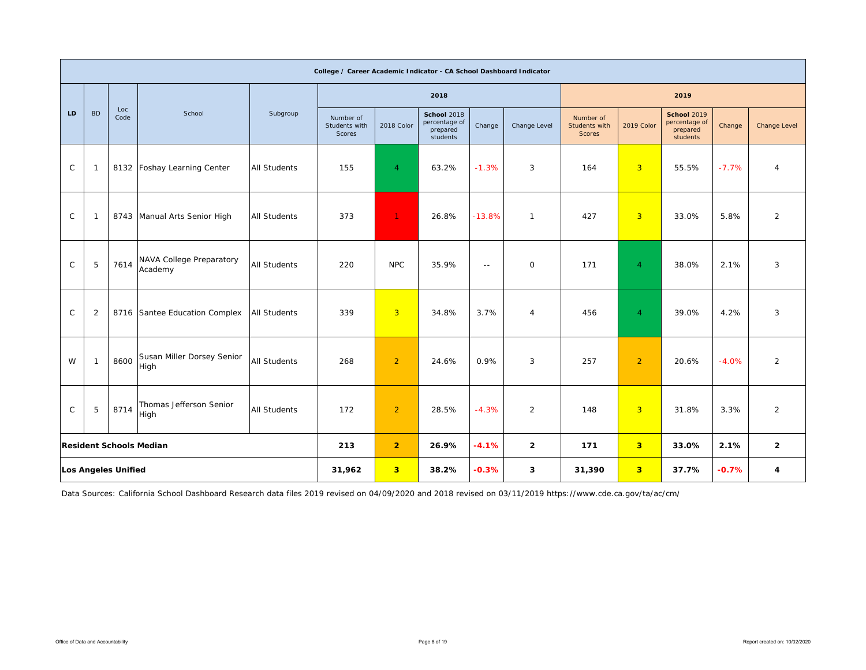|              |                |                            |                                     |                     | College / Career Academic Indicator - CA School Dashboard Indicator |                |                                                      |               |                |                                             |                         |                                                             |         |                |
|--------------|----------------|----------------------------|-------------------------------------|---------------------|---------------------------------------------------------------------|----------------|------------------------------------------------------|---------------|----------------|---------------------------------------------|-------------------------|-------------------------------------------------------------|---------|----------------|
|              |                |                            |                                     |                     |                                                                     |                | 2018                                                 |               |                |                                             |                         | 2019                                                        |         |                |
| LD           | <b>BD</b>      | Loc<br>Code                | School                              | Subgroup            | Number of<br>Students with<br>Scores                                | 2018 Color     | School 2018<br>percentage of<br>prepared<br>students | Change        | Change Level   | Number of<br>Students with<br><b>Scores</b> | 2019 Color              | <b>School 2019</b><br>percentage of<br>prepared<br>students | Change  | Change Level   |
| $\mathsf C$  | -1             |                            | 8132 Foshay Learning Center         | <b>All Students</b> | 155                                                                 | 4              | 63.2%                                                | $-1.3%$       | 3              | 164                                         | 3 <sup>1</sup>          | 55.5%                                                       | $-7.7%$ | $\overline{4}$ |
| $\mathsf C$  | -1             |                            | 8743 Manual Arts Senior High        | <b>All Students</b> | 373                                                                 | $\mathbf{1}$   | 26.8%                                                | $-13.8%$      | $\mathbf{1}$   | 427                                         | $\overline{3}$          | 33.0%                                                       | 5.8%    | $\overline{2}$ |
| $\mathsf{C}$ | 5              | 7614                       | NAVA College Preparatory<br>Academy | <b>All Students</b> | 220                                                                 | <b>NPC</b>     | 35.9%                                                | $\sim$ $\sim$ | $\mathbf 0$    | 171                                         | $\overline{4}$          | 38.0%                                                       | 2.1%    | 3              |
| $\mathsf{C}$ | $\overline{2}$ |                            | 8716 Santee Education Complex       | <b>All Students</b> | 339                                                                 | $\overline{3}$ | 34.8%                                                | 3.7%          | $\overline{4}$ | 456                                         | $\overline{4}$          | 39.0%                                                       | 4.2%    | 3              |
| W            | -1             | 8600                       | Susan Miller Dorsey Senior<br>High  | <b>All Students</b> | 268                                                                 | $\overline{2}$ | 24.6%                                                | 0.9%          | 3              | 257                                         | $\overline{2}$          | 20.6%                                                       | $-4.0%$ | $\overline{2}$ |
| $\mathsf C$  | 5              | 8714                       | Thomas Jefferson Senior<br>High     | <b>All Students</b> | 172                                                                 | $\overline{2}$ | 28.5%                                                | $-4.3%$       | $\overline{2}$ | 148                                         | $\overline{3}$          | 31.8%                                                       | 3.3%    | 2              |
|              |                |                            | <b>Resident Schools Median</b>      |                     | 213                                                                 | $\overline{2}$ | 26.9%                                                | $-4.1%$       | $\overline{2}$ | 171                                         | $\overline{\mathbf{3}}$ | 33.0%                                                       | 2.1%    | $\overline{2}$ |
|              |                | <b>Los Angeles Unified</b> |                                     |                     | 31,962                                                              | 3 <sup>1</sup> | 38.2%                                                | $-0.3%$       | 3              | 31,390                                      | 3 <sup>1</sup>          | 37.7%                                                       | $-0.7%$ | 4              |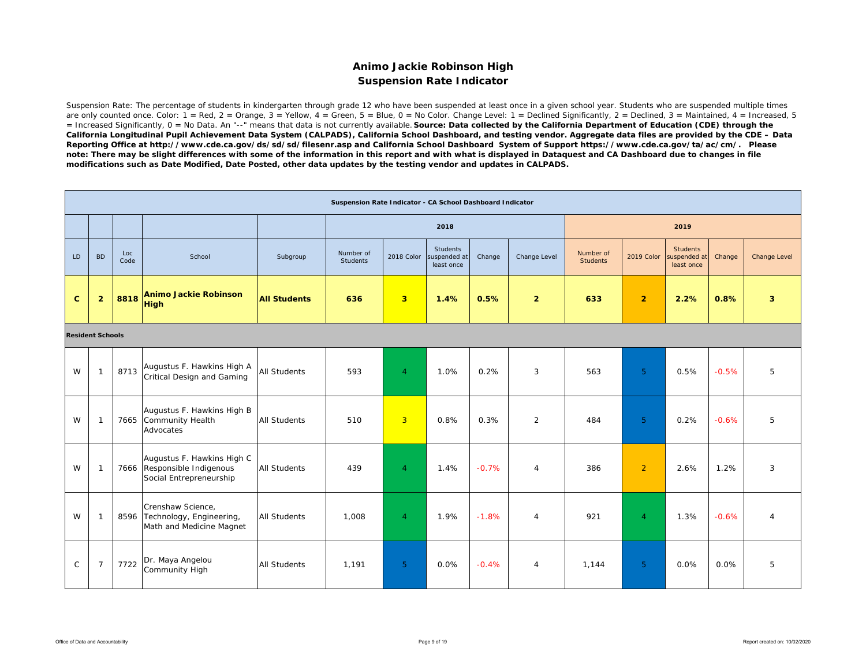### **Animo Jackie Robinson High Suspension Rate Indicator**

Suspension Rate: The percentage of students in kindergarten through grade 12 who have been suspended at least once in a given school year. Students who are suspended multiple times are only counted once. Color:  $1 = \text{Red}$ ,  $2 = \text{Orange}$ ,  $3 = \text{Yellow}$ ,  $4 = \text{Green}$ ,  $5 = \text{Blue}$ ,  $0 = \text{No Color}$ . Change Level:  $1 = \text{Decimal}$  Significantly,  $2 = \text{Decimal}$ ,  $3 = \text{National}$ ,  $4 = \text{Increasing}$ ,  $5 = \text{Blue}$ = Increased Significantly, 0 = No Data. An "--" means that data is not currently available. *Source: Data collected by the California Department of Education (CDE) through the California Longitudinal Pupil Achievement Data System (CALPADS), California School Dashboard, and testing vendor. Aggregate data files are provided by the CDE – Data Reporting Office at http://www.cde.ca.gov/ds/sd/sd/filesenr.asp and California School Dashboard System of Support https://www.cde.ca.gov/ta/ac/cm/. Please note: There may be slight differences with some of the information in this report and with what is displayed in Dataquest and CA Dashboard due to changes in file modifications such as Date Modified, Date Posted, other data updates by the testing vendor and updates in CALPADS.* 

|              |                         |             |                                                                                      |                     | Suspension Rate Indicator - CA School Dashboard Indicator |                         |                                               |         |                |                              |                |                                               |         |                         |
|--------------|-------------------------|-------------|--------------------------------------------------------------------------------------|---------------------|-----------------------------------------------------------|-------------------------|-----------------------------------------------|---------|----------------|------------------------------|----------------|-----------------------------------------------|---------|-------------------------|
|              |                         |             |                                                                                      |                     |                                                           |                         | 2018                                          |         |                |                              |                | 2019                                          |         |                         |
| LD.          | <b>BD</b>               | Loc<br>Code | School                                                                               | Subgroup            | Number of<br>Students                                     | 2018 Color              | <b>Students</b><br>suspended at<br>least once | Change  | Change Level   | Number of<br><b>Students</b> | 2019 Color     | <b>Students</b><br>suspended at<br>least once | Change  | Change Level            |
| $\mathbf{C}$ | $\overline{2}$          | 8818        | <b>Animo Jackie Robinson</b><br><b>High</b>                                          | <b>All Students</b> | 636                                                       | $\overline{\mathbf{3}}$ | 1.4%                                          | 0.5%    | $\overline{2}$ | 633                          | $\overline{2}$ | 2.2%                                          | 0.8%    | $\overline{\mathbf{3}}$ |
|              | <b>Resident Schools</b> |             |                                                                                      |                     |                                                           |                         |                                               |         |                |                              |                |                                               |         |                         |
| W            | $\mathbf{1}$            | 8713        | Augustus F. Hawkins High A<br>Critical Design and Gaming                             | <b>All Students</b> | 593                                                       | $\overline{4}$          | 1.0%                                          | 0.2%    | 3              | 563                          | 5 <sup>°</sup> | 0.5%                                          | $-0.5%$ | 5                       |
| W            | $\mathbf{1}$            |             | Augustus F. Hawkins High B<br>7665 Community Health<br>Advocates                     | <b>All Students</b> | 510                                                       | $\overline{3}$          | 0.8%                                          | 0.3%    | 2              | 484                          | 5 <sup>°</sup> | 0.2%                                          | $-0.6%$ | 5                       |
| W            | $\mathbf{1}$            |             | Augustus F. Hawkins High C<br>7666 Responsible Indigenous<br>Social Entrepreneurship | <b>All Students</b> | 439                                                       | $\overline{4}$          | 1.4%                                          | $-0.7%$ | 4              | 386                          | $\overline{2}$ | 2.6%                                          | 1.2%    | 3                       |
| W            | $\mathbf{1}$            |             | Crenshaw Science,<br>8596 Technology, Engineering,<br>Math and Medicine Magnet       | All Students        | 1,008                                                     | $\overline{4}$          | 1.9%                                          | $-1.8%$ | $\overline{4}$ | 921                          | $\overline{4}$ | 1.3%                                          | $-0.6%$ | $\overline{4}$          |
| $\mathsf{C}$ | $\overline{7}$          | 7722        | Dr. Maya Angelou<br>Community High                                                   | <b>All Students</b> | 1,191                                                     | 5 <sup>°</sup>          | 0.0%                                          | $-0.4%$ | $\overline{4}$ | 1,144                        | 5 <sup>°</sup> | 0.0%                                          | 0.0%    | 5                       |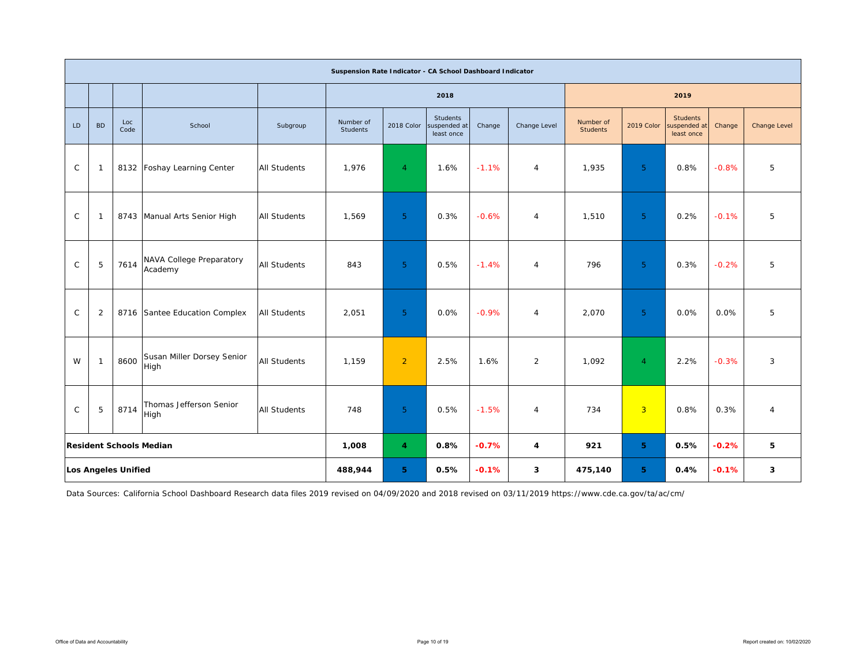|              |              |                            |                                     |                     | Suspension Rate Indicator - CA School Dashboard Indicator |                         |                                        |         |                |                              |                |                                               |         |                     |
|--------------|--------------|----------------------------|-------------------------------------|---------------------|-----------------------------------------------------------|-------------------------|----------------------------------------|---------|----------------|------------------------------|----------------|-----------------------------------------------|---------|---------------------|
|              |              |                            |                                     |                     |                                                           |                         | 2018                                   |         |                |                              |                | 2019                                          |         |                     |
| LD           | <b>BD</b>    | Loc<br>Code                | School                              | Subgroup            | Number of<br>Students                                     | 2018 Color              | Students<br>suspended at<br>least once | Change  | Change Level   | Number of<br><b>Students</b> | 2019 Color     | <b>Students</b><br>suspended at<br>least once | Change  | <b>Change Level</b> |
| $\mathsf{C}$ | $\mathbf{1}$ |                            | 8132 Foshay Learning Center         | <b>All Students</b> | 1,976                                                     | $\overline{4}$          | 1.6%                                   | $-1.1%$ | $\overline{4}$ | 1,935                        | 5 <sup>1</sup> | 0.8%                                          | $-0.8%$ | 5                   |
| $\mathsf{C}$ | $\mathbf{1}$ |                            | 8743 Manual Arts Senior High        | <b>All Students</b> | 1,569                                                     | 5 <sup>1</sup>          | 0.3%                                   | $-0.6%$ | $\overline{4}$ | 1,510                        | 5 <sup>1</sup> | 0.2%                                          | $-0.1%$ | 5                   |
| $\mathsf{C}$ | 5            | 7614                       | NAVA College Preparatory<br>Academy | <b>All Students</b> | 843                                                       | 5 <sup>1</sup>          | 0.5%                                   | $-1.4%$ | $\overline{4}$ | 796                          | 5 <sup>1</sup> | 0.3%                                          | $-0.2%$ | 5                   |
| $\mathsf{C}$ | 2            |                            | 8716 Santee Education Complex       | <b>All Students</b> | 2,051                                                     | 5 <sup>1</sup>          | 0.0%                                   | $-0.9%$ | $\overline{4}$ | 2,070                        | 5 <sup>1</sup> | 0.0%                                          | 0.0%    | 5                   |
| W            | $\mathbf{1}$ | 8600                       | Susan Miller Dorsey Senior<br>High  | <b>All Students</b> | 1,159                                                     | $\overline{2}$          | 2.5%                                   | 1.6%    | $\overline{2}$ | 1,092                        | $\overline{4}$ | 2.2%                                          | $-0.3%$ | 3                   |
| $\mathsf{C}$ | 5            | 8714                       | Thomas Jefferson Senior<br>High     | <b>All Students</b> | 748                                                       | 5 <sup>5</sup>          | 0.5%                                   | $-1.5%$ | $\overline{4}$ | 734                          | $\overline{3}$ | 0.8%                                          | 0.3%    | $\overline{4}$      |
|              |              |                            | <b>Resident Schools Median</b>      |                     | 1,008                                                     | $\overline{\mathbf{4}}$ | 0.8%                                   | $-0.7%$ | 4              | 921                          | 5.             | 0.5%                                          | $-0.2%$ | 5                   |
|              |              | <b>Los Angeles Unified</b> |                                     |                     | 488,944                                                   | 5 <sup>1</sup>          | 0.5%                                   | $-0.1%$ | 3              | 475,140                      | 5.             | 0.4%                                          | $-0.1%$ | 3                   |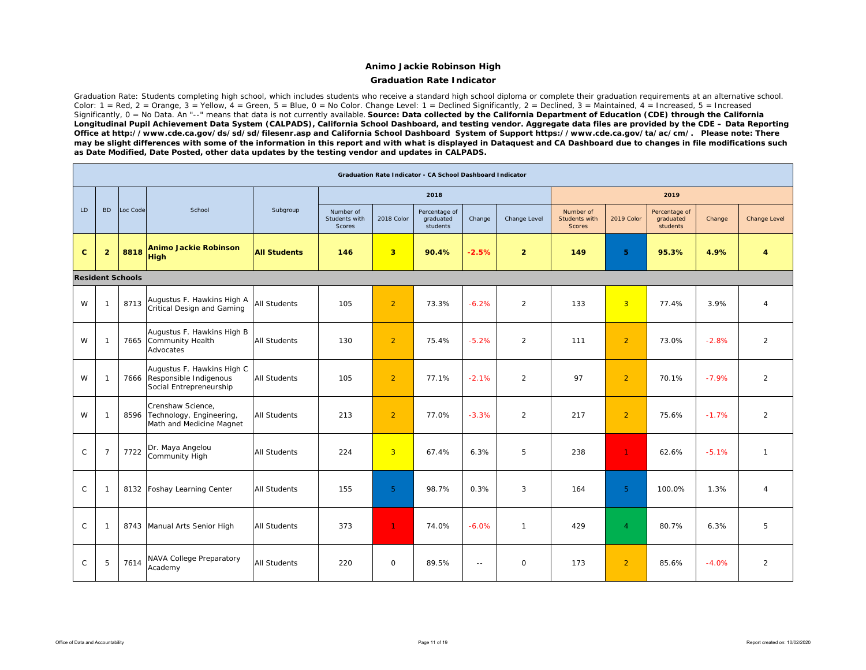### **Graduation Rate Indicator**

Graduation Rate: Students completing high school, which includes students who receive a standard high school diploma or complete their graduation requirements at an alternative school. Color: 1 = Red, 2 = Orange, 3 = Yellow,  $\overline{4}$  = Green, 5 = Blue, 0 = No Color. Change Level: 1 = Declined Significantly, 2 = Declined, 3 = Maintained, 4 = Increased, 5 = Increased Significantly, 0 = No Data. An "--" means that data is not currently available. **Source: Data collected by the California Department of Education (CDE) through the California** *Longitudinal Pupil Achievement Data System (CALPADS), California School Dashboard, and testing vendor. Aggregate data files are provided by the CDE – Data Reporting Office at http://www.cde.ca.gov/ds/sd/sd/filesenr.asp and California School Dashboard System of Support https://www.cde.ca.gov/ta/ac/cm/. Please note: There may be slight differences with some of the information in this report and with what is displayed in Dataquest and CA Dashboard due to changes in file modifications such as Date Modified, Date Posted, other data updates by the testing vendor and updates in CALPADS.* 

|              |                |                         |                                                                                      |                     |                                      |                         | Graduation Rate Indicator - CA School Dashboard Indicator |               |                |                                             |                |                                        |         |                |
|--------------|----------------|-------------------------|--------------------------------------------------------------------------------------|---------------------|--------------------------------------|-------------------------|-----------------------------------------------------------|---------------|----------------|---------------------------------------------|----------------|----------------------------------------|---------|----------------|
|              |                |                         |                                                                                      |                     |                                      |                         | 2018                                                      |               |                |                                             |                | 2019                                   |         |                |
| LD           | <b>BD</b>      | Loc Code                | School                                                                               | Subgroup            | Number of<br>Students with<br>Scores | 2018 Color              | Percentage of<br>graduated<br>students                    | Change        | Change Level   | Number of<br>Students with<br><b>Scores</b> | 2019 Color     | Percentage of<br>graduated<br>students | Change  | Change Level   |
| $\mathbf{C}$ | $\overline{2}$ | 8818                    | <b>Animo Jackie Robinson</b><br><b>High</b>                                          | <b>All Students</b> | 146                                  | $\overline{\mathbf{3}}$ | 90.4%                                                     | $-2.5%$       | $\overline{2}$ | 149                                         | 5 <sup>1</sup> | 95.3%                                  | 4.9%    | 4              |
|              |                | <b>Resident Schools</b> |                                                                                      |                     |                                      |                         |                                                           |               |                |                                             |                |                                        |         |                |
| W            |                | 8713                    | Augustus F. Hawkins High A<br>Critical Design and Gaming                             | <b>All Students</b> | 105                                  | $\overline{2}$          | 73.3%                                                     | $-6.2%$       | $\overline{2}$ | 133                                         | $\overline{3}$ | 77.4%                                  | 3.9%    | $\overline{4}$ |
| W            |                | 7665                    | Augustus F. Hawkins High B<br>Community Health<br>Advocates                          | <b>All Students</b> | 130                                  | $\overline{2}$          | 75.4%                                                     | $-5.2%$       | 2              | 111                                         | $\overline{2}$ | 73.0%                                  | $-2.8%$ | $\overline{2}$ |
| W            |                |                         | Augustus F. Hawkins High C<br>7666 Responsible Indigenous<br>Social Entrepreneurship | <b>All Students</b> | 105                                  | $\overline{2}$          | 77.1%                                                     | $-2.1%$       | $\overline{2}$ | 97                                          | $\overline{2}$ | 70.1%                                  | $-7.9%$ | $\overline{2}$ |
| W            | -1             | 8596                    | Crenshaw Science,<br>Technology, Engineering,<br>Math and Medicine Magnet            | <b>All Students</b> | 213                                  | $\overline{2}$          | 77.0%                                                     | $-3.3%$       | $\overline{2}$ | 217                                         | $\overline{2}$ | 75.6%                                  | $-1.7%$ | $\overline{2}$ |
| $\mathsf{C}$ | $\overline{7}$ | 7722                    | Dr. Maya Angelou<br>Community High                                                   | <b>All Students</b> | 224                                  | $\overline{3}$          | 67.4%                                                     | 6.3%          | 5              | 238                                         | $\mathbf{1}$   | 62.6%                                  | $-5.1%$ | $\mathbf{1}$   |
| $\mathsf{C}$ | -1             | 8132                    | Foshay Learning Center                                                               | <b>All Students</b> | 155                                  | 5 <sup>1</sup>          | 98.7%                                                     | 0.3%          | 3              | 164                                         | 5 <sup>5</sup> | 100.0%                                 | 1.3%    | $\overline{4}$ |
| $\mathsf{C}$ | -1             | 8743                    | Manual Arts Senior High                                                              | <b>All Students</b> | 373                                  | $\mathbf{1}$            | 74.0%                                                     | $-6.0%$       | $\mathbf{1}$   | 429                                         | $\overline{4}$ | 80.7%                                  | 6.3%    | 5              |
| $\mathsf C$  | 5              | 7614                    | NAVA College Preparatory<br>Academy                                                  | <b>All Students</b> | 220                                  | $\mathsf{O}$            | 89.5%                                                     | $\sim$ $\sim$ | $\mathbf 0$    | 173                                         | $\overline{2}$ | 85.6%                                  | $-4.0%$ | $\overline{2}$ |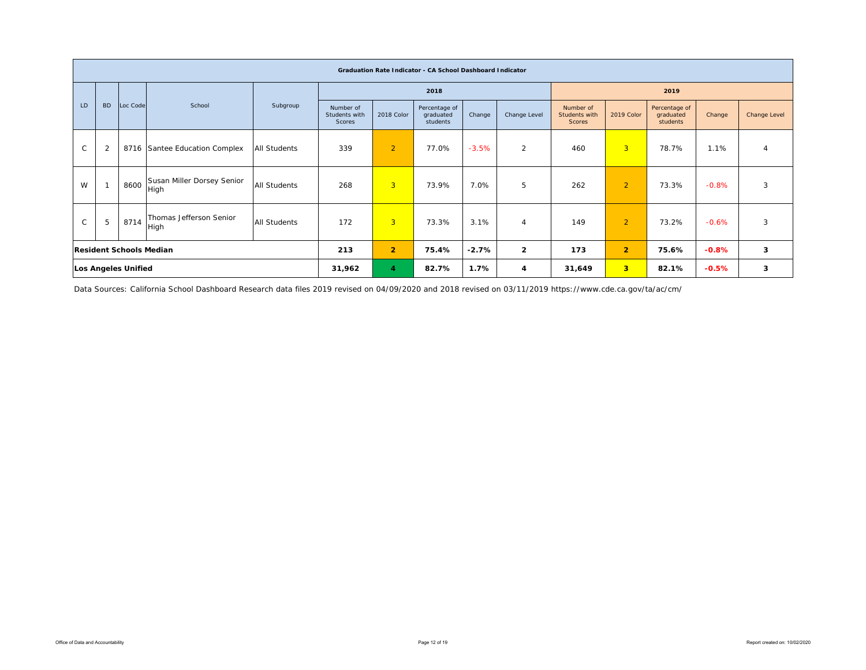|               |                |                                |                                    |                     |                                      |                | <b>Graduation Rate Indicator - CA School Dashboard Indicator</b> |         |                |                                             |                         |                                        |         |              |
|---------------|----------------|--------------------------------|------------------------------------|---------------------|--------------------------------------|----------------|------------------------------------------------------------------|---------|----------------|---------------------------------------------|-------------------------|----------------------------------------|---------|--------------|
|               |                |                                |                                    |                     |                                      |                | 2018                                                             |         |                |                                             |                         | 2019                                   |         |              |
| LD            | <b>BD</b>      | Loc Code                       | School                             | Subgroup            | Number of<br>Students with<br>Scores | 2018 Color     | Percentage of<br>graduated<br>students                           | Change  | Change Level   | Number of<br>Students with<br><b>Scores</b> | 2019 Color              | Percentage of<br>graduated<br>students | Change  | Change Level |
| $\mathsf{C}$  | $\overline{2}$ |                                | 8716 Santee Education Complex      | <b>All Students</b> | 339                                  | $\overline{2}$ | 77.0%                                                            | $-3.5%$ | 2              | 460                                         | $\overline{3}$          | 78.7%                                  | 1.1%    | 4            |
| W             |                | 8600                           | Susan Miller Dorsey Senior<br>High | All Students        | 268                                  | $\overline{3}$ | 73.9%                                                            | 7.0%    | 5              | 262                                         | 2                       | 73.3%                                  | $-0.8%$ | 3            |
| $\mathcal{C}$ | 5              | 8714                           | Thomas Jefferson Senior<br>High    | <b>All Students</b> | 172                                  | $\overline{3}$ | 73.3%                                                            | 3.1%    | $\overline{4}$ | 149                                         | $\overline{2}$          | 73.2%                                  | $-0.6%$ | 3            |
|               |                | <b>Resident Schools Median</b> |                                    |                     | 213                                  | $\overline{2}$ | 75.4%                                                            | $-2.7%$ | $\overline{2}$ | 173                                         | $\overline{2}$          | 75.6%                                  | $-0.8%$ | 3            |
|               |                | <b>Los Angeles Unified</b>     |                                    |                     | 31,962                               | 4              | 82.7%                                                            | 1.7%    | 4              | 31,649                                      | $\overline{\mathbf{3}}$ | 82.1%                                  | $-0.5%$ | 3            |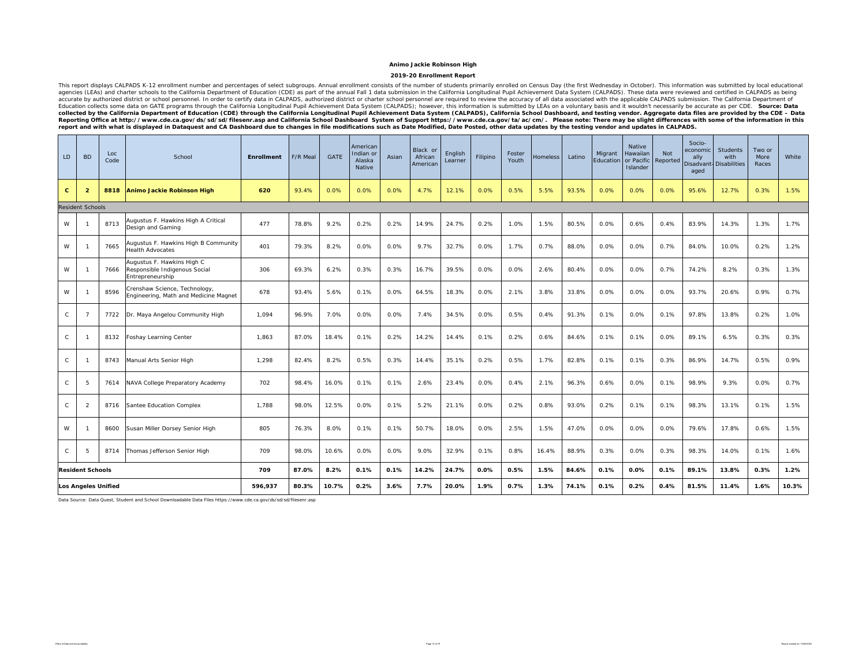#### **2019-20 Enrollment Report**

This report displays CALPADS K-12 enrollment number and percentages of select subgroups. Annual enrollment consists of the number of students primarily enrolled on Census Day (the first Wednesday in October). This informat accurate by authorized district or school personnel. In order to certify data in CALPADS, authorized district or charter school personnel are required to review the accuracy of all data associated with the applicable CALPA exective at http://www.cde.ca.gov/ds/sd/sd/filesenr.asp and California School Dashboard System of Support https://www.cde.ca.gov/ta/ac/cm/. Please note: There may be slight differences with some of the information in this *report and with what is displayed in Dataquest and CA Dashboard due to changes in file modifications such as Date Modified, Date Posted, other data updates by the testing vendor and updates in CALPADS.* 

| LD.          | <b>BD</b>               | Loc<br>Code | School                                                                          | <b>Enrollment</b> | F/R Meal | <b>GATE</b> | American<br>Indian or<br>Alaska<br><b>Native</b> | Asian | Black or<br>African<br>American | English<br>Learner | Filipino | Foster<br>Youth | Homeless | Latino | Migrant<br>Education | <b>Native</b><br>Hawaiian<br>or Pacific<br>Islander | <b>Not</b><br>Reported | Socio-<br>economic<br>ally<br>Disadvant<br>aged | <b>Students</b><br>with<br><b>Disabilities</b> | Two or<br>More<br>Races | White |
|--------------|-------------------------|-------------|---------------------------------------------------------------------------------|-------------------|----------|-------------|--------------------------------------------------|-------|---------------------------------|--------------------|----------|-----------------|----------|--------|----------------------|-----------------------------------------------------|------------------------|-------------------------------------------------|------------------------------------------------|-------------------------|-------|
| $\mathbf{C}$ | $\overline{2}$          | 8818        | Animo Jackie Robinson High                                                      | 620               | 93.4%    | 0.0%        | 0.0%                                             | 0.0%  | 4.7%                            | 12.1%              | 0.0%     | 0.5%            | 5.5%     | 93.5%  | 0.0%                 | 0.0%                                                | 0.0%                   | 95.6%                                           | 12.7%                                          | 0.3%                    | 1.5%  |
|              | <b>Resident Schools</b> |             |                                                                                 |                   |          |             |                                                  |       |                                 |                    |          |                 |          |        |                      |                                                     |                        |                                                 |                                                |                         |       |
| W            |                         | 8713        | Augustus F. Hawkins High A Critical<br>Design and Gaming                        | 477               | 78.8%    | 9.2%        | 0.2%                                             | 0.2%  | 14.9%                           | 24.7%              | 0.2%     | 1.0%            | 1.5%     | 80.5%  | 0.0%                 | 0.6%                                                | 0.4%                   | 83.9%                                           | 14.3%                                          | 1.3%                    | 1.7%  |
| W            |                         | 7665        | Augustus F. Hawkins High B Community<br><b>Health Advocates</b>                 | 401               | 79.3%    | 8.2%        | 0.0%                                             | 0.0%  | 9.7%                            | 32.7%              | 0.0%     | 1.7%            | 0.7%     | 88.0%  | 0.0%                 | 0.0%                                                | 0.7%                   | 84.0%                                           | 10.0%                                          | 0.2%                    | 1.2%  |
| W            | -1                      | 7666        | Augustus F. Hawkins High C<br>Responsible Indigenous Social<br>Entrepreneurship | 306               | 69.3%    | 6.2%        | 0.3%                                             | 0.3%  | 16.7%                           | 39.5%              | 0.0%     | 0.0%            | 2.6%     | 80.4%  | 0.0%                 | 0.0%                                                | 0.7%                   | 74.2%                                           | 8.2%                                           | 0.3%                    | 1.3%  |
| W            |                         | 8596        | Crenshaw Science, Technology,<br>Engineering, Math and Medicine Magnet          | 678               | 93.4%    | 5.6%        | 0.1%                                             | 0.0%  | 64.5%                           | 18.3%              | 0.0%     | 2.1%            | 3.8%     | 33.8%  | 0.0%                 | 0.0%                                                | 0.0%                   | 93.7%                                           | 20.6%                                          | 0.9%                    | 0.7%  |
| C            | $\overline{7}$          | 7722        | Dr. Maya Angelou Community High                                                 | 1.094             | 96.9%    | 7.0%        | 0.0%                                             | 0.0%  | 7.4%                            | 34.5%              | 0.0%     | 0.5%            | 0.4%     | 91.3%  | 0.1%                 | 0.0%                                                | 0.1%                   | 97.8%                                           | 13.8%                                          | 0.2%                    | 1.0%  |
| C            |                         | 8132        | Foshay Learning Center                                                          | 1,863             | 87.0%    | 18.4%       | 0.1%                                             | 0.2%  | 14.2%                           | 14.4%              | 0.1%     | 0.2%            | 0.6%     | 84.6%  | 0.1%                 | 0.1%                                                | 0.0%                   | 89.1%                                           | 6.5%                                           | 0.3%                    | 0.3%  |
| $\mathsf{C}$ |                         | 8743        | Manual Arts Senior High                                                         | 1,298             | 82.4%    | 8.2%        | 0.5%                                             | 0.3%  | 14.4%                           | 35.1%              | 0.2%     | 0.5%            | 1.7%     | 82.8%  | 0.1%                 | 0.1%                                                | 0.3%                   | 86.9%                                           | 14.7%                                          | 0.5%                    | 0.9%  |
| C            | 5                       | 7614        | NAVA College Preparatory Academy                                                | 702               | 98.4%    | 16.0%       | 0.1%                                             | 0.1%  | 2.6%                            | 23.4%              | 0.0%     | 0.4%            | 2.1%     | 96.3%  | 0.6%                 | 0.0%                                                | 0.1%                   | 98.9%                                           | 9.3%                                           | 0.0%                    | 0.7%  |
| C            | $\overline{2}$          | 8716        | Santee Education Complex                                                        | 1,788             | 98.0%    | 12.5%       | 0.0%                                             | 0.1%  | 5.2%                            | 21.1%              | 0.0%     | 0.2%            | 0.8%     | 93.0%  | 0.2%                 | 0.1%                                                | 0.1%                   | 98.3%                                           | 13.1%                                          | 0.1%                    | 1.5%  |
| W            | -1                      | 8600        | Susan Miller Dorsey Senior High                                                 | 805               | 76.3%    | 8.0%        | 0.1%                                             | 0.1%  | 50.7%                           | 18.0%              | 0.0%     | 2.5%            | 1.5%     | 47.0%  | 0.0%                 | 0.0%                                                | 0.0%                   | 79.6%                                           | 17.8%                                          | 0.6%                    | 1.5%  |
| C            | 5                       | 8714        | Thomas Jefferson Senior High                                                    | 709               | 98.0%    | 10.6%       | 0.0%                                             | 0.0%  | 9.0%                            | 32.9%              | 0.1%     | 0.8%            | 16.4%    | 88.9%  | 0.3%                 | 0.0%                                                | 0.3%                   | 98.3%                                           | 14.0%                                          | 0.1%                    | 1.6%  |
|              | <b>Resident Schools</b> |             |                                                                                 | 709               | 87.0%    | 8.2%        | 0.1%                                             | 0.1%  | 14.2%                           | 24.7%              | 0.0%     | 0.5%            | 1.5%     | 84.6%  | 0.1%                 | 0.0%                                                | 0.1%                   | 89.1%                                           | 13.8%                                          | 0.3%                    | 1.2%  |
|              | Los Angeles Unified     |             |                                                                                 | 596,937           | 80.3%    | 10.7%       | 0.2%                                             | 3.6%  | 7.7%                            | 20.0%              | 1.9%     | 0.7%            | 1.3%     | 74.1%  | 0.1%                 | 0.2%                                                | 0.4%                   | 81.5%                                           | 11.4%                                          | 1.6%                    | 10.3% |

Data Source: Data Quest, Student and School Downloadable Data Files https://www.cde.ca.gov/ds/sd/sd/filesenr.asp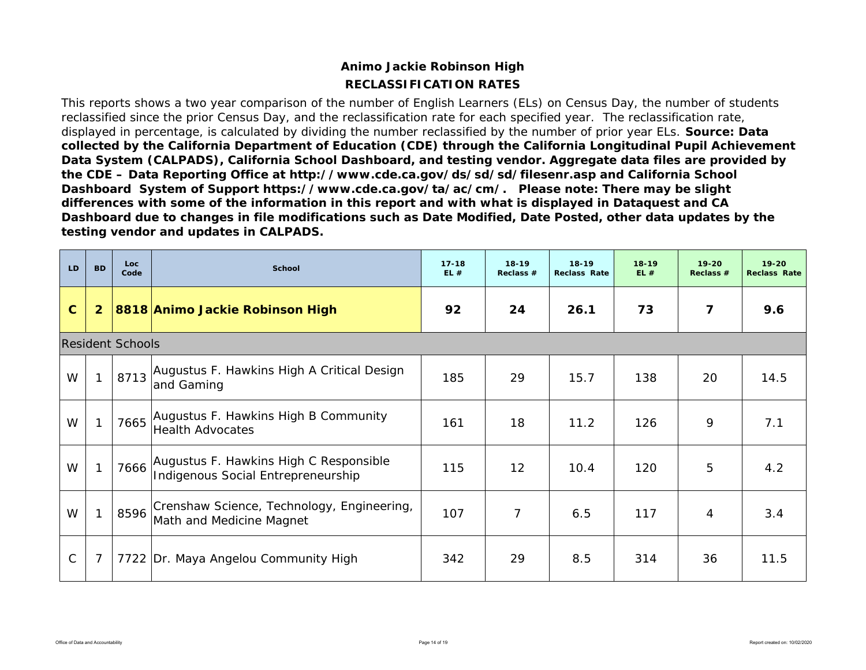# **RECLASSIFICATION RATESAnimo Jackie Robinson High**

This reports shows a two year comparison of the number of English Learners (ELs) on Census Day, the number of students reclassified since the prior Census Day, and the reclassification rate for each specified year. The reclassification rate, displayed in percentage, is calculated by dividing the number reclassified by the number of prior year ELs. *Source: Data collected by the California Department of Education (CDE) through the California Longitudinal Pupil Achievement Data System (CALPADS), California School Dashboard, and testing vendor. Aggregate data files are provided by the CDE – Data Reporting Office at http://www.cde.ca.gov/ds/sd/sd/filesenr.asp and California School Dashboard System of Support https://www.cde.ca.gov/ta/ac/cm/. Please note: There may be slight differences with some of the information in this report and with what is displayed in Dataquest and CA Dashboard due to changes in file modifications such as Date Modified, Date Posted, other data updates by the testing vendor and updates in CALPADS.* 

| LD          | <b>BD</b>      | Loc.<br>Code            | <b>School</b>                                                                | $17 - 18$<br>EL# | $18-19$<br>Reclass $#$ | 18-19<br><b>Reclass Rate</b> | $18 - 19$<br>EL# | $19 - 20$<br>Reclass # | $19 - 20$<br><b>Reclass Rate</b> |
|-------------|----------------|-------------------------|------------------------------------------------------------------------------|------------------|------------------------|------------------------------|------------------|------------------------|----------------------------------|
| $\mathbf C$ | $\overline{2}$ |                         | 8818 Animo Jackie Robinson High                                              | 92               | 24                     | 26.1                         | 73               | 7                      | 9.6                              |
|             |                | <b>Resident Schools</b> |                                                                              |                  |                        |                              |                  |                        |                                  |
| W           | $\mathbf{1}$   | 8713                    | Augustus F. Hawkins High A Critical Design<br>and Gaming                     | 185              | 29                     | 15.7                         | 138              | 20                     | 14.5                             |
| W           | $\mathbf{1}$   | 7665                    | Augustus F. Hawkins High B Community<br><b>Health Advocates</b>              | 161              | 18                     | 11.2                         | 126              | 9                      | 7.1                              |
| W           | $\mathbf{1}$   | 7666                    | Augustus F. Hawkins High C Responsible<br>Indigenous Social Entrepreneurship | 115              | 12 <sup>2</sup>        | 10.4                         | 120              | 5                      | 4.2                              |
| W           | $\mathbf{1}$   | 8596                    | Crenshaw Science, Technology, Engineering,<br>Math and Medicine Magnet       | 107              | $\overline{7}$         | 6.5                          | 117              | 4                      | 3.4                              |
| С           | $\overline{7}$ |                         | 7722 Dr. Maya Angelou Community High                                         | 342              | 29                     | 8.5                          | 314              | 36                     | 11.5                             |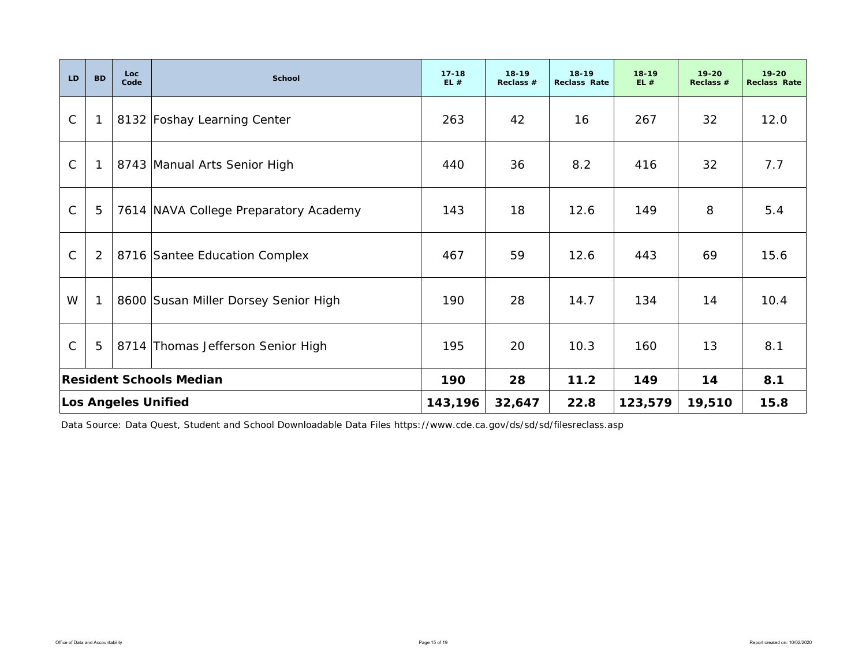| LD                             | <b>BD</b>    | Loc<br>Code | <b>School</b>                         | $17 - 18$<br>EL# | $18 - 19$<br>Reclass # | $18 - 19$<br><b>Reclass Rate</b> | $18 - 19$<br>EL# | $19 - 20$<br>Reclass # | $19 - 20$<br><b>Reclass Rate</b> |
|--------------------------------|--------------|-------------|---------------------------------------|------------------|------------------------|----------------------------------|------------------|------------------------|----------------------------------|
| $\mathsf{C}$                   | $\mathbf{1}$ |             | 8132 Foshay Learning Center           | 263              | 42                     | 16                               | 267              | 32                     | 12.0                             |
| $\mathsf{C}$                   | $\mathbf{1}$ |             | 8743 Manual Arts Senior High          | 440              | 36                     | 8.2                              | 416              | 32                     | 7.7                              |
| $\mathsf{C}$                   | 5            |             | 7614 NAVA College Preparatory Academy | 143              | 18                     | 12.6                             | 149              | 8                      | 5.4                              |
| $\mathsf{C}$                   | 2            |             | 8716 Santee Education Complex         | 467              | 59                     | 12.6                             | 443              | 69                     | 15.6                             |
| W                              | $\mathbf{1}$ |             | 8600 Susan Miller Dorsey Senior High  | 190              | 28                     | 14.7                             | 134              | 14                     | 10.4                             |
| $\mathsf C$                    | 5            |             | 8714 Thomas Jefferson Senior High     | 195              | 20                     | 10.3                             | 160              | 13                     | 8.1                              |
| <b>Resident Schools Median</b> |              |             | 190                                   | 28               | 11.2                   | 149                              | 14               | 8.1                    |                                  |
| <b>Los Angeles Unified</b>     |              |             | 143,196                               | 32,647           | 22.8                   | 123,579                          | 19,510           | 15.8                   |                                  |

Data Source: Data Quest, Student and School Downloadable Data Files https://www.cde.ca.gov/ds/sd/sd/filesreclass.asp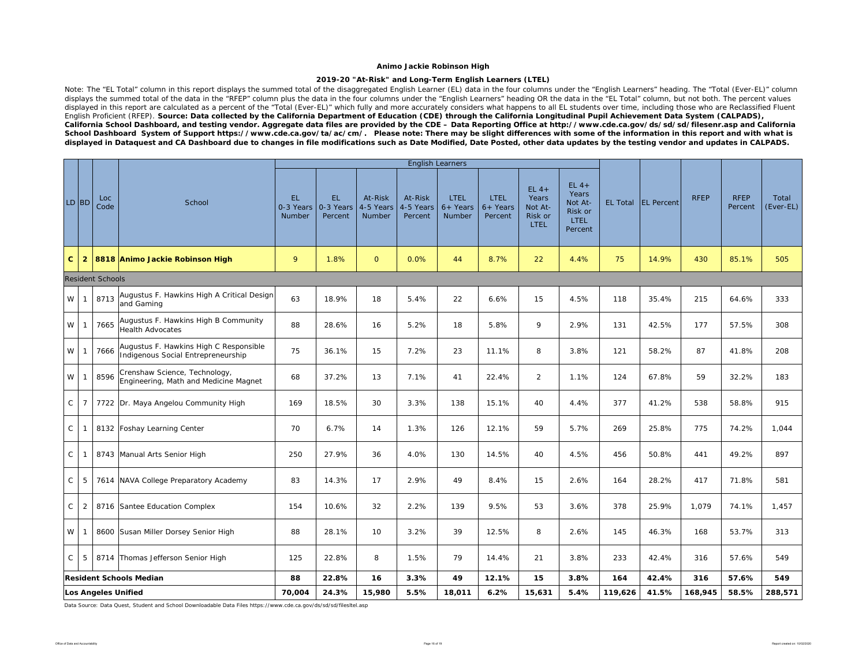### **2019-20 "At-Risk" and Long-Term English Learners (LTEL)**

Note: The "EL Total" column in this report displays the summed total of the disaggregated English Learner (EL) data in the four columns under the "English Learners" heading. The "Total (Ever-EL)" column displays the summed total of the data in the "RFEP" column plus the data in the four columns under the "English Learners" heading OR the data in the "EL Total" column, but not both. The percent values displayed in this report are calculated as a percent of the "Total (Ever-EL)" which fully and more accurately considers what happens to all EL students over time, including those who are Reclassified Fluent English Proficient (RFEP). *Source: Data collected by the California Department of Education (CDE) through the California Longitudinal Pupil Achievement Data System (CALPADS), California School Dashboard, and testing vendor. Aggregate data files are provided by the CDE – Data Reporting Office at http://www.cde.ca.gov/ds/sd/sd/filesenr.asp and California School Dashboard System of Support https://www.cde.ca.gov/ta/ac/cm/. Please note: There may be slight differences with some of the information in this report and with what is*  displayed in Dataquest and CA Dashboard due to changes in file modifications such as Date Modified, Date Posted, other data updates by the testing vendor and updates in CALPADS.

|              |                            |                         |                                                                              |                            |                             |                                |                                 | <b>English Learners</b>                    |                                      |                                                |                                                                  |                 |                   |             |                        |                    |
|--------------|----------------------------|-------------------------|------------------------------------------------------------------------------|----------------------------|-----------------------------|--------------------------------|---------------------------------|--------------------------------------------|--------------------------------------|------------------------------------------------|------------------------------------------------------------------|-----------------|-------------------|-------------|------------------------|--------------------|
|              | LD BD                      | Loc<br>Code             | School                                                                       | EL.<br>0-3 Years<br>Number | EL.<br>0-3 Years<br>Percent | At-Risk<br>4-5 Years<br>Number | At-Risk<br>4-5 Years<br>Percent | <b>LTEL</b><br>$6+$ Years<br><b>Number</b> | <b>LTEL</b><br>$6+$ Years<br>Percent | $EL$ 4+<br>Years<br>Not At-<br>Risk or<br>LTEL | $EL$ 4+<br>Years<br>Not At-<br>Risk or<br><b>LTEL</b><br>Percent | <b>EL Total</b> | <b>EL</b> Percent | <b>RFEP</b> | <b>RFEP</b><br>Percent | Total<br>(Ever-EL) |
| C.           | $\overline{2}$             |                         | 8818 Animo Jackie Robinson High                                              | 9                          | 1.8%                        | $\mathbf{0}$                   | 0.0%                            | 44                                         | 8.7%                                 | 22                                             | 4.4%                                                             | 75              | 14.9%             | 430         | 85.1%                  | 505                |
|              |                            | <b>Resident Schools</b> |                                                                              |                            |                             |                                |                                 |                                            |                                      |                                                |                                                                  |                 |                   |             |                        |                    |
| W            | $\overline{1}$             | 8713                    | Augustus F. Hawkins High A Critical Design<br>and Gaming                     | 63                         | 18.9%                       | 18                             | 5.4%                            | 22                                         | 6.6%                                 | 15                                             | 4.5%                                                             | 118             | 35.4%             | 215         | 64.6%                  | 333                |
| W            | $\overline{1}$             | 7665                    | Augustus F. Hawkins High B Community<br><b>Health Advocates</b>              | 88                         | 28.6%                       | 16                             | 5.2%                            | 18                                         | 5.8%                                 | 9                                              | 2.9%                                                             | 131             | 42.5%             | 177         | 57.5%                  | 308                |
| W            | -1                         | 7666                    | Augustus F. Hawkins High C Responsible<br>Indigenous Social Entrepreneurship | 75                         | 36.1%                       | 15                             | 7.2%                            | 23                                         | 11.1%                                | 8                                              | 3.8%                                                             | 121             | 58.2%             | 87          | 41.8%                  | 208                |
| W            | $\mathbf{1}$               | 8596                    | Crenshaw Science, Technology,<br>Engineering, Math and Medicine Magnet       | 68                         | 37.2%                       | 13                             | 7.1%                            | 41                                         | 22.4%                                | $\overline{2}$                                 | 1.1%                                                             | 124             | 67.8%             | 59          | 32.2%                  | 183                |
| $\mathsf{C}$ | $\overline{7}$             |                         | 7722 Dr. Maya Angelou Community High                                         | 169                        | 18.5%                       | 30                             | 3.3%                            | 138                                        | 15.1%                                | 40                                             | 4.4%                                                             | 377             | 41.2%             | 538         | 58.8%                  | 915                |
| C            | $\mathbf{1}$               |                         | 8132 Foshay Learning Center                                                  | 70                         | 6.7%                        | 14                             | 1.3%                            | 126                                        | 12.1%                                | 59                                             | 5.7%                                                             | 269             | 25.8%             | 775         | 74.2%                  | 1,044              |
| C            | $\overline{1}$             |                         | 8743 Manual Arts Senior High                                                 | 250                        | 27.9%                       | 36                             | 4.0%                            | 130                                        | 14.5%                                | 40                                             | 4.5%                                                             | 456             | 50.8%             | 441         | 49.2%                  | 897                |
| C            | -5                         |                         | 7614 NAVA College Preparatory Academy                                        | 83                         | 14.3%                       | 17                             | 2.9%                            | 49                                         | 8.4%                                 | 15                                             | 2.6%                                                             | 164             | 28.2%             | 417         | 71.8%                  | 581                |
| C            | 2                          |                         | 8716 Santee Education Complex                                                | 154                        | 10.6%                       | 32                             | 2.2%                            | 139                                        | 9.5%                                 | 53                                             | 3.6%                                                             | 378             | 25.9%             | 1,079       | 74.1%                  | 1,457              |
| W            |                            |                         | 8600 Susan Miller Dorsey Senior High                                         | 88                         | 28.1%                       | 10                             | 3.2%                            | 39                                         | 12.5%                                | 8                                              | 2.6%                                                             | 145             | 46.3%             | 168         | 53.7%                  | 313                |
| C            | -5                         |                         | 8714 Thomas Jefferson Senior High                                            | 125                        | 22.8%                       | 8                              | 1.5%                            | 79                                         | 14.4%                                | 21                                             | 3.8%                                                             | 233             | 42.4%             | 316         | 57.6%                  | 549                |
|              |                            |                         | <b>Resident Schools Median</b>                                               | 88                         | 22.8%                       | 16                             | 3.3%                            | 49                                         | 12.1%                                | 15                                             | 3.8%                                                             | 164             | 42.4%             | 316         | 57.6%                  | 549                |
|              | <b>Los Angeles Unified</b> |                         |                                                                              |                            | 24.3%                       | 15,980                         | 5.5%                            | 18,011                                     | 6.2%                                 | 15,631                                         | 5.4%                                                             | 119,626         | 41.5%             | 168,945     | 58.5%                  | 288,571            |

Data Source: Data Quest, Student and School Downloadable Data Files https://www.cde.ca.gov/ds/sd/sd/filesltel.asp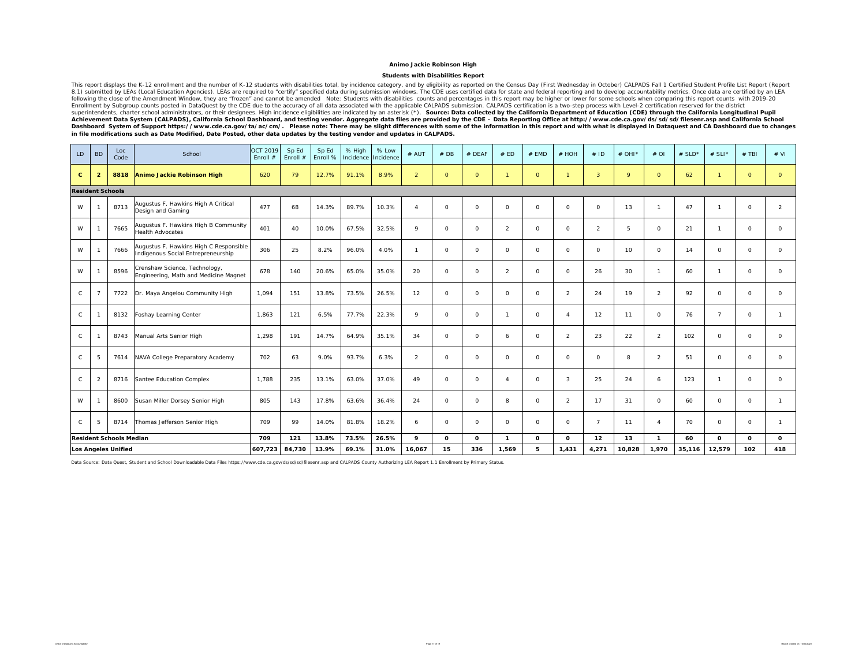#### **Students with Disabilities Report**

This report displays the K-12 enrollment and the number of K-12 students with disabilities total, by incidence category, and by eligibility as reported on the Census Day (First Wednesday in October) CALPADS Fall 1 Certifie 8.1) submitted by LEAs (Local Education Agencies). LEAs are required to "certify" specified data during submission windows. The CDE uses certified data for state and federal reporting and to develop accountability metrics. Enrollment by Subgroup counts posted in DataQuest by the CDE due to the accuracy of all data associated with the applicable CALIPADS certification is a two-step process. With Level-2 certification reserved for the district

| LD           | <b>BD</b>               | Loc<br>Code                    | School                                                                       | <b>OCT 2019</b><br>Enroll # | Sp Ed<br>Enroll # | Sp Ed<br>Enroll % | % High<br>Incidence | % Low<br>Incidence | # AUT          | #DB          | # DEAF  | # ED         | $#$ EMD      | # HOH          | #1D            | $#$ OHI <sup>*</sup> | $#$ OI         | # $SLD*$ | # SLI*         | $#$ TBI        | # VI           |
|--------------|-------------------------|--------------------------------|------------------------------------------------------------------------------|-----------------------------|-------------------|-------------------|---------------------|--------------------|----------------|--------------|---------|--------------|--------------|----------------|----------------|----------------------|----------------|----------|----------------|----------------|----------------|
| c            | $\overline{2}$          | 8818                           | Animo Jackie Robinson High                                                   | 620                         | 79                | 12.7%             | 91.1%               | 8.9%               | $\overline{2}$ | $\Omega$     | $\circ$ | $\mathbf{1}$ | $\circ$      | $\overline{1}$ | $\overline{3}$ | 9                    | $\circ$        | 62       |                | $\overline{0}$ | $\circ$        |
|              | <b>Resident Schools</b> |                                |                                                                              |                             |                   |                   |                     |                    |                |              |         |              |              |                |                |                      |                |          |                |                |                |
| W            |                         | 8713                           | Augustus F. Hawkins High A Critical<br>Design and Gaming                     | 477                         | 68                | 14.3%             | 89.7%               | 10.3%              | $\Delta$       | $\circ$      | $\circ$ | $\circ$      | $\circ$      | $\circ$        | $\circ$        | 13                   | $\mathbf{1}$   | 47       |                | $\circ$        | $\overline{2}$ |
| W            |                         | 7665                           | Augustus F. Hawkins High B Community<br><b>Health Advocates</b>              | 401                         | 40                | 10.0%             | 67.5%               | 32.5%              | 9              | $\circ$      | $\circ$ | 2            | $\circ$      | $\circ$        | $\overline{2}$ | 5                    | $\Omega$       | 21       |                | $\circ$        | $\circ$        |
| W            |                         | 7666                           | Augustus F. Hawkins High C Responsible<br>Indigenous Social Entrepreneurship | 306                         | 25                | 8.2%              | 96.0%               | 4.0%               | -1             | $\circ$      | $\circ$ | $\circ$      | $\circ$      | $\circ$        | $\circ$        | 10                   | $\circ$        | 14       | $\circ$        | 0              | $\circ$        |
| W            |                         | 8596                           | Crenshaw Science, Technology,<br>Engineering, Math and Medicine Magnet       | 678                         | 140               | 20.6%             | 65.0%               | 35.0%              | 20             | $\Omega$     | $\circ$ | 2            | $\circ$      | $\Omega$       | 26             | 30                   | $\mathbf{1}$   | 60       |                | 0              | $\Omega$       |
| $\mathsf{C}$ |                         | 7722                           | Dr. Maya Angelou Community High                                              | 1,094                       | 151               | 13.8%             | 73.5%               | 26.5%              | 12             | $\Omega$     | 0       | $\circ$      | $\circ$      | $\overline{2}$ | 24             | 19                   | $\overline{2}$ | 92       | $\Omega$       | 0              | $\circ$        |
| $\mathsf{C}$ |                         | 8132                           | Foshay Learning Center                                                       | 1,863                       | 121               | 6.5%              | 77.7%               | 22.3%              | $\mathsf Q$    | $\circ$      | 0       | $\mathbf{1}$ | $\circ$      | $\overline{4}$ | 12             | 11                   | $\circ$        | 76       | $\overline{ }$ | 0              | $\mathbf{1}$   |
| C            |                         | 8743                           | Manual Arts Senior High                                                      | 1,298                       | 191               | 14.7%             | 64.9%               | 35.1%              | 34             | $\Omega$     | $\circ$ | 6            | $\circ$      | $\overline{2}$ | 23             | 22                   | $\overline{2}$ | 102      | $\Omega$       | 0              | $\circ$        |
| C            | -5                      | 7614                           | NAVA College Preparatory Academy                                             | 702                         | 63                | 9.0%              | 93.7%               | 6.3%               | $\overline{2}$ | $\circ$      | $\circ$ | $\circ$      | $\circ$      | $\circ$        | $\circ$        | 8                    | $\overline{2}$ | 51       | $\circ$        | 0              | $\circ$        |
| $\mathsf{C}$ | $\overline{2}$          | 8716                           | Santee Education Complex                                                     | 1.788                       | 235               | 13.1%             | 63.0%               | 37.0%              | 49             | $\Omega$     | $\circ$ | $\Delta$     | $\circ$      | 3              | 25             | 24                   | 6              | 123      |                | 0              | $\circ$        |
| W            |                         | 8600                           | Susan Miller Dorsey Senior High                                              | 805                         | 143               | 17.8%             | 63.6%               | 36.4%              | 24             | $\Omega$     | $\circ$ | 8            | $\circ$      | $\overline{2}$ | 17             | 31                   | $\circ$        | 60       | $\Omega$       | $\circ$        | $\mathbf{1}$   |
| $\mathsf{C}$ | 5                       | 8714                           | Thomas Jefferson Senior High                                                 | 709                         | 99                | 14.0%             | 81.8%               | 18.2%              | 6              | $\Omega$     | 0       | $\circ$      | $\circ$      | $\circ$        | $\overline{7}$ | 11                   | $\Delta$       | 70       | $\Omega$       | 0              | $\mathbf{1}$   |
|              |                         | <b>Resident Schools Median</b> |                                                                              | 709                         | 121               | 13.8%             | 73.5%               | 26.5%              | 9              | $\mathbf{o}$ | 0       | $\mathbf{1}$ | $\mathbf{o}$ | $\mathbf{o}$   | 12             | 13                   | $\mathbf{1}$   | 60       | $\mathbf{o}$   | $\mathbf{o}$   | $\mathbf{o}$   |
|              |                         | <b>Los Angeles Unified</b>     |                                                                              | 607,723                     | 84,730            | 13.9%             | 69.1%               | 31.0%              | 16,067         | 15           | 336     | 1,569        | 5            | 1,431          | 4,271          | 10,828               | 1,970          | 35,116   | 12,579         | 102            | 418            |

Data Source: Data Quest, Student and School Downloadable Data Files https://www.cde.ca.gov/ds/sd/sd/filesenr.asp and CALPADS County Authorizing LEA Report 1.1 Enrollment by Primary Status.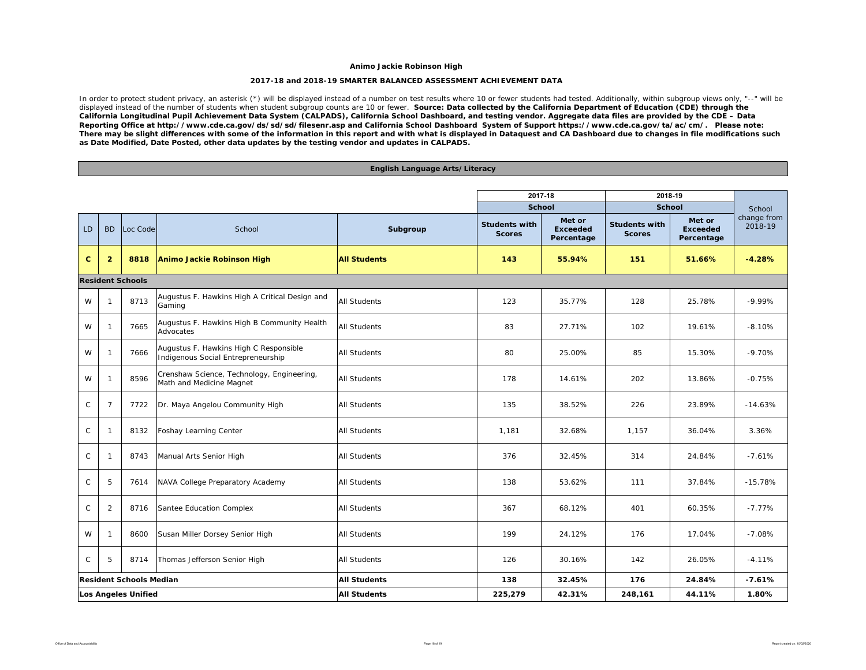#### **2017-18 and 2018-19 SMARTER BALANCED ASSESSMENT ACHIEVEMENT DATA**

In order to protect student privacy, an asterisk (\*) will be displayed instead of a number on test results where 10 or fewer students had tested. Additionally, within subgroup views only, "--" will be displayed instead of the number of students when student subgroup counts are 10 or fewer. Source: Data collected by the California Department of Education (CDE) through the *California Longitudinal Pupil Achievement Data System (CALPADS), California School Dashboard, and testing vendor. Aggregate data files are provided by the CDE – Data Reporting Office at http://www.cde.ca.gov/ds/sd/sd/filesenr.asp and California School Dashboard System of Support https://www.cde.ca.gov/ta/ac/cm/. Please note: There may be slight differences with some of the information in this report and with what is displayed in Dataquest and CA Dashboard due to changes in file modifications such as Date Modified, Date Posted, other data updates by the testing vendor and updates in CALPADS.* 

### **English Language Arts/Literacy**

|                            |                                |                         |                                                                              |                     | 2017-18                               |                                         | 2018-19                               |                                         |                        |  |
|----------------------------|--------------------------------|-------------------------|------------------------------------------------------------------------------|---------------------|---------------------------------------|-----------------------------------------|---------------------------------------|-----------------------------------------|------------------------|--|
|                            |                                |                         |                                                                              |                     | <b>School</b>                         |                                         | <b>School</b>                         |                                         | School                 |  |
| LD                         | <b>BD</b>                      | Loc Code                | School                                                                       | Subgroup            | <b>Students with</b><br><b>Scores</b> | Met or<br><b>Exceeded</b><br>Percentage | <b>Students with</b><br><b>Scores</b> | Met or<br><b>Exceeded</b><br>Percentage | change from<br>2018-19 |  |
| $\mathbf{C}$               | $\overline{2}$                 | 8818                    | Animo Jackie Robinson High                                                   | <b>All Students</b> | 143                                   | 55.94%                                  | 151                                   | 51.66%                                  | $-4.28%$               |  |
|                            |                                | <b>Resident Schools</b> |                                                                              |                     |                                       |                                         |                                       |                                         |                        |  |
| W                          | $\mathbf{1}$                   | 8713                    | Augustus F. Hawkins High A Critical Design and<br>Gaming                     | <b>All Students</b> | 123                                   | 35.77%                                  | 128                                   | 25.78%                                  | $-9.99%$               |  |
| W                          | $\mathbf{1}$                   | 7665                    | Augustus F. Hawkins High B Community Health<br>Advocates                     | <b>All Students</b> | 83                                    | 27.71%                                  | 102                                   | 19.61%                                  | $-8.10%$               |  |
| W                          | $\mathbf{1}$                   | 7666                    | Augustus F. Hawkins High C Responsible<br>Indigenous Social Entrepreneurship | All Students        | 80                                    | 25.00%                                  | 85                                    | 15.30%                                  | $-9.70%$               |  |
| W                          | $\mathbf{1}$                   | 8596                    | Crenshaw Science, Technology, Engineering,<br>Math and Medicine Magnet       | All Students        | 178                                   | 14.61%                                  | 202                                   | 13.86%                                  | $-0.75%$               |  |
| $\mathsf C$                | $\overline{7}$                 | 7722                    | Dr. Maya Angelou Community High                                              | <b>All Students</b> | 135                                   | 38.52%                                  | 226                                   | 23.89%                                  | $-14.63%$              |  |
| C                          | $\mathbf{1}$                   | 8132                    | <b>Foshay Learning Center</b>                                                | All Students        | 1,181                                 | 32.68%                                  | 1,157                                 | 36.04%                                  | 3.36%                  |  |
| $\mathsf{C}$               | $\mathbf{1}$                   | 8743                    | Manual Arts Senior High                                                      | All Students        | 376                                   | 32.45%                                  | 314                                   | 24.84%                                  | $-7.61%$               |  |
| $\mathsf{C}$               | 5                              | 7614                    | NAVA College Preparatory Academy                                             | All Students        | 138                                   | 53.62%                                  | 111                                   | 37.84%                                  | $-15.78%$              |  |
| $\mathsf C$                | 2                              | 8716                    | Santee Education Complex                                                     | <b>All Students</b> | 367                                   | 68.12%                                  | 401                                   | 60.35%                                  | $-7.77%$               |  |
| W                          | $\mathbf{1}$                   | 8600                    | Susan Miller Dorsey Senior High                                              | <b>All Students</b> | 199                                   | 24.12%                                  | 176                                   | 17.04%                                  | $-7.08%$               |  |
| $\mathsf{C}$               | 5                              | 8714                    | Thomas Jefferson Senior High                                                 | <b>All Students</b> | 126                                   | 30.16%                                  | 142                                   | 26.05%                                  | $-4.11%$               |  |
|                            | <b>Resident Schools Median</b> |                         |                                                                              | <b>All Students</b> | 138                                   | 32.45%                                  | 176                                   | 24.84%                                  | $-7.61%$               |  |
| <b>Los Angeles Unified</b> |                                |                         |                                                                              | <b>All Students</b> | 225,279                               | 42.31%                                  | 248,161                               | 44.11%                                  | 1.80%                  |  |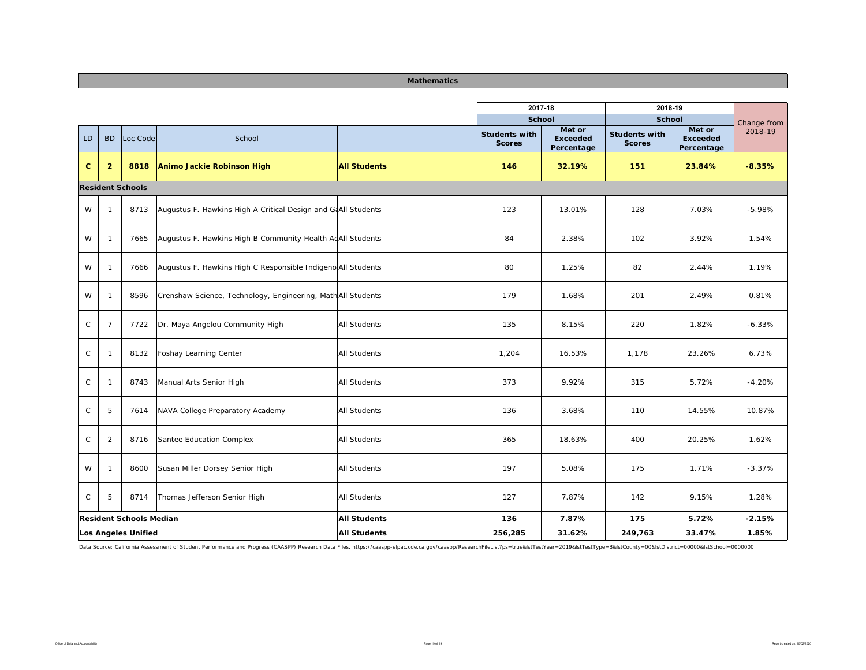| <b>Mathematics</b> |  |
|--------------------|--|

|              |                                |                            |                                                               |                     | 2017-18                               |                                         | 2018-19                               |                                         |             |
|--------------|--------------------------------|----------------------------|---------------------------------------------------------------|---------------------|---------------------------------------|-----------------------------------------|---------------------------------------|-----------------------------------------|-------------|
|              |                                |                            |                                                               |                     | <b>School</b>                         |                                         | <b>School</b>                         |                                         | Change from |
| LD           | <b>BD</b>                      | Loc Code                   | School                                                        |                     | <b>Students with</b><br><b>Scores</b> | Met or<br><b>Exceeded</b><br>Percentage | <b>Students with</b><br><b>Scores</b> | Met or<br><b>Exceeded</b><br>Percentage | 2018-19     |
| $\mathbf{C}$ | $\overline{2}$                 | 8818                       | Animo Jackie Robinson High                                    | <b>All Students</b> | 146                                   | 32.19%                                  | 151                                   | 23.84%                                  | $-8.35%$    |
|              |                                | <b>Resident Schools</b>    |                                                               |                     |                                       |                                         |                                       |                                         |             |
| W            | $\overline{1}$                 | 8713                       | Augustus F. Hawkins High A Critical Design and GAAII Students |                     | 123                                   | 13.01%                                  | 128                                   | 7.03%                                   | $-5.98%$    |
| W            | $\overline{1}$                 | 7665                       | Augustus F. Hawkins High B Community Health AdAll Students    |                     | 84                                    | 2.38%                                   | 102                                   | 3.92%                                   | 1.54%       |
| W            | $\overline{1}$                 | 7666                       | Augustus F. Hawkins High C Responsible Indigeno All Students  |                     | 80                                    | 1.25%                                   | 82                                    | 2.44%                                   | 1.19%       |
| W            | $\overline{1}$                 | 8596                       | Crenshaw Science, Technology, Engineering, MathAll Students   |                     | 179                                   | 1.68%                                   | 201                                   | 2.49%                                   | 0.81%       |
| $\mathsf C$  | $\overline{7}$                 | 7722                       | Dr. Maya Angelou Community High                               | All Students        | 135                                   | 8.15%                                   | 220                                   | 1.82%                                   | $-6.33%$    |
| $\mathsf C$  | $\overline{1}$                 | 8132                       | Foshay Learning Center                                        | All Students        | 1,204                                 | 16.53%                                  | 1,178                                 | 23.26%                                  | 6.73%       |
| $\mathsf{C}$ | $\overline{1}$                 | 8743                       | Manual Arts Senior High                                       | <b>All Students</b> | 373                                   | 9.92%                                   | 315                                   | 5.72%                                   | $-4.20%$    |
| $\mathsf C$  | 5                              | 7614                       | NAVA College Preparatory Academy                              | All Students        | 136                                   | 3.68%                                   | 110                                   | 14.55%                                  | 10.87%      |
| $\mathsf{C}$ | 2                              | 8716                       | Santee Education Complex                                      | All Students        | 365                                   | 18.63%                                  | 400                                   | 20.25%                                  | 1.62%       |
| W            | $\overline{1}$                 | 8600                       | Susan Miller Dorsey Senior High                               | All Students        | 197                                   | 5.08%                                   | 175                                   | 1.71%                                   | $-3.37%$    |
| $\mathsf C$  | 5                              | 8714                       | Thomas Jefferson Senior High                                  | All Students        | 127                                   | 7.87%                                   | 142                                   | 9.15%                                   | 1.28%       |
|              | <b>Resident Schools Median</b> |                            |                                                               | <b>All Students</b> | 136                                   | 7.87%                                   | 175                                   | 5.72%                                   | $-2.15%$    |
|              |                                | <b>Los Angeles Unified</b> |                                                               | <b>All Students</b> | 256,285                               | 31.62%                                  | 249,763                               | 33.47%                                  | 1.85%       |

Data Source: California Assessment of Student Performance and Progress (CAASPP) Research Data Files. https://caaspp-elpac.cde.ca.gov/caaspp/ResearchFileList?ps=true&istTestYear=2019&istTestYep=B&istCounty=00&istDstrict=000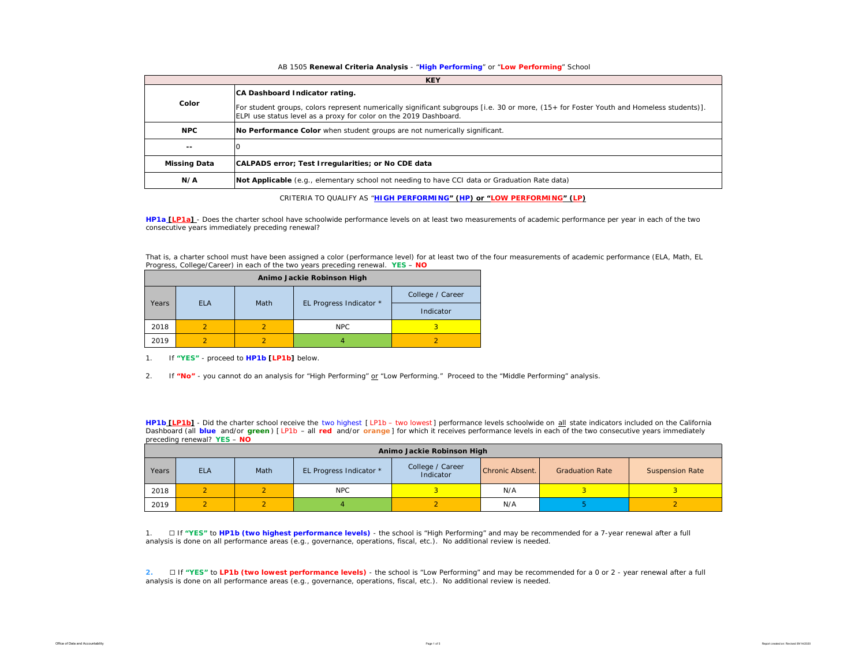### AB 1505 **Renewal Criteria Analysis** - "**High Performing**" or "**Low Performing**" School

|                     | <b>KEY</b>                                                                                                                                                                                                                                     |  |  |  |  |  |  |  |  |  |
|---------------------|------------------------------------------------------------------------------------------------------------------------------------------------------------------------------------------------------------------------------------------------|--|--|--|--|--|--|--|--|--|
| Color               | CA Dashboard Indicator rating.<br>For student groups, colors represent numerically significant subgroups [i.e. 30 or more, (15+ for Foster Youth and Homeless students)].<br>ELPI use status level as a proxy for color on the 2019 Dashboard. |  |  |  |  |  |  |  |  |  |
| <b>NPC</b>          | No Performance Color when student groups are not numerically significant.                                                                                                                                                                      |  |  |  |  |  |  |  |  |  |
| $- -$               |                                                                                                                                                                                                                                                |  |  |  |  |  |  |  |  |  |
| <b>Missing Data</b> | CALPADS error; Test Irregularities; or No CDE data                                                                                                                                                                                             |  |  |  |  |  |  |  |  |  |
| N/A                 | Not Applicable (e.g., elementary school not needing to have CCI data or Graduation Rate data)                                                                                                                                                  |  |  |  |  |  |  |  |  |  |

CRITERIA TO QUALIFY AS "**HIGH PERFORMING" (HP) or "LOW PERFORMING" (LP)**

**HP1a [LP1a]** - *Does the charter school have schoolwide performance levels on at least two measurements of academic performance per year in each of the two consecutive years immediately preceding renewal?* 

That is, a charter school must have been assigned a color (performance level) for at least two of the four measurements of academic performance (ELA, Math, EL Progress, College/Career) in each of the two years preceding renewal. **YES** – **NO**

|       | Animo Jackie Robinson High |      |                         |                  |  |  |  |  |  |  |
|-------|----------------------------|------|-------------------------|------------------|--|--|--|--|--|--|
|       | <b>ELA</b>                 | Math | EL Progress Indicator * | College / Career |  |  |  |  |  |  |
| Years |                            |      | Indicator               |                  |  |  |  |  |  |  |
| 2018  |                            | NPC  |                         |                  |  |  |  |  |  |  |
| 2019  |                            |      | 4                       |                  |  |  |  |  |  |  |

1. If **"YES"** - proceed to **HP1b [LP1b]** below.

2. If **"No"** - you cannot do an analysis for "High Performing" or "Low Performing." Proceed to the "Middle Performing" analysis.

**HP1b [LP1b]** - *Did the charter school receive the two highest [ LP1b – two lowest ] performance levels schoolwide on all state indicators included on the California*  Dashboard (all blue and/or green) [LP1b - all red and/or orange] for which it receives performance levels in each of the two consecutive years immediately *preceding renewal?* **YES** – **NO**

|       | Animo Jackie Robinson High |      |                         |                               |                 |                        |                        |  |  |  |  |
|-------|----------------------------|------|-------------------------|-------------------------------|-----------------|------------------------|------------------------|--|--|--|--|
| Years | <b>ELA</b>                 | Math | EL Progress Indicator * | College / Career<br>Indicator | Chronic Absent. | <b>Graduation Rate</b> | <b>Suspension Rate</b> |  |  |  |  |
| 2018  |                            |      | <b>NPC</b>              |                               | N/A             |                        |                        |  |  |  |  |
| 2019  |                            |      |                         |                               | N/A             |                        |                        |  |  |  |  |

1. ☐ If **"YES"** to **HP1b (two highest performance levels)** - the school is "High Performing" and may be recommended for a 7-year renewal after a full analysis is done on all performance areas (e.g., governance, operations, fiscal, etc.). No additional review is needed.

**2.** ☐ If **"YES"** to **LP1b (two lowest performance levels)** - the school is "Low Performing" and may be recommended for a 0 or 2 - year renewal after a full analysis is done on all performance areas (e.g., governance, operations, fiscal, etc.). No additional review is needed.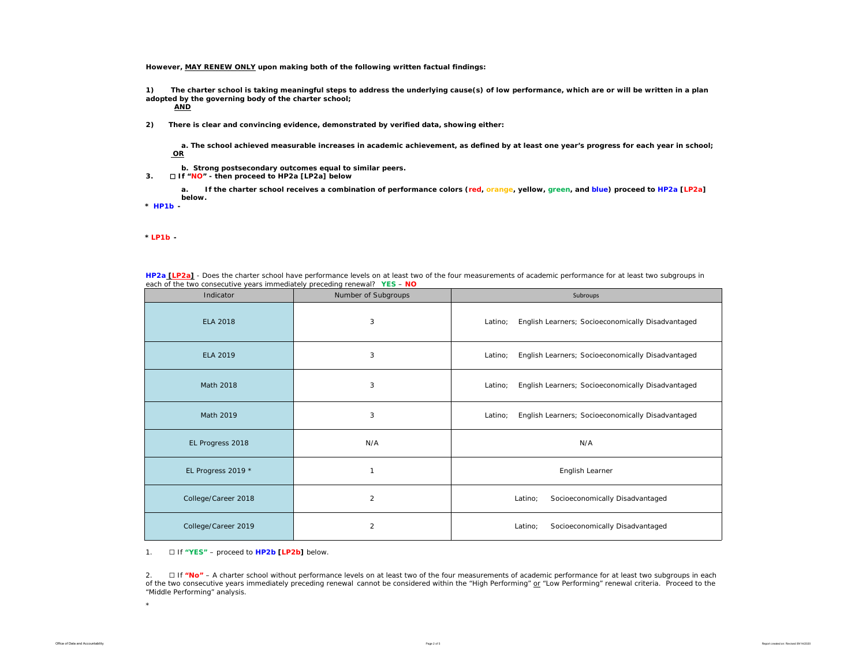**However, MAY RENEW ONLY upon making both of the following written factual findings:**

**1) The charter school is taking meaningful steps to address the underlying cause(s) of low performance, which are or will be written in a plan adopted by the governing body of the charter school;** 

**AND**

**2) There is clear and convincing evidence, demonstrated by verified data, showing either:**

**a. The school achieved measurable increases in academic achievement, as defined by at least one year's progress for each year in school; OR**

- **b. Strong postsecondary outcomes equal to similar peers.**
- **3.** ☐ **If "NO" then proceed to HP2a [LP2a] below**

**a. If the charter school receives a combination of performance colors (red, orange, yellow, green, and blue) proceed to HP2a [LP2a] below.** 

**\*** *HP1b -* 

*\* LP1b -* 

| HP2a [LP2a] - Does the charter school have performance levels on at least two of the four measurements of academic performance for at least two subgroups in |
|--------------------------------------------------------------------------------------------------------------------------------------------------------------|
| each of the two consecutive years immediately preceding renewal? YES - NO                                                                                    |

| Indicator           | Number of Subgroups | Subroups                                                     |
|---------------------|---------------------|--------------------------------------------------------------|
| <b>ELA 2018</b>     | 3                   | English Learners; Socioeconomically Disadvantaged<br>Latino; |
| <b>ELA 2019</b>     | 3                   | English Learners; Socioeconomically Disadvantaged<br>Latino: |
| Math 2018           | 3                   | English Learners; Socioeconomically Disadvantaged<br>Latino; |
| Math 2019           | 3                   | English Learners; Socioeconomically Disadvantaged<br>Latino: |
| EL Progress 2018    | N/A                 | N/A                                                          |
| EL Progress 2019 *  | $\mathbf{1}$        | English Learner                                              |
| College/Career 2018 | $\overline{2}$      | Latino;<br>Socioeconomically Disadvantaged                   |
| College/Career 2019 | $\overline{2}$      | Socioeconomically Disadvantaged<br>Latino;                   |

1. ☐ If **"YES"** – proceed to **HP2b [LP2b]** below.

2. ☐ If **"No"** – A charter school without *performance levels on at least two of the four measurements of academic performance for at least two subgroups in each of the two consecutive years immediately preceding renewal* cannot be considered within the "High Performing" or "Low Performing" renewal criteria. Proceed to the "Middle Performing" analysis.

\*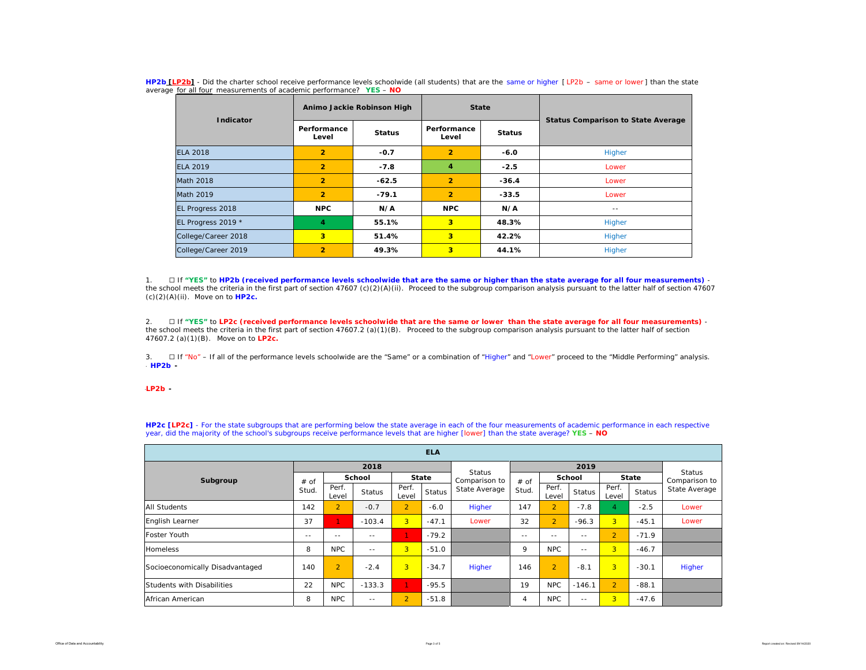| Indicator           |                         | Animo Jackie Robinson High | <b>State</b>         |               | <b>Status Comparison to State Average</b> |  |
|---------------------|-------------------------|----------------------------|----------------------|---------------|-------------------------------------------|--|
|                     | Performance<br>Level    | <b>Status</b>              | Performance<br>Level | <b>Status</b> |                                           |  |
| <b>ELA 2018</b>     | $\overline{2}$          | $-0.7$                     | $\overline{2}$       | $-6.0$        | Higher                                    |  |
| FLA 2019            | $\overline{2}$          | $-7.8$                     | 4                    | $-2.5$        | Lower                                     |  |
| Math 2018           | $\overline{2}$          | $-62.5$                    | $\overline{2}$       | $-36.4$       | Lower                                     |  |
| Math 2019           | $\overline{2}$          | $-79.1$                    | $\overline{2}$       | $-33.5$       | Lower                                     |  |
| EL Progress 2018    | <b>NPC</b>              | N/A                        | <b>NPC</b>           | N/A           | $- -$                                     |  |
| EL Progress 2019 *  | 4                       | 55.1%                      | 3                    | 48.3%         | Higher                                    |  |
| College/Career 2018 | $\overline{\mathbf{3}}$ | 51.4%                      | 3                    | 42.2%         | Higher                                    |  |
| College/Career 2019 | $\overline{2}$          | 49.3%                      | 3                    | 44.1%         | Higher                                    |  |

**HP2b [LP2b]** - *Did the charter school receive performance levels schoolwide (all students) that are the same or higher [ LP2b – same or lower ] than the state average for all four measurements of academic performance?* **YES** – **NO**

1. ☐ If **"YES"** to **HP2b (received performance levels schoolwide that are the same or higher than the state average for all four measurements)**  the school meets the criteria in the first part of section 47607 (c)(2)(A)(ii). Proceed to the subgroup comparison analysis pursuant to the latter half of section 47607 (c)(2)(A)(ii). Move on to **HP2c.**

2. ☐ If **"YES"** to **LP2c (received performance levels schoolwide that are the same or lower than the state average for all four measurements)** the school meets the criteria in the first part of section 47607.2 (a)(1)(B). Proceed to the subgroup comparison analysis pursuant to the latter half of section 47607.2 (a)(1)(B). Move on to **LP2c.**

3. □ If "No" – If all of the performance levels schoolwide are the "Same" or a combination of "Higher" and "Lower" proceed to the "Middle Performing" analysis. \* *HP2b -* 

### \**LP2b -*

**HP2c [LP2c]** - For the state subgroups that are performing below the state average in each of the four measurements of academic performance in each respective year, did the majority of the school's subgroups receive performance levels that are higher [lower] than the state average? **YES** – **NO**

| <b>ELA</b>                      |               |                |               |                |         |                                |               |                |               |                |         |                                |
|---------------------------------|---------------|----------------|---------------|----------------|---------|--------------------------------|---------------|----------------|---------------|----------------|---------|--------------------------------|
|                                 |               |                | 2018          |                |         |                                |               |                |               |                |         |                                |
| Subgroup                        | # of<br>Stud. | <b>School</b>  |               | <b>State</b>   |         | <b>Status</b><br>Comparison to | $#$ of        | School         |               | <b>State</b>   |         | <b>Status</b><br>Comparison to |
|                                 |               | Perf.<br>Level | <b>Status</b> | Perf.<br>Level | Status  | State Average                  | Stud.         | Perf.<br>Level | <b>Status</b> | Perf.<br>Level | Status  | State Average                  |
| <b>All Students</b>             | 142           | $\overline{2}$ | $-0.7$        | 2 <sup>1</sup> | $-6.0$  | Higher                         | 147           | $\overline{2}$ | $-7.8$        | 4              | $-2.5$  | Lower                          |
| English Learner                 | 37            |                | $-103.4$      | 3 <sup>1</sup> | $-47.1$ | Lower                          | 32            | $\overline{2}$ | $-96.3$       | 3 <sup>1</sup> | $-45.1$ | Lower                          |
| <b>Foster Youth</b>             | $\frac{1}{2}$ | $- -$          | $- -$         | $\mathbf{1}$   | $-79.2$ |                                | $\frac{1}{2}$ | $- -$          | $- -$         | $\overline{2}$ | $-71.9$ |                                |
| <b>Homeless</b>                 | 8             | <b>NPC</b>     | $ -$          | 3 <sup>1</sup> | $-51.0$ |                                | 9             | <b>NPC</b>     | $- -$         | $\overline{3}$ | $-46.7$ |                                |
| Socioeconomically Disadvantaged | 140           | $\overline{2}$ | $-2.4$        | $\overline{3}$ | $-34.7$ | Higher                         | 146           | $\overline{2}$ | $-8.1$        | 3              | $-30.1$ | Higher                         |
| Students with Disabilities      | 22            | <b>NPC</b>     | $-133.3$      | $\mathbf{1}$   | $-95.5$ |                                | 19            | <b>NPC</b>     | $-146.1$      | $\overline{2}$ | $-88.1$ |                                |
| African American                | 8             | <b>NPC</b>     | $- -$         | $\overline{2}$ | $-51.8$ |                                | 4             | <b>NPC</b>     | $- -$         | $\overline{3}$ | $-47.6$ |                                |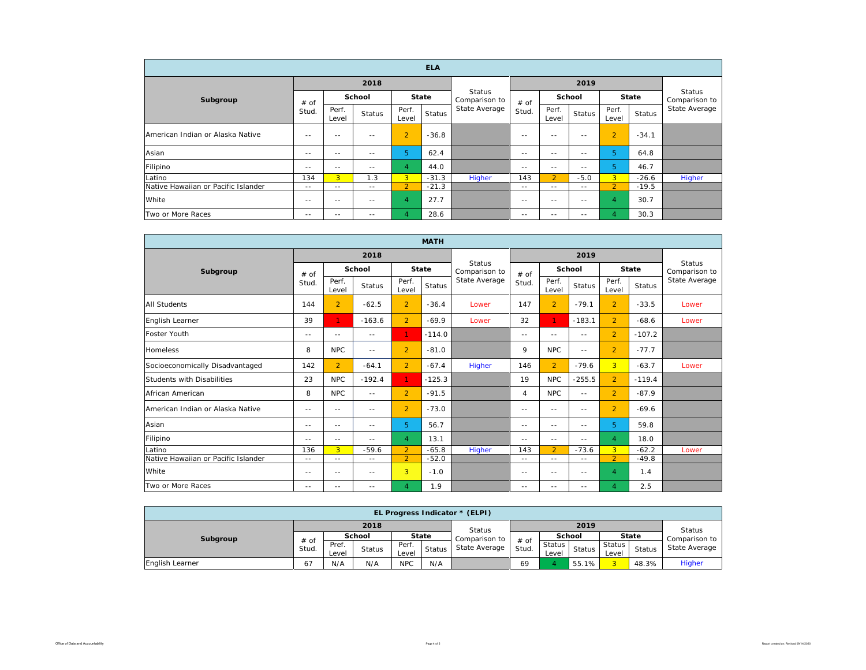| <b>ELA</b>                          |               |                |               |                |               |                         |               |                         |               |                |         |               |
|-------------------------------------|---------------|----------------|---------------|----------------|---------------|-------------------------|---------------|-------------------------|---------------|----------------|---------|---------------|
| Subgroup                            |               |                | 2018          |                |               |                         |               | Status<br>Comparison to |               |                |         |               |
|                                     | # of<br>Stud. | School         |               | <b>State</b>   |               | Status<br>Comparison to | # of          |                         | School        |                | State   |               |
|                                     |               | Perf.<br>Level | <b>Status</b> | Perf.<br>Level | <b>Status</b> | State Average           | Stud.         | Perf.<br>Level          | <b>Status</b> | Perf.<br>Level | Status  | State Average |
| American Indian or Alaska Native    | $\frac{1}{2}$ | $- -$          | $ -$          | $\overline{2}$ | $-36.8$       |                         | $- -$         | $- -$                   | $- -$         | $\overline{2}$ | $-34.1$ |               |
| Asian                               | $- -$         | $\frac{1}{2}$  | $- -$         | 5              | 62.4          |                         | $- -$         | $\frac{1}{2}$           | $- -$         | 5              | 64.8    |               |
| Filipino                            | $- -$         | $- -$          | $- -$         | $\overline{4}$ | 44.0          |                         | $- -$         | $- -$                   | $- -$         | 5              | 46.7    |               |
| Latino                              | 134           | $\overline{3}$ | 1.3           | $\overline{3}$ | $-31.3$       | Higher                  | 143           | $\overline{2}$          | $-5.0$        | 3 <sup>1</sup> | $-26.6$ | <b>Higher</b> |
| Native Hawaiian or Pacific Islander | $\sim$ $-$    | $- -$          | $\frac{1}{2}$ | $\overline{2}$ | $-21.3$       |                         | $\frac{1}{2}$ | $\sim$ $-$              | $\frac{1}{2}$ | $\overline{2}$ | $-19.5$ |               |
| White                               | $- -$         | $\frac{1}{2}$  | $- -$         | $\overline{4}$ | 27.7          |                         | $- -$         | $\frac{1}{2}$           | $- -$         | $\overline{A}$ | 30.7    |               |
| Two or More Races                   | $\sim$ $-$    | $- -$          | $\frac{1}{2}$ | $\overline{4}$ | 28.6          |                         | $- -$         | $- -$                   | $- -$         | 4              | 30.3    |               |

| <b>MATH</b>                         |               |                |               |                |               |                                |                |                |               |                |               |                                |
|-------------------------------------|---------------|----------------|---------------|----------------|---------------|--------------------------------|----------------|----------------|---------------|----------------|---------------|--------------------------------|
|                                     |               |                | 2018          |                |               |                                |                |                |               |                |               |                                |
| Subgroup                            | # of<br>Stud. | School         |               | State          |               | <b>Status</b><br>Comparison to | # of           | School         |               | <b>State</b>   |               | <b>Status</b><br>Comparison to |
|                                     |               | Perf.<br>Level | <b>Status</b> | Perf.<br>Level | <b>Status</b> | State Average                  | Stud.          | Perf.<br>Level | <b>Status</b> | Perf.<br>Level | <b>Status</b> | State Average                  |
| <b>All Students</b>                 | 144           | $\overline{2}$ | $-62.5$       | $\overline{2}$ | $-36.4$       | Lower                          | 147            | $\overline{2}$ | $-79.1$       | $\overline{2}$ | $-33.5$       | Lower                          |
| English Learner                     | 39            | $\mathbf{1}$   | $-163.6$      | $\overline{2}$ | $-69.9$       | Lower                          | 32             | $\mathbf{1}$   | $-183.1$      | $\overline{2}$ | $-68.6$       | Lower                          |
| Foster Youth                        | $- -$         | $- -$          | $\sim$ $-$    | $\mathbf{1}$   | $-114.0$      |                                | $\frac{1}{2}$  | $\frac{1}{2}$  | $\frac{1}{2}$ | $\overline{2}$ | $-107.2$      |                                |
| <b>Homeless</b>                     | 8             | <b>NPC</b>     | $- -$         | $\overline{2}$ | $-81.0$       |                                | 9              | <b>NPC</b>     | $\frac{1}{2}$ | $\overline{2}$ | $-77.7$       |                                |
| Socioeconomically Disadvantaged     | 142           | $\overline{2}$ | $-64.1$       | $\overline{2}$ | $-67.4$       | Higher                         | 146            | $\overline{2}$ | $-79.6$       | 3 <sup>2</sup> | $-63.7$       | Lower                          |
| Students with Disabilities          | 23            | <b>NPC</b>     | $-192.4$      | $\mathbf{1}$   | $-125.3$      |                                | 19             | <b>NPC</b>     | $-255.5$      | $\overline{2}$ | $-119.4$      |                                |
| African American                    | 8             | NPC.           | $\sim$ $-$    | $\overline{2}$ | $-91.5$       |                                | $\overline{4}$ | NPC            | $\sim$ $-$    | $\overline{2}$ | $-87.9$       |                                |
| American Indian or Alaska Native    | $- -$         | $-$            | $- -$         | $\overline{2}$ | $-73.0$       |                                | $\frac{1}{2}$  | $\frac{1}{2}$  | $ -$          | $\overline{2}$ | $-69.6$       |                                |
| Asian                               | $- -$         | $- -$          | $- -$         | 5              | 56.7          |                                | $\frac{1}{2}$  | $\frac{1}{2}$  | $\frac{1}{2}$ | 5.             | 59.8          |                                |
| Filipino                            | $- -$         | $- -$          | $- -$         | 4              | 13.1          |                                | $\frac{1}{2}$  | $\frac{1}{2}$  | $\frac{1}{2}$ | $\overline{4}$ | 18.0          |                                |
| Latino                              | 136           | $\overline{3}$ | $-59.6$       | $\overline{2}$ | $-65.8$       | Higher                         | 143            | $\overline{2}$ | $-73.6$       | 3 <sup>1</sup> | $-62.2$       | Lower                          |
| Native Hawaiian or Pacific Islander | $\sim$ $-$    | $\frac{1}{2}$  | $\frac{1}{2}$ | $\overline{2}$ | $-52.0$       |                                | $\sim$ $-$     | $- -$          | $\sim$ $-$    | $\overline{2}$ | $-49.8$       |                                |
| White                               | $\frac{1}{2}$ | $\frac{1}{2}$  | $\frac{1}{2}$ | 3              | $-1.0$        |                                | $\frac{1}{2}$  | $\frac{1}{2}$  | $- -$         | $\overline{4}$ | 1.4           |                                |
| Two or More Races                   | $\frac{1}{2}$ | $- -$          | $\frac{1}{2}$ | $\overline{4}$ | 1.9           |                                | $- -$          | $- -$          | $- -$         | $\overline{A}$ | 2.5           |                                |

| <b>EL Progress Indicator * (ELPI)</b> |               |                |        |                |        |               |               |                   |               |                   |               |                 |  |
|---------------------------------------|---------------|----------------|--------|----------------|--------|---------------|---------------|-------------------|---------------|-------------------|---------------|-----------------|--|
|                                       |               |                | 2018   |                |        | Status        |               |                   | <b>Status</b> |                   |               |                 |  |
| Subgroup                              | # of<br>Stud. | School         |        | <b>State</b>   |        | Comparison to |               | School            |               | <b>State</b>      |               | Comparison to I |  |
|                                       |               | Pref.<br>Level | Status | Perf.<br>Level | Status | State Average | # of<br>Stud. | Status I<br>Level | <b>Status</b> | Status  <br>Level | <b>Status</b> | State Average   |  |
| English Learner                       | 61            | N/A            | N/A    | <b>NPC</b>     | N/A    |               | 69            |                   | 55.1%         |                   | 48.3%         | Higher          |  |